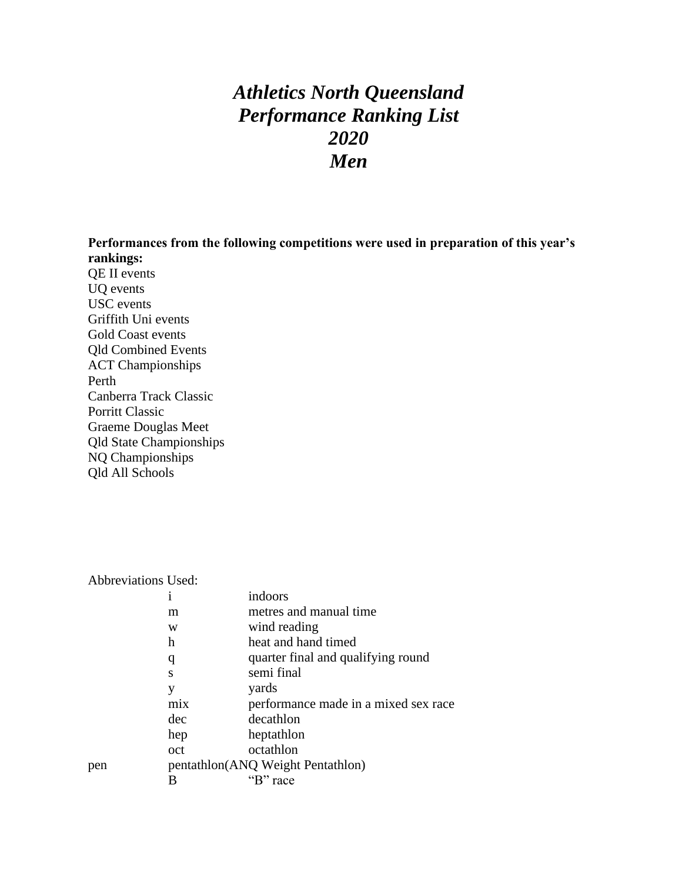# *Athletics North Queensland Performance Ranking List 2020 Men*

**Performances from the following competitions were used in preparation of this year's rankings:**

QE II events UQ events USC events Griffith Uni events Gold Coast events Qld Combined Events ACT Championships Perth Canberra Track Classic Porritt Classic Graeme Douglas Meet Qld State Championships NQ Championships Qld All Schools

| <b>Abbreviations Used:</b> |  |
|----------------------------|--|
|                            |  |

|     | 1   | indoors                              |
|-----|-----|--------------------------------------|
|     | m   | metres and manual time               |
|     | W   | wind reading                         |
|     | h   | heat and hand timed                  |
|     | q   | quarter final and qualifying round   |
|     | S   | semi final                           |
|     | y   | yards                                |
|     | mix | performance made in a mixed sex race |
|     | dec | decathlon                            |
|     | hep | heptathlon                           |
|     | oct | octathlon                            |
| pen |     | pentathlon(ANQ Weight Pentathlon)    |
|     |     | "B" race                             |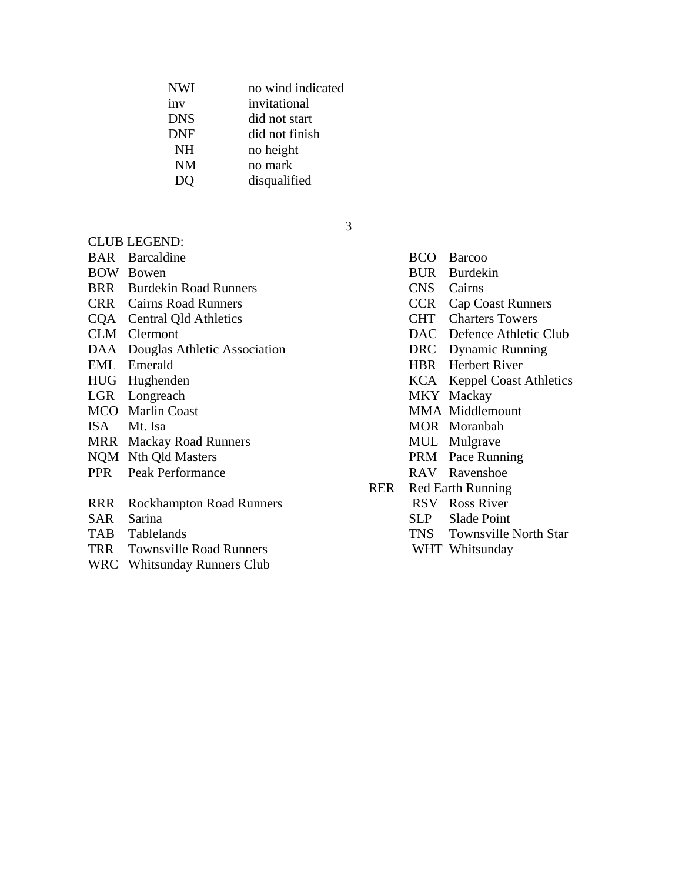| <b>NWI</b> | no wind indicated |
|------------|-------------------|
| inv        | invitational      |
| <b>DNS</b> | did not start     |
| <b>DNF</b> | did not finish    |
| <b>NH</b>  | no height         |
| NM         | no mark           |
|            | disqualified      |
|            |                   |

# CLUB LEGEND:

BAR Barcaldine BCO Barcoo

- 
- BRR Burdekin Road Runners CNS Cairns
- 
- 
- 
- 
- 
- 
- 
- 
- 
- MRR Mackay Road Runners MUL Mulgrave
- 
- 
- RRR Rockhampton Road Runners RSV Ross River
- 
- 
- TRR Townsville Road Runners WHT Whitsunday
- WRC Whitsunday Runners Club

3

BOW Bowen BUR Burdekin CRR Cairns Road Runners CCR Cap Coast Runners CQA Central Qld Athletics CHT Charters Towers CLM Clermont DAC Defence Athletic Club DAA Douglas Athletic Association DRC Dynamic Running EML Emerald HBR Herbert River HUG Hughenden KCA Keppel Coast Athletics LGR Longreach MKY Mackay MCO Marlin Coast MMA Middlemount ISA Mt. Isa MOR Moranbah NQM Nth Qld Masters PRM Pace Running PPR Peak Performance RAV Ravenshoe RER Red Earth Running SAR Sarina SLP Slade Point TAB Tablelands TAB Townsville North Star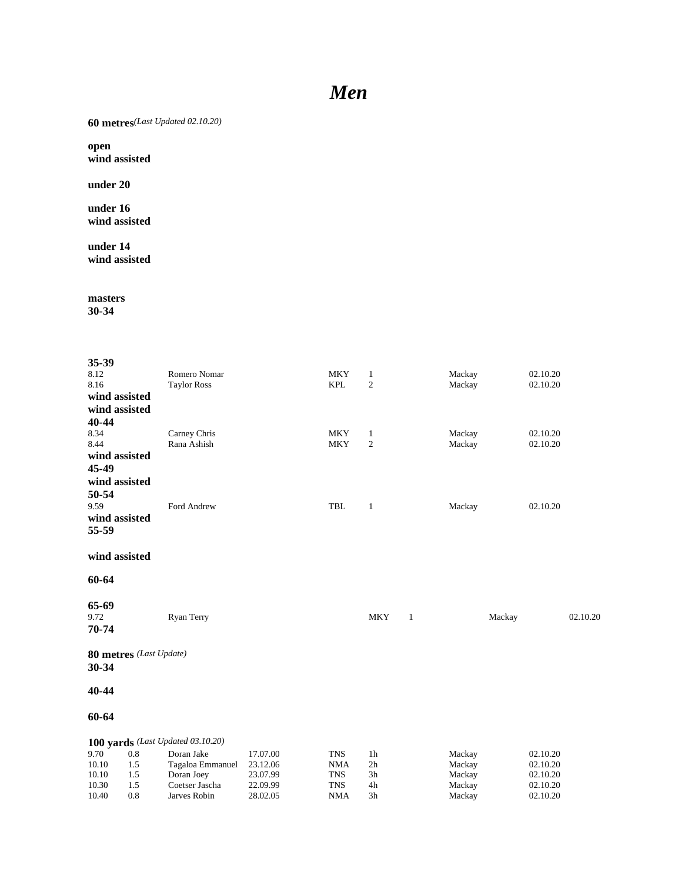# *Men*

**60 metres***(Last Updated 02.10.20)*

**open wind assisted**

**under 20**

**under 16 wind assisted**

**under 14 wind assisted**

**masters**

| 35-39          |                         |                                   |                      |                          |                                |              |                  |        |                      |          |
|----------------|-------------------------|-----------------------------------|----------------------|--------------------------|--------------------------------|--------------|------------------|--------|----------------------|----------|
| 8.12           |                         | Romero Nomar                      |                      | <b>MKY</b>               | $\mathbf{1}$                   |              | Mackay           |        | 02.10.20             |          |
| 8.16           |                         | <b>Taylor Ross</b>                |                      | <b>KPL</b>               | 2                              |              | Mackay           |        | 02.10.20             |          |
|                | wind assisted           |                                   |                      |                          |                                |              |                  |        |                      |          |
|                | wind assisted           |                                   |                      |                          |                                |              |                  |        |                      |          |
| 40-44          |                         |                                   |                      |                          |                                |              |                  |        |                      |          |
| 8.34<br>8.44   |                         | Carney Chris<br>Rana Ashish       |                      | <b>MKY</b><br><b>MKY</b> | $\mathbf{1}$<br>$\overline{2}$ |              | Mackay<br>Mackay |        | 02.10.20<br>02.10.20 |          |
|                | wind assisted           |                                   |                      |                          |                                |              |                  |        |                      |          |
| 45-49          |                         |                                   |                      |                          |                                |              |                  |        |                      |          |
|                | wind assisted           |                                   |                      |                          |                                |              |                  |        |                      |          |
| 50-54          |                         |                                   |                      |                          |                                |              |                  |        |                      |          |
| 9.59           |                         | Ford Andrew                       |                      | <b>TBL</b>               | $\mathbf{1}$                   |              | Mackay           |        | 02.10.20             |          |
|                | wind assisted           |                                   |                      |                          |                                |              |                  |        |                      |          |
| 55-59          |                         |                                   |                      |                          |                                |              |                  |        |                      |          |
|                | wind assisted           |                                   |                      |                          |                                |              |                  |        |                      |          |
| 60-64          |                         |                                   |                      |                          |                                |              |                  |        |                      |          |
| 65-69          |                         |                                   |                      |                          |                                |              |                  |        |                      |          |
| 9.72           |                         | Ryan Terry                        |                      |                          | <b>MKY</b>                     | $\mathbf{1}$ |                  | Mackay |                      | 02.10.20 |
| 70-74          |                         |                                   |                      |                          |                                |              |                  |        |                      |          |
|                | 80 metres (Last Update) |                                   |                      |                          |                                |              |                  |        |                      |          |
| 30-34          |                         |                                   |                      |                          |                                |              |                  |        |                      |          |
| 40-44          |                         |                                   |                      |                          |                                |              |                  |        |                      |          |
| 60-64          |                         |                                   |                      |                          |                                |              |                  |        |                      |          |
|                |                         | 100 yards (Last Updated 03.10.20) |                      |                          |                                |              |                  |        |                      |          |
| 9.70           | 0.8                     | Doran Jake                        | 17.07.00             | <b>TNS</b>               | 1 <sub>h</sub>                 |              | Mackay           |        | 02.10.20             |          |
| 10.10          | 1.5                     | Tagaloa Emmanuel                  | 23.12.06             | <b>NMA</b>               | 2 <sub>h</sub>                 |              | Mackay           |        | 02.10.20             |          |
| 10.10          | 1.5                     | Doran Joey                        | 23.07.99             | <b>TNS</b>               | 3h                             |              | Mackay           |        | 02.10.20             |          |
| 10.30<br>10.40 | 1.5<br>0.8              | Coetser Jascha<br>Jarves Robin    | 22.09.99<br>28.02.05 | <b>TNS</b><br><b>NMA</b> | 4h<br>3h                       |              | Mackay<br>Mackay |        | 02.10.20<br>02.10.20 |          |
|                |                         |                                   |                      |                          |                                |              |                  |        |                      |          |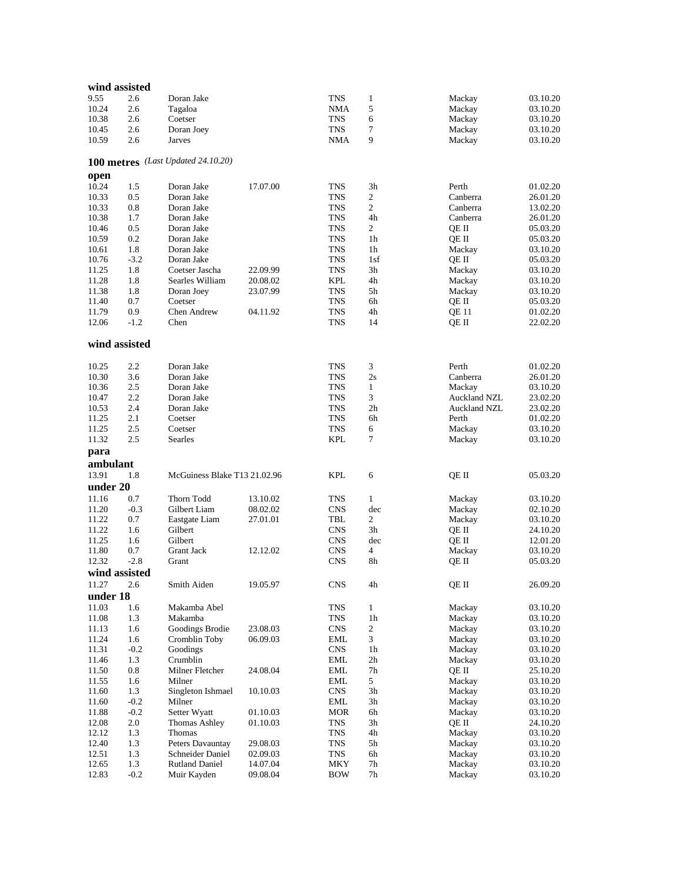|               | wind assisted |                                    |          |                             |                |                 |          |
|---------------|---------------|------------------------------------|----------|-----------------------------|----------------|-----------------|----------|
| 9.55          | 2.6           | Doran Jake                         |          | <b>TNS</b>                  | 1              | Mackay          | 03.10.20 |
| 10.24         | 2.6           | Tagaloa                            |          | <b>NMA</b>                  | 5              | Mackay          | 03.10.20 |
| 10.38         | 2.6           | Coetser                            |          | <b>TNS</b>                  | 6              | Mackay          | 03.10.20 |
| 10.45         | 2.6           | Doran Joey                         |          | <b>TNS</b>                  | 7              | Mackay          | 03.10.20 |
| 10.59         | 2.6           | Jarves                             |          | <b>NMA</b>                  | 9              | Mackay          | 03.10.20 |
|               |               |                                    |          |                             |                |                 |          |
|               |               | 100 metres (Last Updated 24.10.20) |          |                             |                |                 |          |
| open          |               |                                    |          |                             |                |                 |          |
| 10.24         | 1.5           | Doran Jake                         | 17.07.00 | <b>TNS</b>                  | 3h             | Perth           | 01.02.20 |
|               |               |                                    |          |                             |                | Canberra        |          |
| 10.33         | 0.5           | Doran Jake                         |          | <b>TNS</b>                  | 2              |                 | 26.01.20 |
| 10.33         | 0.8           | Doran Jake                         |          | <b>TNS</b>                  | $\overline{2}$ | Canberra        | 13.02.20 |
| 10.38         | 1.7           | Doran Jake                         |          | <b>TNS</b>                  | 4h             | Canberra        | 26.01.20 |
| 10.46         | 0.5           | Doran Jake                         |          | <b>TNS</b>                  | 2              | QE II           | 05.03.20 |
| 10.59         | 0.2           | Doran Jake                         |          | <b>TNS</b>                  | 1h             | QE II           | 05.03.20 |
| 10.61         | 1.8           | Doran Jake                         |          | <b>TNS</b>                  | 1 <sub>h</sub> | Mackay          | 03.10.20 |
| 10.76         | $-3.2$        | Doran Jake                         |          | <b>TNS</b>                  | 1sf            | QE II           | 05.03.20 |
| 11.25         | 1.8           | Coetser Jascha                     | 22.09.99 | <b>TNS</b>                  | 3h             | Mackay          | 03.10.20 |
| 11.28         | 1.8           | Searles William                    | 20.08.02 | <b>KPL</b>                  | 4h             | Mackay          | 03.10.20 |
| 11.38         | 1.8           | Doran Joey                         | 23.07.99 | <b>TNS</b>                  | 5h             | Mackay          | 03.10.20 |
| 11.40         | 0.7           | Coetser                            |          | <b>TNS</b>                  | 6h             | QE II           | 05.03.20 |
| 11.79         | 0.9           | <b>Chen Andrew</b>                 | 04.11.92 | <b>TNS</b>                  | 4h             | QE 11           | 01.02.20 |
| 12.06         | $-1.2$        | Chen                               |          | <b>TNS</b>                  | 14             | QE II           | 22.02.20 |
| wind assisted |               |                                    |          |                             |                |                 |          |
|               |               |                                    |          |                             |                |                 |          |
| 10.25         | 2.2           | Doran Jake                         |          | <b>TNS</b>                  | 3              | Perth           | 01.02.20 |
| 10.30         | 3.6           | Doran Jake                         |          | <b>TNS</b>                  | 2s             | Canberra        | 26.01.20 |
| 10.36         | 2.5           | Doran Jake                         |          | <b>TNS</b>                  | $\mathbf{1}$   | Mackay          | 03.10.20 |
| 10.47         | 2.2           | Doran Jake                         |          | <b>TNS</b>                  | 3              | Auckland NZL    | 23.02.20 |
| 10.53         | 2.4           | Doran Jake                         |          | <b>TNS</b>                  | 2 <sub>h</sub> | Auckland NZL    | 23.02.20 |
| 11.25         | 2.1           | Coetser                            |          | <b>TNS</b>                  | 6h             | Perth           | 01.02.20 |
| 11.25         | 2.5           | Coetser                            |          | <b>TNS</b>                  | 6              | Mackay          | 03.10.20 |
| 11.32         | 2.5           | <b>Searles</b>                     |          | <b>KPL</b>                  | $\tau$         | Mackay          | 03.10.20 |
| para          |               |                                    |          |                             |                |                 |          |
|               |               |                                    |          |                             |                |                 |          |
|               |               |                                    |          |                             |                |                 |          |
| ambulant      |               |                                    |          |                             |                |                 |          |
| 13.91         | 1.8           | McGuiness Blake T13 21.02.96       |          | <b>KPL</b>                  | 6              | QE II           | 05.03.20 |
| under 20      |               |                                    |          |                             |                |                 |          |
| 11.16         | 0.7           | Thorn Todd                         | 13.10.02 | <b>TNS</b>                  | $\mathbf{1}$   | Mackay          | 03.10.20 |
| 11.20         | $-0.3$        | Gilbert Liam                       | 08.02.02 | <b>CNS</b>                  | dec            | Mackay          | 02.10.20 |
| 11.22         | 0.7           | Eastgate Liam                      | 27.01.01 | TBL                         | $\mathfrak{2}$ | Mackay          | 03.10.20 |
| 11.22         | 1.6           | Gilbert                            |          | <b>CNS</b>                  | 3h             | QE II           | 24.10.20 |
| 11.25         | 1.6           | Gilbert                            |          | <b>CNS</b>                  | dec            |                 | 12.01.20 |
| 11.80         | 0.7           | <b>Grant Jack</b>                  | 12.12.02 | <b>CNS</b>                  | $\overline{4}$ | QE II           | 03.10.20 |
| 12.32         | $-2.8$        | Grant                              |          | <b>CNS</b>                  | 8h             | Mackay<br>QE II | 05.03.20 |
|               |               |                                    |          |                             |                |                 |          |
| wind assisted |               |                                    |          |                             |                |                 |          |
| 11.27         | 2.6           | Smith Aiden                        | 19.05.97 | $\ensuremath{\mathrm{CNS}}$ | $4\mathrm{h}$  | QE II           | 26.09.20 |
| under 18      |               |                                    |          |                             |                |                 |          |
| 11.03         | 1.6           | Makamba Abel                       |          | TNS                         | $\mathbf{1}$   | Mackay          | 03.10.20 |
| 11.08         | 1.3           | Makamba                            |          | ${\rm TNS}$                 | 1 <sub>h</sub> | Mackay          | 03.10.20 |
| 11.13         | 1.6           | Goodings Brodie                    | 23.08.03 | <b>CNS</b>                  | $\overline{2}$ | Mackay          | 03.10.20 |
| 11.24         | 1.6           | Cromblin Toby                      | 06.09.03 | EML                         | 3              | Mackay          | 03.10.20 |
| 11.31         | $-0.2$        | Goodings                           |          | <b>CNS</b>                  | 1 <sub>h</sub> | Mackay          | 03.10.20 |
| 11.46         | 1.3           | Crumblin                           |          | <b>EML</b>                  | 2h             | Mackay          | 03.10.20 |
| 11.50         | 0.8           | Milner Fletcher                    | 24.08.04 | $\ensuremath{\mathrm{EML}}$ | 7h             | QE II           | 25.10.20 |
| 11.55         | 1.6           | Milner                             |          | <b>EML</b>                  | 5              | Mackay          | 03.10.20 |
| 11.60         | 1.3           | Singleton Ishmael                  | 10.10.03 | <b>CNS</b>                  | 3h             | Mackay          | 03.10.20 |
| 11.60         | $-0.2$        | Milner                             |          | EML                         | 3h             | Mackay          | 03.10.20 |
| 11.88         | $-0.2$        | Setter Wyatt                       | 01.10.03 | <b>MOR</b>                  | 6h             | Mackay          | 03.10.20 |
| 12.08         | 2.0           | <b>Thomas Ashley</b>               | 01.10.03 | <b>TNS</b>                  | 3h             | QE II           | 24.10.20 |
| 12.12         | 1.3           | Thomas                             |          | <b>TNS</b>                  | 4h             | Mackay          | 03.10.20 |
| 12.40         | 1.3           | Peters Davauntay                   | 29.08.03 | <b>TNS</b>                  | 5h             | Mackay          | 03.10.20 |
| 12.51         | 1.3           | Schneider Daniel                   | 02.09.03 | <b>TNS</b>                  | 6h             | Mackay          | 03.10.20 |
| 12.65         | 1.3           | <b>Rutland Daniel</b>              | 14.07.04 | <b>MKY</b>                  | 7h             | Mackay          | 03.10.20 |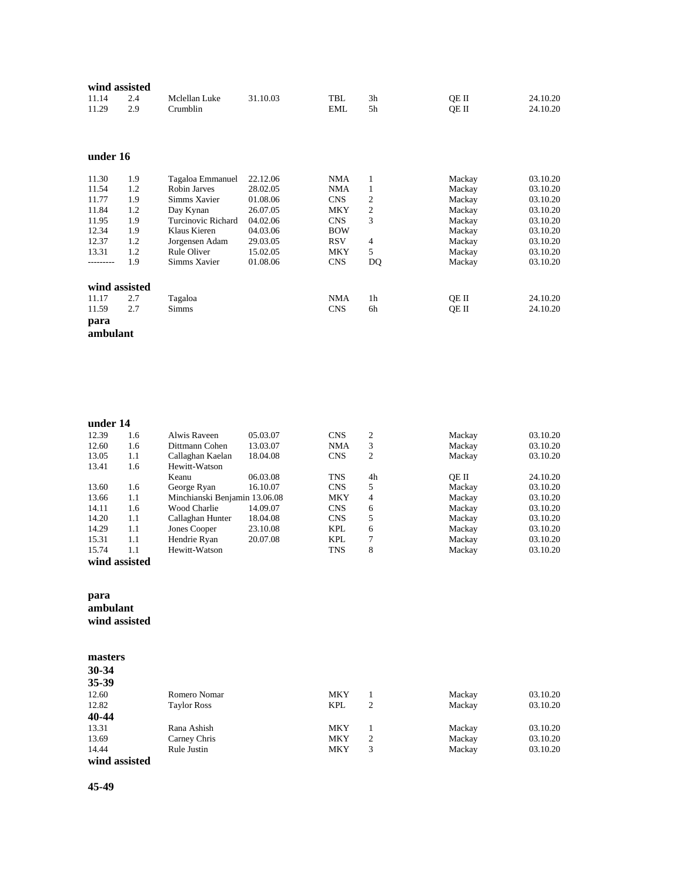|               | wind assisted |                    |          |            |                |        |          |
|---------------|---------------|--------------------|----------|------------|----------------|--------|----------|
| 11.14         | 2.4           | Mclellan Luke      | 31.10.03 | TBL        | 3h             | OE II  | 24.10.20 |
| 11.29         | 2.9           | Crumblin           |          | <b>EML</b> | 5h             | OE II  | 24.10.20 |
|               |               |                    |          |            |                |        |          |
|               |               |                    |          |            |                |        |          |
|               |               |                    |          |            |                |        |          |
| under 16      |               |                    |          |            |                |        |          |
| 11.30         | 1.9           | Tagaloa Emmanuel   | 22.12.06 | NMA        | 1              | Mackay | 03.10.20 |
| 11.54         | 1.2           | Robin Jarves       | 28.02.05 | NMA        | 1              | Mackay | 03.10.20 |
| 11.77         | 1.9           | Simms Xavier       | 01.08.06 | <b>CNS</b> | 2              | Mackay | 03.10.20 |
| 11.84         | 1.2           | Day Kynan          | 26.07.05 | MKY        | $\mathfrak{2}$ | Mackay | 03.10.20 |
| 11.95         | 1.9           | Turcinovic Richard | 04.02.06 | <b>CNS</b> | 3              | Mackay | 03.10.20 |
| 12.34         | 1.9           | Klaus Kieren       | 04.03.06 | <b>BOW</b> |                | Mackay | 03.10.20 |
| 12.37         | 1.2           | Jorgensen Adam     | 29.03.05 | <b>RSV</b> | 4              | Mackay | 03.10.20 |
| 13.31         | 1.2           | Rule Oliver        | 15.02.05 | MKY        | 5              | Mackay | 03.10.20 |
| .             | 1.9           | Simms Xavier       | 01.08.06 | <b>CNS</b> | DQ             | Mackay | 03.10.20 |
| wind assisted |               |                    |          |            |                |        |          |
| 11.17         | 2.7           | Tagaloa            |          | NMA        | 1 <sub>h</sub> | QE II  | 24.10.20 |
| 11.59         | 2.7           | <b>Simms</b>       |          | <b>CNS</b> | 6h             | QE II  | 24.10.20 |
| para          |               |                    |          |            |                |        |          |
|               |               |                    |          |            |                |        |          |
| ambulant      |               |                    |          |            |                |        |          |

| under 14 |     |                               |          |            |    |        |          |
|----------|-----|-------------------------------|----------|------------|----|--------|----------|
| 12.39    | 1.6 | Alwis Raveen                  | 05.03.07 | <b>CNS</b> | 2  | Mackay | 03.10.20 |
| 12.60    | 1.6 | Dittmann Cohen                | 13.03.07 | <b>NMA</b> | 3  | Mackay | 03.10.20 |
| 13.05    | 1.1 | Callaghan Kaelan              | 18.04.08 | <b>CNS</b> | 2  | Mackay | 03.10.20 |
| 13.41    | 1.6 | Hewitt-Watson                 |          |            |    |        |          |
|          |     | Keanu                         | 06.03.08 | <b>TNS</b> | 4h | OE II  | 24.10.20 |
| 13.60    | 1.6 | George Ryan                   | 16.10.07 | <b>CNS</b> | 5  | Mackay | 03.10.20 |
| 13.66    | 1.1 | Minchianski Benjamin 13.06.08 |          | <b>MKY</b> | 4  | Mackay | 03.10.20 |
| 14.11    | 1.6 | Wood Charlie                  | 14.09.07 | <b>CNS</b> | 6  | Mackay | 03.10.20 |
| 14.20    | 1.1 | Callaghan Hunter              | 18.04.08 | <b>CNS</b> | 5  | Mackay | 03.10.20 |
| 14.29    | 1.1 | Jones Cooper                  | 23.10.08 | <b>KPL</b> | 6  | Mackay | 03.10.20 |
| 15.31    | 1.1 | Hendrie Ryan                  | 20.07.08 | <b>KPL</b> | 7  | Mackay | 03.10.20 |
| 15.74    | 1.1 | Hewitt-Watson                 |          | <b>TNS</b> | 8  | Mackay | 03.10.20 |

```
wind assisted
```
# **para ambulant**

**wind assisted**

| masters       |                    |            |                |        |          |
|---------------|--------------------|------------|----------------|--------|----------|
| $30 - 34$     |                    |            |                |        |          |
| 35-39         |                    |            |                |        |          |
| 12.60         | Romero Nomar       | <b>MKY</b> |                | Mackay | 03.10.20 |
| 12.82         | <b>Taylor Ross</b> | <b>KPL</b> | $\overline{2}$ | Mackay | 03.10.20 |
| 40-44         |                    |            |                |        |          |
| 13.31         | Rana Ashish        | <b>MKY</b> |                | Mackay | 03.10.20 |
| 13.69         | Carney Chris       | <b>MKY</b> | $\overline{c}$ | Mackay | 03.10.20 |
| 14.44         | Rule Justin        | <b>MKY</b> | 3              | Mackay | 03.10.20 |
| wind assisted |                    |            |                |        |          |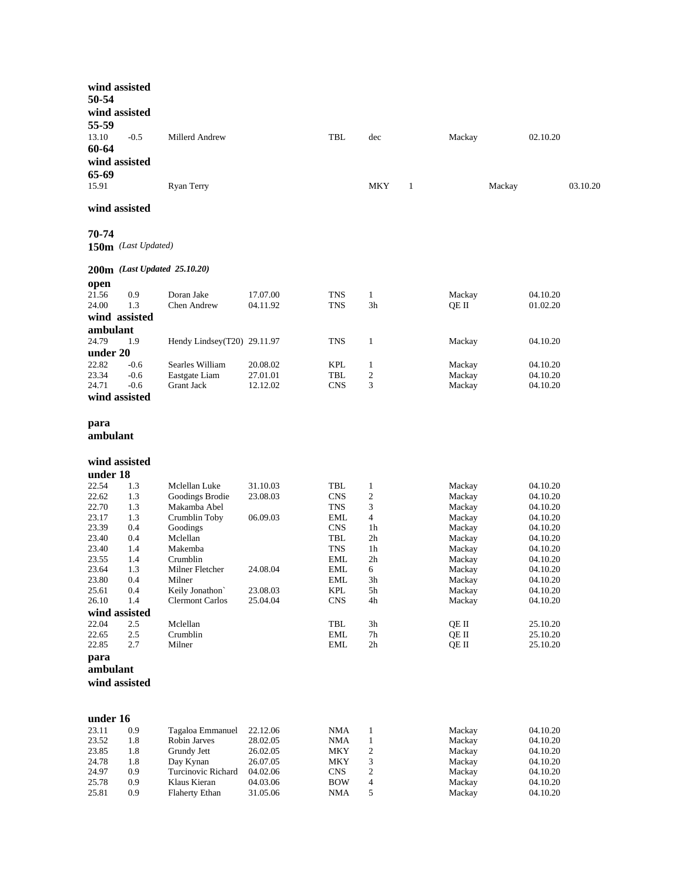|          | wind assisted       |                              |          |                             |                                |        |          |
|----------|---------------------|------------------------------|----------|-----------------------------|--------------------------------|--------|----------|
| 50-54    |                     |                              |          |                             |                                |        |          |
|          |                     |                              |          |                             |                                |        |          |
|          | wind assisted       |                              |          |                             |                                |        |          |
| 55-59    |                     |                              |          |                             |                                |        |          |
| 13.10    | $-0.5$              | Millerd Andrew               |          | TBL                         | dec                            | Mackay | 02.10.20 |
| 60-64    |                     |                              |          |                             |                                |        |          |
|          | wind assisted       |                              |          |                             |                                |        |          |
|          |                     |                              |          |                             |                                |        |          |
| 65-69    |                     |                              |          |                             |                                |        |          |
| 15.91    |                     | Ryan Terry                   |          |                             | MKY<br>1                       | Mackay | 03.10.20 |
|          |                     |                              |          |                             |                                |        |          |
|          | wind assisted       |                              |          |                             |                                |        |          |
|          |                     |                              |          |                             |                                |        |          |
| 70-74    |                     |                              |          |                             |                                |        |          |
|          | 150m (Last Updated) |                              |          |                             |                                |        |          |
|          |                     |                              |          |                             |                                |        |          |
|          |                     |                              |          |                             |                                |        |          |
|          |                     | 200m (Last Updated 25.10.20) |          |                             |                                |        |          |
| open     |                     |                              |          |                             |                                |        |          |
| 21.56    | 0.9                 | Doran Jake                   | 17.07.00 | TNS                         | $\mathbf{1}$                   | Mackay | 04.10.20 |
| 24.00    | 1.3                 | <b>Chen Andrew</b>           | 04.11.92 | TNS                         | 3h                             | QE II  | 01.02.20 |
|          | wind assisted       |                              |          |                             |                                |        |          |
| ambulant |                     |                              |          |                             |                                |        |          |
| 24.79    | 1.9                 | Hendy Lindsey(T20) 29.11.97  |          |                             |                                |        |          |
|          |                     |                              |          | TNS                         | $\mathbf{1}$                   | Mackay | 04.10.20 |
| under 20 |                     |                              |          |                             |                                |        |          |
| 22.82    | $-0.6$              | Searles William              | 20.08.02 | <b>KPL</b>                  | $\mathbf{1}$                   | Mackay | 04.10.20 |
| 23.34    | $-0.6$              | Eastgate Liam                | 27.01.01 | TBL                         | $\mathfrak{2}$                 | Mackay | 04.10.20 |
| 24.71    | $-0.6$              | <b>Grant Jack</b>            | 12.12.02 | CNS                         | 3                              | Mackay | 04.10.20 |
|          | wind assisted       |                              |          |                             |                                |        |          |
|          |                     |                              |          |                             |                                |        |          |
| para     |                     |                              |          |                             |                                |        |          |
|          |                     |                              |          |                             |                                |        |          |
| ambulant |                     |                              |          |                             |                                |        |          |
|          |                     |                              |          |                             |                                |        |          |
|          | wind assisted       |                              |          |                             |                                |        |          |
| under 18 |                     |                              |          |                             |                                |        |          |
| 22.54    |                     |                              |          |                             |                                |        |          |
|          | 1.3                 | Mclellan Luke                | 31.10.03 | TBL<br><b>CNS</b>           | $\mathbf{1}$<br>$\mathfrak{2}$ | Mackay | 04.10.20 |
| 22.62    | 1.3                 | Goodings Brodie              | 23.08.03 |                             |                                | Mackay | 04.10.20 |
| 22.70    | 1.3                 | Makamba Abel                 |          | TNS                         | 3                              | Mackay | 04.10.20 |
| 23.17    | 1.3                 | Crumblin Toby                | 06.09.03 | EML                         | 4                              | Mackay | 04.10.20 |
| 23.39    | 0.4                 | Goodings                     |          | <b>CNS</b>                  | 1h                             | Mackay | 04.10.20 |
| 23.40    | 0.4                 | Mclellan                     |          | TBL                         | 2 <sub>h</sub>                 | Mackay | 04.10.20 |
| 23.40    | 1.4                 | Makemba                      |          | <b>TNS</b>                  | 1 <sub>h</sub>                 | Mackay | 04.10.20 |
| 23.55    | 1.4                 | Crumblin                     |          | EML                         | 2 <sub>h</sub>                 | Mackay | 04.10.20 |
| 23.64    | 1.3                 | Milner Fletcher              | 24.08.04 | EML                         | 6                              | Mackay | 04.10.20 |
| 23.80    | 0.4                 | Milner                       |          | EML                         | 3h                             | Mackay | 04.10.20 |
| 25.61    | 0.4                 | Keily Jonathon'              | 23.08.03 | <b>KPL</b>                  | 5h                             | Mackay | 04.10.20 |
| 26.10    | 1.4                 | <b>Clermont Carlos</b>       | 25.04.04 | <b>CNS</b>                  | 4h                             | Mackay | 04.10.20 |
|          | wind assisted       |                              |          |                             |                                |        |          |
| 22.04    | 2.5                 | Mclellan                     |          | TBL                         | $3h\,$                         | QE II  | 25.10.20 |
| 22.65    | $2.5\,$             | Crumblin                     |          | <b>EML</b>                  | $7\mathrm{h}$                  | QE II  | 25.10.20 |
| 22.85    | 2.7                 | Milner                       |          | $\ensuremath{\mathrm{EML}}$ | $2\mathrm{h}$                  | QE II  | 25.10.20 |
| para     |                     |                              |          |                             |                                |        |          |
| ambulant |                     |                              |          |                             |                                |        |          |
|          | wind assisted       |                              |          |                             |                                |        |          |
|          |                     |                              |          |                             |                                |        |          |
|          |                     |                              |          |                             |                                |        |          |
|          |                     |                              |          |                             |                                |        |          |
| under 16 |                     |                              |          |                             |                                |        |          |
| 23.11    | 0.9                 | Tagaloa Emmanuel             | 22.12.06 | NMA                         | $\mathbf{1}$                   | Mackay | 04.10.20 |
| 23.52    | 1.8                 | Robin Jarves                 | 28.02.05 | <b>NMA</b>                  | $\mathbf{1}$                   | Mackay | 04.10.20 |
| 23.85    | 1.8                 | Grundy Jett                  | 26.02.05 | <b>MKY</b>                  | 2                              | Mackay | 04.10.20 |
| 24.78    | 1.8                 | Day Kynan                    | 26.07.05 | MKY                         | 3                              | Mackay | 04.10.20 |
| 24.97    | 0.9                 | Turcinovic Richard           | 04.02.06 | <b>CNS</b>                  | 2                              | Mackay | 04.10.20 |
| 25.78    | 0.9                 | Klaus Kieran                 | 04.03.06 | <b>BOW</b>                  | 4                              | Mackay | 04.10.20 |
| 25.81    | 0.9                 | Flaherty Ethan               | 31.05.06 | <b>NMA</b>                  | 5                              | Mackay | 04.10.20 |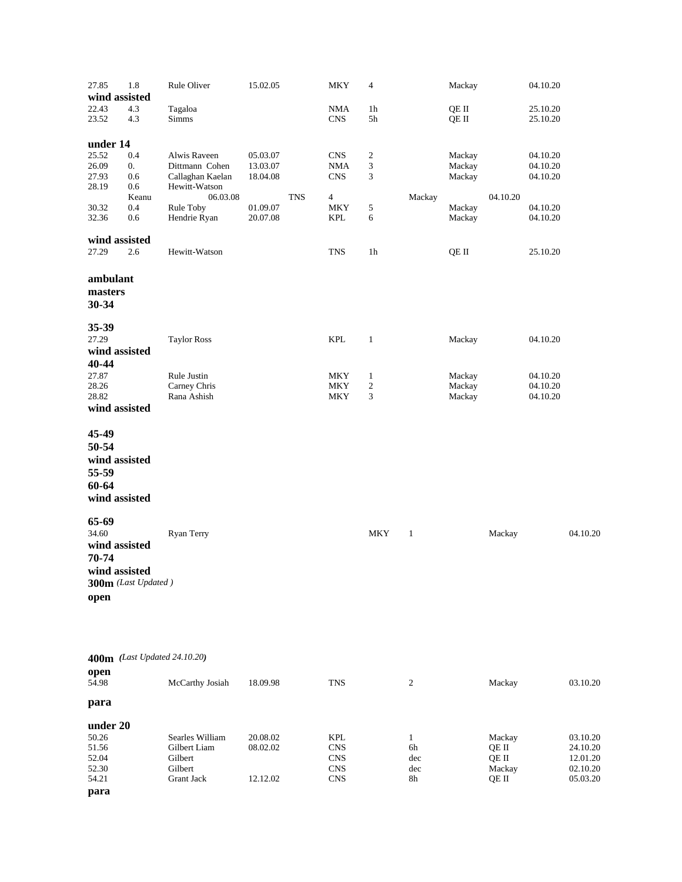| 27.85          | 1.8                 | Rule Oliver                  | 15.02.05   | <b>MKY</b> | 4              |              | Mackay           |          | 04.10.20             |          |
|----------------|---------------------|------------------------------|------------|------------|----------------|--------------|------------------|----------|----------------------|----------|
|                | wind assisted       |                              |            |            |                |              |                  |          |                      |          |
| 22.43          | 4.3                 | Tagaloa                      |            | <b>NMA</b> | 1 <sub>h</sub> |              | QE II            |          | 25.10.20             |          |
| 23.52          | 4.3                 | <b>Simms</b>                 |            | <b>CNS</b> | 5h             |              | QE II            |          | 25.10.20             |          |
|                |                     |                              |            |            |                |              |                  |          |                      |          |
|                |                     |                              |            |            |                |              |                  |          |                      |          |
| under 14       |                     |                              |            |            |                |              |                  |          |                      |          |
| 25.52          | 0.4                 | Alwis Raveen                 | 05.03.07   | <b>CNS</b> | $\overline{c}$ |              | Mackay           |          | 04.10.20             |          |
| 26.09          | 0.                  | Dittmann Cohen               | 13.03.07   | <b>NMA</b> | 3              |              | Mackay           |          | 04.10.20             |          |
| 27.93          | 0.6                 | Callaghan Kaelan             | 18.04.08   | <b>CNS</b> | 3              |              | Mackay           |          | 04.10.20             |          |
| 28.19          | 0.6<br>Keanu        | Hewitt-Watson<br>06.03.08    | <b>TNS</b> | 4          |                |              |                  | 04.10.20 |                      |          |
|                | 0.4                 |                              | 01.09.07   | <b>MKY</b> | 5              | Mackay       |                  |          |                      |          |
| 30.32<br>32.36 | 0.6                 | Rule Toby<br>Hendrie Ryan    | 20.07.08   | KPL        | 6              |              | Mackay<br>Mackay |          | 04.10.20<br>04.10.20 |          |
|                |                     |                              |            |            |                |              |                  |          |                      |          |
|                | wind assisted       |                              |            |            |                |              |                  |          |                      |          |
| 27.29          | 2.6                 | Hewitt-Watson                |            | TNS        | 1h             |              | QE II            |          | 25.10.20             |          |
|                |                     |                              |            |            |                |              |                  |          |                      |          |
|                |                     |                              |            |            |                |              |                  |          |                      |          |
| ambulant       |                     |                              |            |            |                |              |                  |          |                      |          |
| masters        |                     |                              |            |            |                |              |                  |          |                      |          |
| 30-34          |                     |                              |            |            |                |              |                  |          |                      |          |
|                |                     |                              |            |            |                |              |                  |          |                      |          |
| 35-39          |                     |                              |            |            |                |              |                  |          |                      |          |
| 27.29          |                     | <b>Taylor Ross</b>           |            | <b>KPL</b> | $\mathbf{1}$   |              | Mackay           |          | 04.10.20             |          |
|                | wind assisted       |                              |            |            |                |              |                  |          |                      |          |
| 40-44          |                     |                              |            |            |                |              |                  |          |                      |          |
| 27.87          |                     | Rule Justin                  |            | MKY        | $\mathbf{1}$   |              | Mackay           |          | 04.10.20             |          |
| 28.26          |                     | Carney Chris                 |            | <b>MKY</b> | $\overline{c}$ |              | Mackay           |          | 04.10.20             |          |
| 28.82          |                     | Rana Ashish                  |            | MKY        | 3              |              | Mackay           |          | 04.10.20             |          |
|                | wind assisted       |                              |            |            |                |              |                  |          |                      |          |
|                |                     |                              |            |            |                |              |                  |          |                      |          |
|                |                     |                              |            |            |                |              |                  |          |                      |          |
| 45-49          |                     |                              |            |            |                |              |                  |          |                      |          |
| 50-54          |                     |                              |            |            |                |              |                  |          |                      |          |
|                | wind assisted       |                              |            |            |                |              |                  |          |                      |          |
| 55-59          |                     |                              |            |            |                |              |                  |          |                      |          |
| 60-64          |                     |                              |            |            |                |              |                  |          |                      |          |
|                |                     |                              |            |            |                |              |                  |          |                      |          |
|                | wind assisted       |                              |            |            |                |              |                  |          |                      |          |
|                |                     |                              |            |            |                |              |                  |          |                      |          |
| 65-69          |                     |                              |            |            |                |              |                  |          |                      |          |
| 34.60          |                     | Ryan Terry                   |            |            | <b>MKY</b>     | $\mathbf{1}$ |                  | Mackay   |                      | 04.10.20 |
|                | wind assisted       |                              |            |            |                |              |                  |          |                      |          |
| 70-74          |                     |                              |            |            |                |              |                  |          |                      |          |
|                | wind assisted       |                              |            |            |                |              |                  |          |                      |          |
|                | 300m (Last Updated) |                              |            |            |                |              |                  |          |                      |          |
|                |                     |                              |            |            |                |              |                  |          |                      |          |
| open           |                     |                              |            |            |                |              |                  |          |                      |          |
|                |                     |                              |            |            |                |              |                  |          |                      |          |
|                |                     |                              |            |            |                |              |                  |          |                      |          |
|                |                     |                              |            |            |                |              |                  |          |                      |          |
|                |                     |                              |            |            |                |              |                  |          |                      |          |
|                |                     | 400m (Last Updated 24.10.20) |            |            |                |              |                  |          |                      |          |
| open           |                     |                              |            |            |                |              |                  |          |                      |          |
| 54.98          |                     | McCarthy Josiah              | 18.09.98   | <b>TNS</b> |                | 2            |                  | Mackay   |                      | 03.10.20 |
| para           |                     |                              |            |            |                |              |                  |          |                      |          |
|                |                     |                              |            |            |                |              |                  |          |                      |          |
| under 20       |                     |                              |            |            |                |              |                  |          |                      |          |
| 50.26          |                     | Searles William              | 20.08.02   | KPL        |                | $\mathbf{1}$ |                  | Mackay   |                      | 03.10.20 |
| 51.56          |                     | Gilbert Liam                 | 08.02.02   | <b>CNS</b> |                | 6h           |                  | QE II    |                      | 24.10.20 |
| 52.04          |                     | Gilbert                      |            | <b>CNS</b> |                | dec          |                  | QE II    |                      | 12.01.20 |
| 52.30          |                     | Gilbert                      |            | <b>CNS</b> |                | dec          |                  | Mackay   |                      | 02.10.20 |
| 54.21          |                     | <b>Grant Jack</b>            | 12.12.02   | <b>CNS</b> |                | 8h           |                  | QE II    |                      | 05.03.20 |

**para**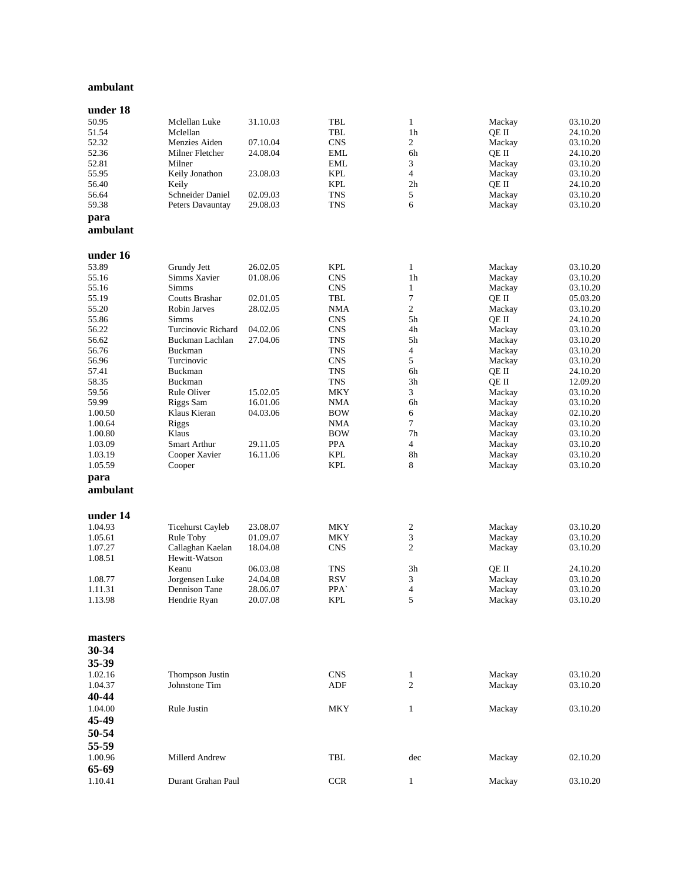#### **ambulant**

| under 18         |                           |                      |                          |                  |                  |                      |
|------------------|---------------------------|----------------------|--------------------------|------------------|------------------|----------------------|
| 50.95            | Mclellan Luke             | 31.10.03             | TBL                      | 1                | Mackay           | 03.10.20             |
| 51.54            | Mclellan                  |                      | <b>TBL</b>               | 1 <sub>h</sub>   | QE II            | 24.10.20             |
| 52.32            | Menzies Aiden             | 07.10.04             | <b>CNS</b>               | $\overline{c}$   | Mackay           | 03.10.20             |
| 52.36            | Milner Fletcher           | 24.08.04             | <b>EML</b>               | 6h               | QE II            | 24.10.20             |
| 52.81            | Milner                    |                      | <b>EML</b>               | 3                | Mackay           | 03.10.20             |
| 55.95            | Keily Jonathon            | 23.08.03             | <b>KPL</b>               | 4                | Mackay           | 03.10.20             |
| 56.40            | Keily                     |                      | <b>KPL</b>               | 2 <sub>h</sub>   | QE II            | 24.10.20             |
| 56.64<br>59.38   | Schneider Daniel          | 02.09.03             | <b>TNS</b><br><b>TNS</b> | 5<br>6           | Mackay           | 03.10.20<br>03.10.20 |
|                  | Peters Davauntay          | 29.08.03             |                          |                  | Mackay           |                      |
| para<br>ambulant |                           |                      |                          |                  |                  |                      |
| under 16         |                           |                      |                          |                  |                  |                      |
| 53.89            | Grundy Jett               | 26.02.05             | <b>KPL</b>               | 1                | Mackay           | 03.10.20             |
| 55.16            | Simms Xavier              | 01.08.06             | <b>CNS</b>               | 1 <sub>h</sub>   | Mackay           | 03.10.20             |
| 55.16            | <b>Simms</b>              |                      | <b>CNS</b>               | 1                | Mackay           | 03.10.20             |
| 55.19            | Coutts Brashar            | 02.01.05             | TBL                      | 7                | QE II            | 05.03.20             |
| 55.20            | Robin Jarves              | 28.02.05             | <b>NMA</b>               | $\overline{c}$   | Mackay           | 03.10.20             |
| 55.86            | Simms                     |                      | <b>CNS</b>               | 5h               | QE II            | 24.10.20             |
| 56.22            | Turcinovic Richard        | 04.02.06             | <b>CNS</b>               | 4h               | Mackay           | 03.10.20             |
| 56.62            | Buckman Lachlan           | 27.04.06             | <b>TNS</b>               | 5h               | Mackay           | 03.10.20             |
| 56.76            | Buckman                   |                      | <b>TNS</b>               | 4                | Mackay           | 03.10.20             |
| 56.96            | Turcinovic                |                      | <b>CNS</b>               | 5                | Mackay           | 03.10.20             |
| 57.41            | Buckman                   |                      | <b>TNS</b>               | 6h               | QE II            | 24.10.20             |
| 58.35            | Buckman                   | 15.02.05             | <b>TNS</b>               | 3h<br>3          | QE II            | 12.09.20             |
| 59.56            | Rule Oliver               |                      | <b>MKY</b><br><b>NMA</b> | 6h               | Mackay           | 03.10.20<br>03.10.20 |
| 59.99<br>1.00.50 | Riggs Sam<br>Klaus Kieran | 16.01.06<br>04.03.06 | <b>BOW</b>               | 6                | Mackay<br>Mackay | 02.10.20             |
| 1.00.64          | <b>Riggs</b>              |                      | <b>NMA</b>               | $\overline{7}$   | Mackay           | 03.10.20             |
| 1.00.80          | Klaus                     |                      | <b>BOW</b>               | 7 <sub>h</sub>   | Mackay           | 03.10.20             |
| 1.03.09          | Smart Arthur              | 29.11.05             | <b>PPA</b>               | 4                | Mackay           | 03.10.20             |
| 1.03.19          | Cooper Xavier             | 16.11.06             | KPL                      | 8h               | Mackay           | 03.10.20             |
| 1.05.59          | Cooper                    |                      | <b>KPL</b>               | 8                | Mackay           | 03.10.20             |
| para             |                           |                      |                          |                  |                  |                      |
| ambulant         |                           |                      |                          |                  |                  |                      |
| under 14         |                           |                      |                          |                  |                  |                      |
| 1.04.93          | <b>Ticehurst Cayleb</b>   | 23.08.07             | MKY                      | $\boldsymbol{2}$ | Mackay           | 03.10.20             |
| 1.05.61          | Rule Toby                 | 01.09.07             | MKY                      | 3                | Mackay           | 03.10.20             |
| 1.07.27          | Callaghan Kaelan          | 18.04.08             | <b>CNS</b>               | $\overline{c}$   | Mackay           | 03.10.20             |
| 1.08.51          | Hewitt-Watson             |                      |                          |                  |                  |                      |
|                  | Keanu                     | 06.03.08             | <b>TNS</b>               | 3h               | QE II            | 24.10.20             |
| 1.08.77          | Jorgensen Luke            | 24.04.08             | <b>RSV</b>               | 3                | Mackay           | 03.10.20             |
| 1.11.31          | Dennison Tane             | 28.06.07             | PPA`                     | 4                | Mackay           | 03.10.20             |
| 1.13.98          | Hendrie Ryan              | 20.07.08             | <b>KPL</b>               | 5                | Mackay           | 03.10.20             |
| masters          |                           |                      |                          |                  |                  |                      |
| 30-34            |                           |                      |                          |                  |                  |                      |
| 35-39            |                           |                      |                          |                  |                  |                      |
| 1.02.16          | Thompson Justin           |                      | <b>CNS</b>               | 1                | Mackay           | 03.10.20             |
| 1.04.37          | Johnstone Tim             |                      | ADF                      | 2                | Mackay           | 03.10.20             |
| 40-44            |                           |                      |                          |                  |                  |                      |
| 1.04.00          | Rule Justin               |                      | MKY                      | $\mathbf{1}$     | Mackay           | 03.10.20             |
| 45-49            |                           |                      |                          |                  |                  |                      |
|                  |                           |                      |                          |                  |                  |                      |
| 50-54            |                           |                      |                          |                  |                  |                      |
| 55-59            |                           |                      |                          |                  |                  |                      |
| 1.00.96          | Millerd Andrew            |                      | TBL                      | dec              | Mackay           | 02.10.20             |
| 65-69            |                           |                      |                          |                  |                  |                      |
| 1.10.41          | Durant Grahan Paul        |                      | <b>CCR</b>               | $\mathbf{1}$     | Mackay           | 03.10.20             |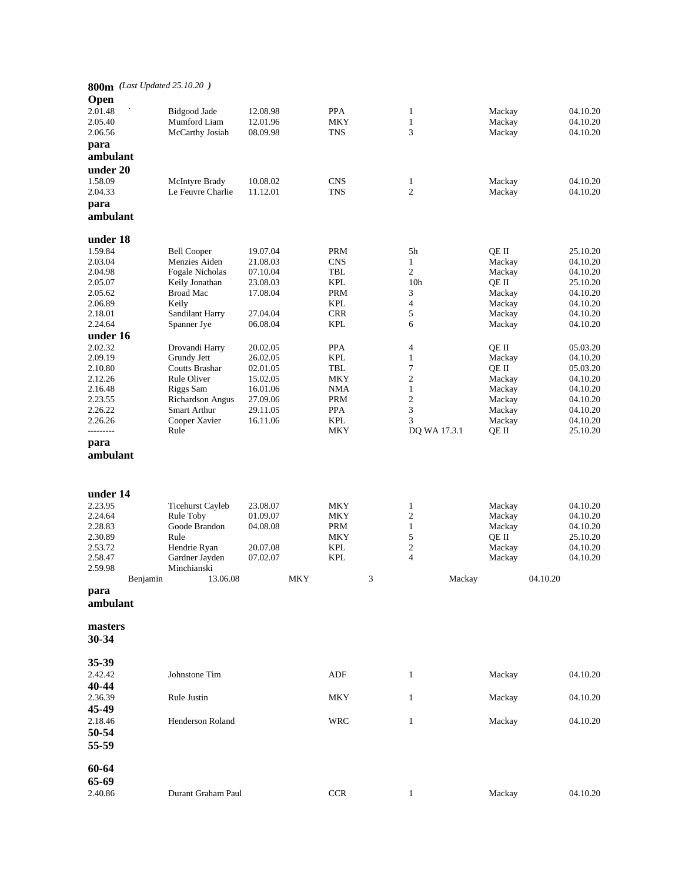|           |          | 800m (Last Updated 25.10.20) |          |     |            |   |                         |        |          |          |
|-----------|----------|------------------------------|----------|-----|------------|---|-------------------------|--------|----------|----------|
|           |          |                              |          |     |            |   |                         |        |          |          |
| Open      |          |                              |          |     |            |   |                         |        |          |          |
| 2.01.48   |          | Bidgood Jade                 | 12.08.98 |     | <b>PPA</b> |   | $\mathbf{1}$            | Mackay |          | 04.10.20 |
| 2.05.40   |          | Mumford Liam                 | 12.01.96 |     | <b>MKY</b> |   | $\mathbf{1}$            | Mackay |          | 04.10.20 |
| 2.06.56   |          | McCarthy Josiah              | 08.09.98 |     | <b>TNS</b> |   | 3                       | Mackay |          | 04.10.20 |
| para      |          |                              |          |     |            |   |                         |        |          |          |
| ambulant  |          |                              |          |     |            |   |                         |        |          |          |
| under 20  |          |                              |          |     |            |   |                         |        |          |          |
| 1.58.09   |          | McIntyre Brady               | 10.08.02 |     | <b>CNS</b> |   | 1                       | Mackay |          | 04.10.20 |
| 2.04.33   |          | Le Feuvre Charlie            | 11.12.01 |     | <b>TNS</b> |   | 2                       | Mackay |          | 04.10.20 |
| para      |          |                              |          |     |            |   |                         |        |          |          |
| ambulant  |          |                              |          |     |            |   |                         |        |          |          |
|           |          |                              |          |     |            |   |                         |        |          |          |
| under 18  |          |                              |          |     |            |   |                         |        |          |          |
| 1.59.84   |          | <b>Bell Cooper</b>           | 19.07.04 |     | <b>PRM</b> |   | 5h                      | QE II  |          | 25.10.20 |
| 2.03.04   |          | Menzies Aiden                | 21.08.03 |     | <b>CNS</b> |   | $\mathbf{1}$            | Mackay |          | 04.10.20 |
| 2.04.98   |          | Fogale Nicholas              | 07.10.04 |     | TBL        |   | $\overline{c}$          | Mackay |          | 04.10.20 |
| 2.05.07   |          | Keily Jonathan               | 23.08.03 |     | <b>KPL</b> |   | 10 <sub>h</sub>         | QE II  |          | 25.10.20 |
| 2.05.62   |          | <b>Broad Mac</b>             | 17.08.04 |     | <b>PRM</b> |   | 3                       | Mackay |          | 04.10.20 |
| 2.06.89   |          | Keily                        |          |     | <b>KPL</b> |   | 4                       | Mackay |          | 04.10.20 |
| 2.18.01   |          | Sandilant Harry              | 27.04.04 |     | <b>CRR</b> |   | 5                       | Mackay |          | 04.10.20 |
| 2.24.64   |          | Spanner Jye                  | 06.08.04 |     | <b>KPL</b> |   | 6                       | Mackay |          | 04.10.20 |
| under 16  |          |                              |          |     |            |   |                         |        |          |          |
| 2.02.32   |          | Drovandi Harry               | 20.02.05 |     | <b>PPA</b> |   | 4                       | QE II  |          | 05.03.20 |
| 2.09.19   |          | Grundy Jett                  | 26.02.05 |     | <b>KPL</b> |   | $\mathbf{1}$            | Mackay |          | 04.10.20 |
| 2.10.80   |          | Coutts Brashar               | 02.01.05 |     | TBL        |   | 7                       | QE II  |          | 05.03.20 |
| 2.12.26   |          | Rule Oliver                  | 15.02.05 |     | MKY        |   | 2                       | Mackay |          | 04.10.20 |
| 2.16.48   |          | Riggs Sam                    | 16.01.06 |     | <b>NMA</b> |   | $\mathbf{1}$            | Mackay |          | 04.10.20 |
| 2.23.55   |          | <b>Richardson Angus</b>      | 27.09.06 |     | PRM        |   | $\mathbf{2}$            | Mackay |          | 04.10.20 |
| 2.26.22   |          | Smart Arthur                 | 29.11.05 |     | <b>PPA</b> |   | 3                       | Mackay |          | 04.10.20 |
| 2.26.26   |          | Cooper Xavier                | 16.11.06 |     | <b>KPL</b> |   | 3                       | Mackay |          | 04.10.20 |
| --------- |          | Rule                         |          |     | MKY        |   | DQ WA 17.3.1            | QE II  |          | 25.10.20 |
| para      |          |                              |          |     |            |   |                         |        |          |          |
| ambulant  |          |                              |          |     |            |   |                         |        |          |          |
|           |          |                              |          |     |            |   |                         |        |          |          |
|           |          |                              |          |     |            |   |                         |        |          |          |
| under 14  |          |                              |          |     |            |   |                         |        |          |          |
| 2.23.95   |          | <b>Ticehurst Cayleb</b>      | 23.08.07 |     | MKY        |   | $\mathbf{1}$            | Mackay |          | 04.10.20 |
| 2.24.64   |          | Rule Toby                    | 01.09.07 |     | MKY        |   | $\mathbf{2}$            | Mackay |          | 04.10.20 |
| 2.28.83   |          | Goode Brandon                | 04.08.08 |     | PRM        |   | $\mathbf{1}$            | Mackay |          | 04.10.20 |
| 2.30.89   |          | Rule                         |          |     | MKY        |   | 5                       | OE II  |          | 25.10.20 |
| 2.53.72   |          | Hendrie Ryan                 | 20.07.08 |     | <b>KPL</b> |   | $\mathbf{2}$            | Mackay |          | 04.10.20 |
| 2.58.47   |          | Gardner Jayden               | 07.02.07 |     | <b>KPL</b> |   | $\overline{\mathbf{4}}$ | Mackay |          | 04.10.20 |
| 2.59.98   |          | Minchianski                  |          |     |            |   |                         |        |          |          |
|           | Benjamin | 13.06.08                     |          | MKY |            | 3 | Mackay                  |        | 04.10.20 |          |
| para      |          |                              |          |     |            |   |                         |        |          |          |
| ambulant  |          |                              |          |     |            |   |                         |        |          |          |
|           |          |                              |          |     |            |   |                         |        |          |          |
| masters   |          |                              |          |     |            |   |                         |        |          |          |
| 30-34     |          |                              |          |     |            |   |                         |        |          |          |
|           |          |                              |          |     |            |   |                         |        |          |          |
| 35-39     |          |                              |          |     |            |   |                         |        |          |          |
| 2.42.42   |          | Johnstone Tim                |          |     | ADF        |   | $\mathbf{1}$            | Mackay |          | 04.10.20 |
| 40-44     |          |                              |          |     |            |   |                         |        |          |          |
| 2.36.39   |          | Rule Justin                  |          |     | MKY        |   | $\mathbf{1}$            | Mackay |          | 04.10.20 |
| 45-49     |          |                              |          |     |            |   |                         |        |          |          |
|           |          |                              |          |     |            |   |                         |        |          |          |
| 2.18.46   |          | Henderson Roland             |          |     | WRC        |   | $\mathbf{1}$            | Mackay |          | 04.10.20 |
| 50-54     |          |                              |          |     |            |   |                         |        |          |          |
| 55-59     |          |                              |          |     |            |   |                         |        |          |          |
|           |          |                              |          |     |            |   |                         |        |          |          |
| 60-64     |          |                              |          |     |            |   |                         |        |          |          |
| 65-69     |          |                              |          |     |            |   |                         |        |          |          |
| 2.40.86   |          | Durant Graham Paul           |          |     | <b>CCR</b> |   | $\mathbf{1}$            | Mackay |          | 04.10.20 |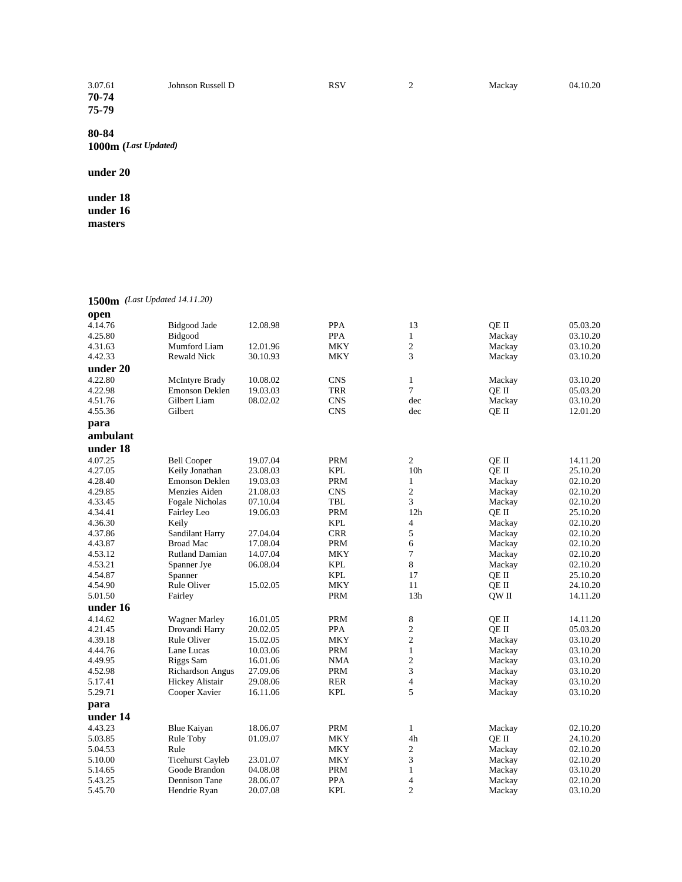| 3.07.61 | Johnson Russell D | RSV | ∸ | Mackay | 04.10.20 |
|---------|-------------------|-----|---|--------|----------|
| 70-74   |                   |     |   |        |          |
| 75-79   |                   |     |   |        |          |

**1000m (***Last Updated)*

# **under 20**

**under 18 under 16 masters**

**1500m** *(Last Updated 14.11.20)*

| open     |                         |          |            |                 |        |          |
|----------|-------------------------|----------|------------|-----------------|--------|----------|
| 4.14.76  | Bidgood Jade            | 12.08.98 | <b>PPA</b> | 13              | OE II  | 05.03.20 |
| 4.25.80  | Bidgood                 |          | <b>PPA</b> | $\mathbf{1}$    | Mackay | 03.10.20 |
| 4.31.63  | Mumford Liam            | 12.01.96 | <b>MKY</b> | $\overline{c}$  | Mackay | 03.10.20 |
| 4.42.33  | <b>Rewald Nick</b>      | 30.10.93 | MKY        | 3               | Mackay | 03.10.20 |
| under 20 |                         |          |            |                 |        |          |
| 4.22.80  | McIntyre Brady          | 10.08.02 | <b>CNS</b> | $\mathbf{1}$    | Mackay | 03.10.20 |
| 4.22.98  | <b>Emonson Deklen</b>   | 19.03.03 | <b>TRR</b> | 7               | OE II  | 05.03.20 |
| 4.51.76  | Gilbert Liam            | 08.02.02 | <b>CNS</b> | dec             | Mackay | 03.10.20 |
| 4.55.36  | Gilbert                 |          | <b>CNS</b> | dec             | QE II  | 12.01.20 |
| para     |                         |          |            |                 |        |          |
| ambulant |                         |          |            |                 |        |          |
| under 18 |                         |          |            |                 |        |          |
| 4.07.25  | <b>Bell Cooper</b>      | 19.07.04 | <b>PRM</b> | $\overline{c}$  | QE II  | 14.11.20 |
| 4.27.05  | Keily Jonathan          | 23.08.03 | <b>KPL</b> | 10 <sub>h</sub> | QE II  | 25.10.20 |
| 4.28.40  | Emonson Deklen          | 19.03.03 | <b>PRM</b> | $\mathbf{1}$    | Mackay | 02.10.20 |
| 4.29.85  | Menzies Aiden           | 21.08.03 | <b>CNS</b> | $\mathbf{2}$    | Mackay | 02.10.20 |
| 4.33.45  | Fogale Nicholas         | 07.10.04 | <b>TBL</b> | 3               | Mackay | 02.10.20 |
| 4.34.41  | Fairley Leo             | 19.06.03 | <b>PRM</b> | 12h             | QE II  | 25.10.20 |
| 4.36.30  | Keily                   |          | <b>KPL</b> | 4               | Mackay | 02.10.20 |
| 4.37.86  | Sandilant Harry         | 27.04.04 | <b>CRR</b> | 5               | Mackay | 02.10.20 |
| 4.43.87  | <b>Broad Mac</b>        | 17.08.04 | <b>PRM</b> | 6               | Mackay | 02.10.20 |
| 4.53.12  | <b>Rutland Damian</b>   | 14.07.04 | MKY        | $\overline{7}$  | Mackay | 02.10.20 |
| 4.53.21  | Spanner Jye             | 06.08.04 | <b>KPL</b> | 8               | Mackay | 02.10.20 |
| 4.54.87  | Spanner                 |          | <b>KPL</b> | 17              | QE II  | 25.10.20 |
| 4.54.90  | <b>Rule Oliver</b>      | 15.02.05 | <b>MKY</b> | 11              | QE II  | 24.10.20 |
| 5.01.50  | Fairley                 |          | <b>PRM</b> | 13h             | QW II  | 14.11.20 |
| under 16 |                         |          |            |                 |        |          |
| 4.14.62  | <b>Wagner Marley</b>    | 16.01.05 | <b>PRM</b> | 8               | OE II  | 14.11.20 |
| 4.21.45  | Drovandi Harry          | 20.02.05 | PPA        | $\overline{c}$  | QE II  | 05.03.20 |
| 4.39.18  | <b>Rule Oliver</b>      | 15.02.05 | MKY        | $\overline{c}$  | Mackay | 03.10.20 |
| 4.44.76  | Lane Lucas              | 10.03.06 | <b>PRM</b> | $\mathbf{1}$    | Mackay | 03.10.20 |
| 4.49.95  | Riggs Sam               | 16.01.06 | <b>NMA</b> | $\overline{c}$  | Mackay | 03.10.20 |
| 4.52.98  | <b>Richardson Angus</b> | 27.09.06 | <b>PRM</b> | 3               | Mackay | 03.10.20 |
| 5.17.41  | Hickey Alistair         | 29.08.06 | <b>RER</b> | $\overline{4}$  | Mackay | 03.10.20 |
| 5.29.71  | Cooper Xavier           | 16.11.06 | <b>KPL</b> | 5               | Mackay | 03.10.20 |
| para     |                         |          |            |                 |        |          |
| under 14 |                         |          |            |                 |        |          |
| 4.43.23  | <b>Blue Kaiyan</b>      | 18.06.07 | <b>PRM</b> | 1               | Mackay | 02.10.20 |
| 5.03.85  | Rule Toby               | 01.09.07 | <b>MKY</b> | 4h              | QE II  | 24.10.20 |
| 5.04.53  | Rule                    |          | MKY        | $\mathbf{2}$    | Mackay | 02.10.20 |
| 5.10.00  | <b>Ticehurst Cayleb</b> | 23.01.07 | <b>MKY</b> | 3               | Mackay | 02.10.20 |
| 5.14.65  | Goode Brandon           | 04.08.08 | <b>PRM</b> | $\mathbf{1}$    | Mackay | 03.10.20 |
| 5.43.25  | Dennison Tane           | 28.06.07 | PPA        | $\overline{4}$  | Mackay | 02.10.20 |
| 5.45.70  | Hendrie Ryan            | 20.07.08 | <b>KPL</b> | $\overline{2}$  | Mackay | 03.10.20 |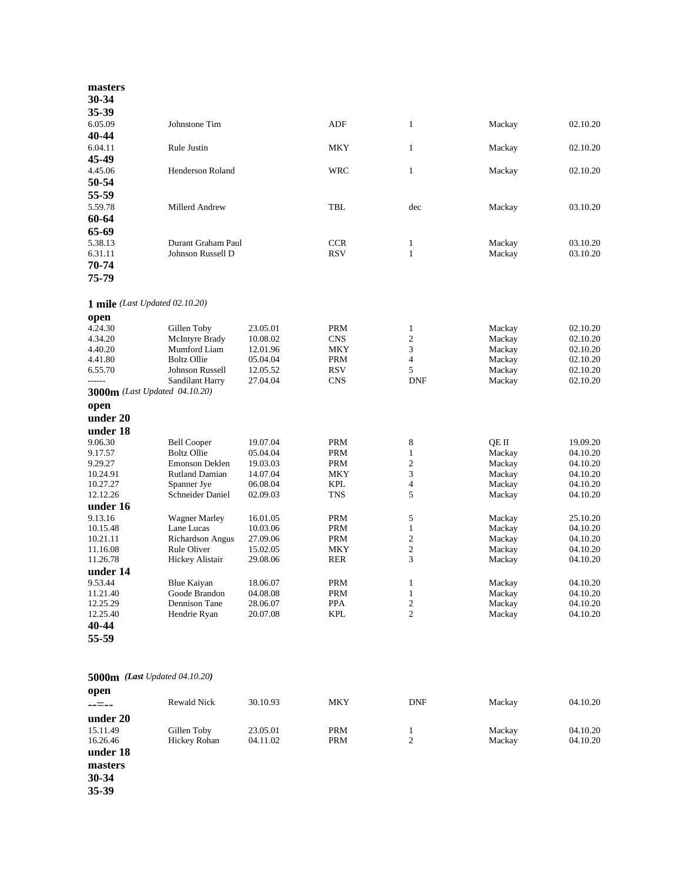| masters                                 |                                          |                      |                          |                   |                  |                      |
|-----------------------------------------|------------------------------------------|----------------------|--------------------------|-------------------|------------------|----------------------|
| 30-34                                   |                                          |                      |                          |                   |                  |                      |
| 35-39                                   |                                          |                      |                          |                   |                  |                      |
| 6.05.09                                 | Johnstone Tim                            |                      | <b>ADF</b>               | $\mathbf{1}$      | Mackay           | 02.10.20             |
| 40-44                                   |                                          |                      |                          |                   |                  |                      |
| 6.04.11                                 | Rule Justin                              |                      | <b>MKY</b>               | $\mathbf{1}$      | Mackay           | 02.10.20             |
| 45-49                                   |                                          |                      |                          |                   |                  |                      |
| 4.45.06                                 | Henderson Roland                         |                      | WRC                      | $\mathbf{1}$      | Mackay           | 02.10.20             |
| 50-54                                   |                                          |                      |                          |                   |                  |                      |
| 55-59                                   |                                          |                      |                          |                   |                  |                      |
| 5.59.78                                 | Millerd Andrew                           |                      | TBL                      | dec               | Mackay           | 03.10.20             |
| 60-64                                   |                                          |                      |                          |                   |                  |                      |
| 65-69                                   |                                          |                      |                          |                   |                  |                      |
| 5.38.13                                 | Durant Graham Paul                       |                      | <b>CCR</b>               | $\mathbf{1}$      | Mackay           | 03.10.20             |
| 6.31.11                                 | Johnson Russell D                        |                      | <b>RSV</b>               | $\mathbf{1}$      | Mackay           | 03.10.20             |
| 70-74                                   |                                          |                      |                          |                   |                  |                      |
| 75-79                                   |                                          |                      |                          |                   |                  |                      |
| 1 mile (Last Updated 02.10.20)          |                                          |                      |                          |                   |                  |                      |
| open                                    |                                          |                      |                          |                   |                  |                      |
| 4.24.30                                 | Gillen Toby                              | 23.05.01             | <b>PRM</b>               | $\mathbf{1}$      | Mackay           | 02.10.20             |
| 4.34.20                                 | McIntyre Brady                           | 10.08.02             | <b>CNS</b>               | $\sqrt{2}$        | Mackay           | 02.10.20             |
| 4.40.20                                 | Mumford Liam                             | 12.01.96             | MKY                      | 3                 | Mackay           | 02.10.20             |
| 4.41.80                                 | <b>Boltz Ollie</b>                       | 05.04.04             | <b>PRM</b>               | $\overline{4}$    | Mackay           | 02.10.20             |
| 6.55.70                                 | <b>Johnson Russell</b>                   | 12.05.52             | <b>RSV</b>               | 5                 | Mackay           | 02.10.20             |
| ------<br>3000m (Last Updated 04.10.20) | <b>Sandilant Harry</b>                   | 27.04.04             | <b>CNS</b>               | <b>DNF</b>        | Mackay           | 02.10.20             |
|                                         |                                          |                      |                          |                   |                  |                      |
| open<br>under 20                        |                                          |                      |                          |                   |                  |                      |
|                                         |                                          |                      |                          |                   |                  |                      |
| under 18                                |                                          |                      |                          |                   |                  |                      |
| 9.06.30<br>9.17.57                      | <b>Bell Cooper</b><br><b>Boltz Ollie</b> | 19.07.04<br>05.04.04 | <b>PRM</b><br><b>PRM</b> | 8<br>1            | QE II<br>Mackay  | 19.09.20<br>04.10.20 |
| 9.29.27                                 | Emonson Deklen                           | 19.03.03             | <b>PRM</b>               | $\sqrt{2}$        | Mackay           | 04.10.20             |
| 10.24.91                                | <b>Rutland Damian</b>                    | 14.07.04             | <b>MKY</b>               | 3                 | Mackay           | 04.10.20             |
| 10.27.27                                | Spanner Jye                              | 06.08.04             | <b>KPL</b>               | $\overline{4}$    | Mackay           | 04.10.20             |
| 12.12.26                                | Schneider Daniel                         | 02.09.03             | <b>TNS</b>               | 5                 | Mackay           | 04.10.20             |
| under 16                                |                                          |                      |                          |                   |                  |                      |
| 9.13.16                                 | <b>Wagner Marley</b>                     | 16.01.05             | <b>PRM</b>               | 5                 | Mackay           | 25.10.20             |
| 10.15.48                                | Lane Lucas                               | 10.03.06             | <b>PRM</b>               | 1                 | Mackay           | 04.10.20             |
| 10.21.11                                | Richardson Angus                         | 27.09.06             | <b>PRM</b>               | $\sqrt{2}$        | Mackay           | 04.10.20             |
| 11.16.08                                | Rule Oliver                              | 15.02.05             | MKY                      | $\overline{c}$    | Mackay           | 04.10.20             |
| 11.26.78                                | Hickey Alistair                          | 29.08.06             | <b>RER</b>               | 3                 | Mackay           | 04.10.20             |
| under 14                                |                                          |                      |                          |                   |                  |                      |
| 9.53.44<br>11.21.40                     | <b>Blue Kaiyan</b><br>Goode Brandon      | 18.06.07<br>04.08.08 | PRM<br>PRM               | 1<br>$\mathbf{1}$ | Mackay<br>Mackay | 04.10.20<br>04.10.20 |
| 12.25.29                                | Dennison Tane                            | 28.06.07             | <b>PPA</b>               | 2                 | Mackay           | 04.10.20             |
| 12.25.40                                | Hendrie Ryan                             | 20.07.08             | <b>KPL</b>               | $\overline{2}$    | Mackay           | 04.10.20             |
| 40-44                                   |                                          |                      |                          |                   |                  |                      |
| 55-59                                   |                                          |                      |                          |                   |                  |                      |
|                                         |                                          |                      |                          |                   |                  |                      |
| <b>5000m</b> (Last Updated 04.10.20)    |                                          |                      |                          |                   |                  |                      |
| open                                    |                                          |                      |                          |                   |                  |                      |
| --=--                                   | Rewald Nick                              | 30.10.93             | MKY                      | <b>DNF</b>        | Mackay           | 04.10.20             |
| under 20                                |                                          |                      |                          |                   |                  |                      |
| 15.11.49                                | Gillen Toby                              | 23.05.01             | <b>PRM</b>               | 1                 | Mackay           | 04.10.20             |
| 16.26.46                                | Hickey Rohan                             | 04.11.02             | PRM                      | $\boldsymbol{2}$  | Mackay           | 04.10.20             |
| under 18                                |                                          |                      |                          |                   |                  |                      |

**masters**

**30 -34**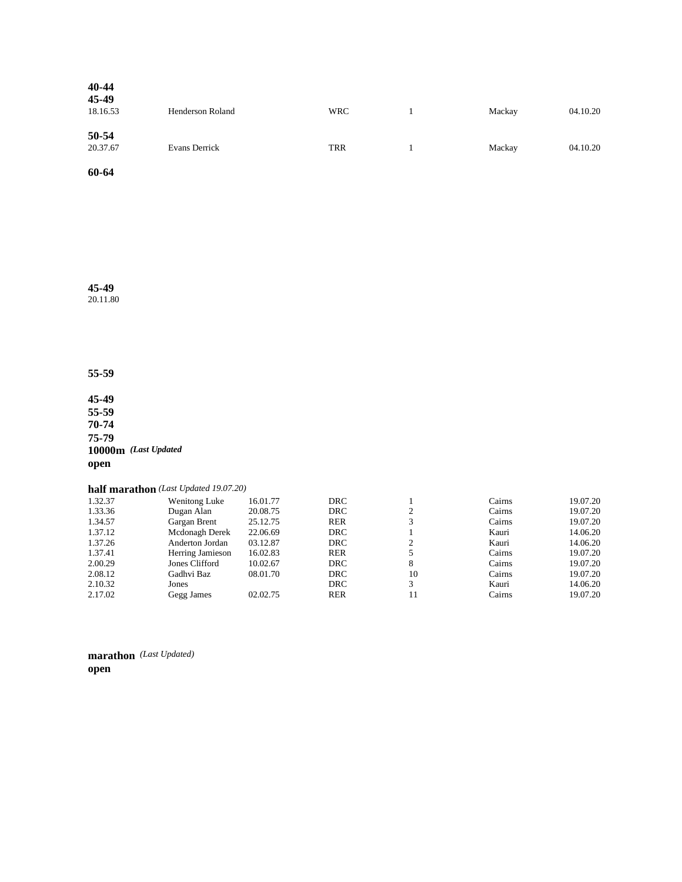| 40-44<br>45-49<br>18.16.53 | Henderson Roland | <b>WRC</b> | Mackay | 04.10.20 |
|----------------------------|------------------|------------|--------|----------|
| 50-54<br>20.37.67          | Evans Derrick    | <b>TRR</b> | Mackay | 04.10.20 |

**45-49**

20.11.80

**55-59**

**45-49 55-59 70-74 75-79 10000m** *(Last Updated*  **open**

|         | half marathon (Last Updated 19.07.20) |          |            |    |        |          |
|---------|---------------------------------------|----------|------------|----|--------|----------|
| 1.32.37 | <b>Wenitong Luke</b>                  | 16.01.77 | DRC        |    | Cairns | 19.07.20 |
| 1.33.36 | Dugan Alan                            | 20.08.75 | <b>DRC</b> | ↑  | Cairns | 19.07.20 |
| 1.34.57 | Gargan Brent                          | 25.12.75 | <b>RER</b> | 3  | Cairns | 19.07.20 |
| 1.37.12 | Mcdonagh Derek                        | 22.06.69 | <b>DRC</b> |    | Kauri  | 14.06.20 |
| 1.37.26 | Anderton Jordan                       | 03.12.87 | <b>DRC</b> |    | Kauri  | 14.06.20 |
| 1.37.41 | Herring Jamieson                      | 16.02.83 | <b>RER</b> |    | Cairns | 19.07.20 |
| 2.00.29 | Jones Clifford                        | 10.02.67 | <b>DRC</b> | 8  | Cairns | 19.07.20 |
| 2.08.12 | Gadhvi Baz                            | 08.01.70 | DRC        | 10 | Cairns | 19.07.20 |
| 2.10.32 | Jones                                 |          | <b>DRC</b> | 3  | Kauri  | 14.06.20 |
| 2.17.02 | Gegg James                            | 02.02.75 | <b>RER</b> | 11 | Cairns | 19.07.20 |

**marathon** *(Last Updated)*  **open**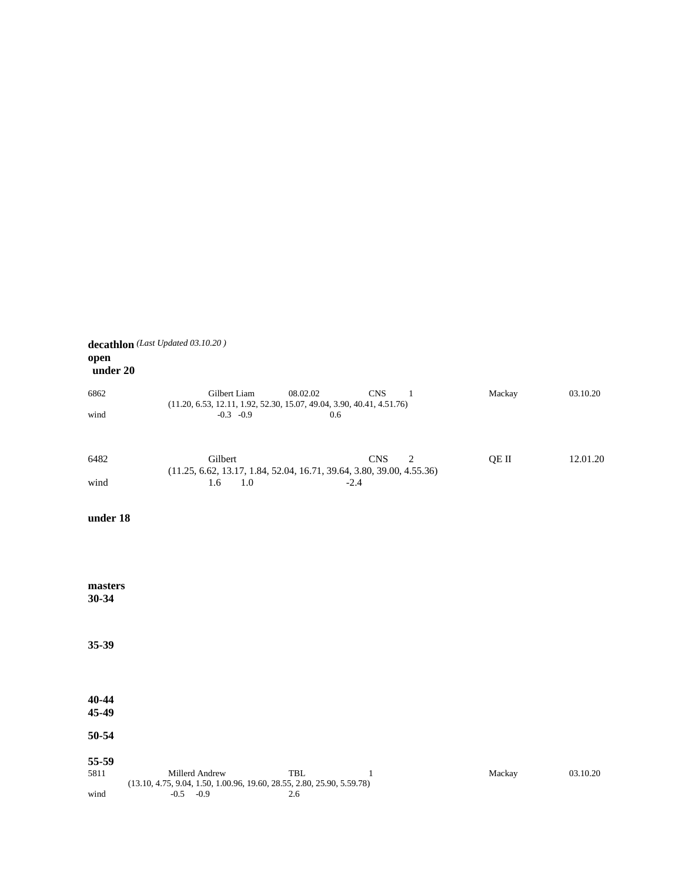| open<br>under 20 | decathlon (Last Updated 03.10.20)                                                                                              |        |          |
|------------------|--------------------------------------------------------------------------------------------------------------------------------|--------|----------|
| 6862             | 08.02.02<br>Gilbert Liam<br><b>CNS</b><br>-1<br>$(11.20, 6.53, 12.11, 1.92, 52.30, 15.07, 49.04, 3.90, 40.41, 4.51.76)$        | Mackay | 03.10.20 |
| wind             | $-0.3 -0.9$<br>0.6                                                                                                             |        |          |
| 6482             | Gilbert<br><b>CNS</b><br>$\overline{2}$<br>$(11.25, 6.62, 13.17, 1.84, 52.04, 16.71, 39.64, 3.80, 39.00, 4.55.36)$             | QE II  | 12.01.20 |
| wind             | 1.6<br>1.0<br>$-2.4$                                                                                                           |        |          |
| under 18         |                                                                                                                                |        |          |
|                  |                                                                                                                                |        |          |
| masters<br>30-34 |                                                                                                                                |        |          |
| 35-39            |                                                                                                                                |        |          |
| 40-44<br>45-49   |                                                                                                                                |        |          |
| 50-54            |                                                                                                                                |        |          |
| 55-59            |                                                                                                                                |        |          |
| 5811             | Millerd Andrew<br>$\ensuremath{\mathsf{TBL}}$<br>1<br>$(13.10, 4.75, 9.04, 1.50, 1.00.96, 19.60, 28.55, 2.80, 25.90, 5.59.78)$ | Mackay | 03.10.20 |
| wind             | $-0.5 - 0.9$<br>2.6                                                                                                            |        |          |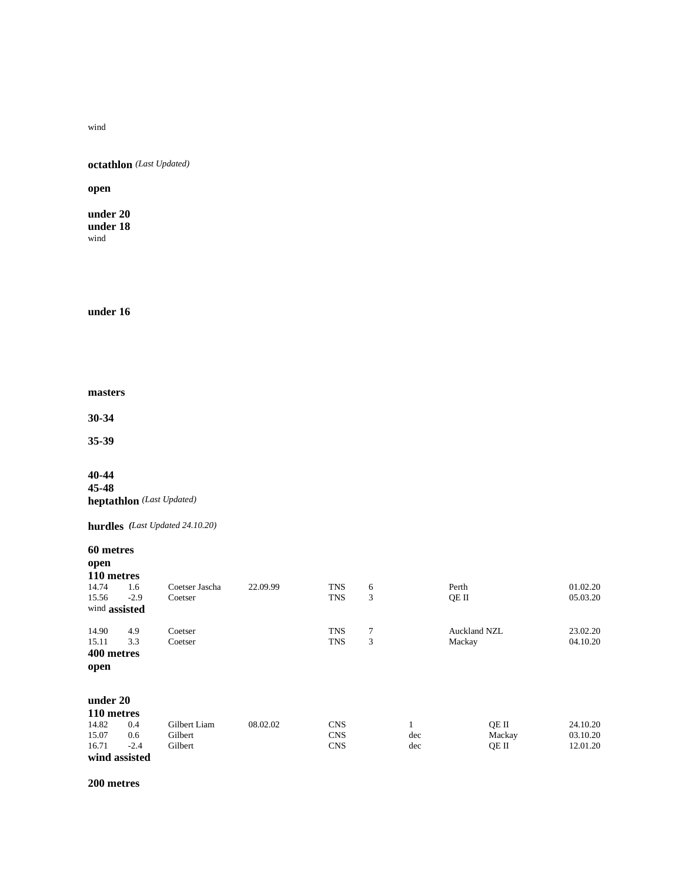wind

**octathlon** *(Last Updated)*

**open**

**under 20 under 18** wind

**under 16**

**masters**

**30-34**

**35-39**

**40-44 45-48 heptathlon** *(Last Updated)*

**hurdles** *(Last Updated 24.10.20)*

**60 metres**

| open          |               |                |          |            |   |     |                     |          |
|---------------|---------------|----------------|----------|------------|---|-----|---------------------|----------|
| 110 metres    |               |                |          |            |   |     |                     |          |
| 14.74         | 1.6           | Coetser Jascha | 22.09.99 | <b>TNS</b> | 6 |     | Perth               | 01.02.20 |
| 15.56         | $-2.9$        | Coetser        |          | <b>TNS</b> | 3 |     | OE II               | 05.03.20 |
| wind assisted |               |                |          |            |   |     |                     |          |
| 14.90         | 4.9           | Coetser        |          | <b>TNS</b> | 7 |     | <b>Auckland NZL</b> | 23.02.20 |
| 15.11         | 3.3           | Coetser        |          | <b>TNS</b> | 3 |     | Mackay              | 04.10.20 |
| 400 metres    |               |                |          |            |   |     |                     |          |
| open          |               |                |          |            |   |     |                     |          |
| under 20      |               |                |          |            |   |     |                     |          |
| 110 metres    |               |                |          |            |   |     |                     |          |
| 14.82         | 0.4           | Gilbert Liam   | 08.02.02 | <b>CNS</b> |   |     | QE II               | 24.10.20 |
| 15.07         | 0.6           | Gilbert        |          | <b>CNS</b> |   | dec | Mackay              | 03.10.20 |
| 16.71         | $-2.4$        | Gilbert        |          | <b>CNS</b> |   | dec | QE II               | 12.01.20 |
|               | wind assisted |                |          |            |   |     |                     |          |

**200 metres**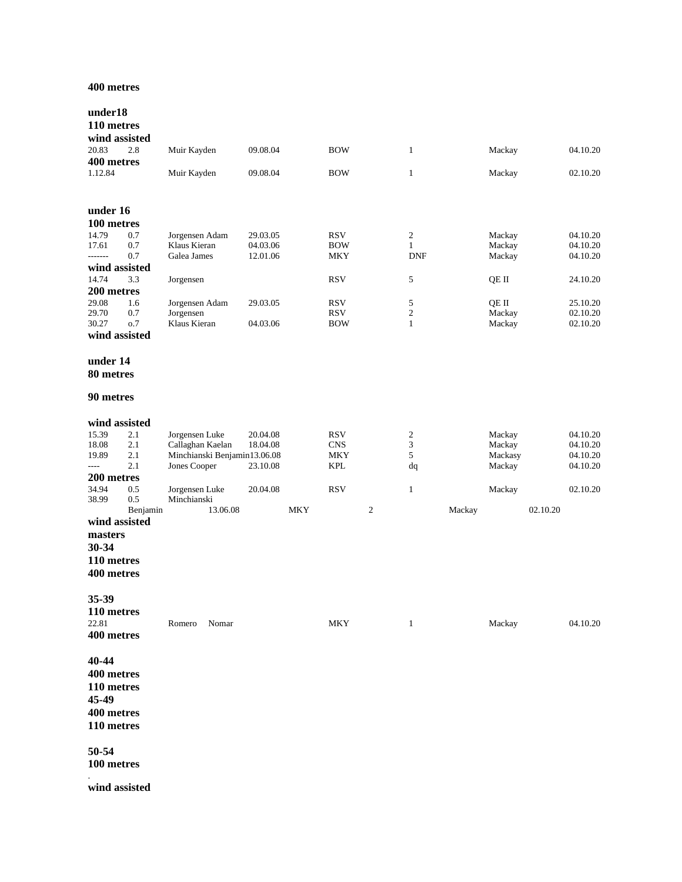## **400 metres**

| under18<br>110 metres<br>wind assisted                        |                        |                                           |          |            |                   |   |                 |        |                 |          |                      |
|---------------------------------------------------------------|------------------------|-------------------------------------------|----------|------------|-------------------|---|-----------------|--------|-----------------|----------|----------------------|
| 20.83                                                         | 2.8                    | Muir Kayden                               | 09.08.04 |            | <b>BOW</b>        |   | $\mathbf{1}$    |        | Mackay          |          | 04.10.20             |
| 400 metres<br>1.12.84                                         |                        | Muir Kayden                               | 09.08.04 |            | <b>BOW</b>        |   | $\mathbf{1}$    |        | Mackay          |          | 02.10.20             |
| under 16                                                      |                        |                                           |          |            |                   |   |                 |        |                 |          |                      |
| 100 metres                                                    |                        |                                           |          |            |                   |   |                 |        |                 |          |                      |
| 14.79                                                         | 0.7                    | Jorgensen Adam                            | 29.03.05 |            | <b>RSV</b>        |   | $\overline{c}$  |        | Mackay          |          | 04.10.20             |
| 17.61                                                         | 0.7                    | Klaus Kieran                              | 04.03.06 |            | <b>BOW</b>        |   | $\mathbf{1}$    |        | Mackay          |          | 04.10.20             |
| -------                                                       | 0.7                    | Galea James                               | 12.01.06 |            | MKY               |   | <b>DNF</b>      |        | Mackay          |          | 04.10.20             |
| wind assisted                                                 |                        |                                           |          |            |                   |   |                 |        |                 |          |                      |
| 14.74                                                         | 3.3                    | Jorgensen                                 |          |            | <b>RSV</b>        |   | 5               |        | QE II           |          | 24.10.20             |
| 200 metres                                                    |                        |                                           |          |            |                   |   |                 |        |                 |          |                      |
| 29.08<br>29.70                                                | 1.6<br>0.7             | Jorgensen Adam<br>Jorgensen               | 29.03.05 |            | <b>RSV</b><br>RSV |   | 5<br>$\sqrt{2}$ |        | QE II<br>Mackay |          | 25.10.20<br>02.10.20 |
| 30.27                                                         | 0.7                    | Klaus Kieran                              | 04.03.06 |            | <b>BOW</b>        |   | $\mathbf{1}$    |        | Mackay          |          | 02.10.20             |
| wind assisted                                                 |                        |                                           |          |            |                   |   |                 |        |                 |          |                      |
| under 14<br>80 metres                                         |                        |                                           |          |            |                   |   |                 |        |                 |          |                      |
| 90 metres                                                     |                        |                                           |          |            |                   |   |                 |        |                 |          |                      |
| wind assisted                                                 |                        |                                           |          |            |                   |   |                 |        |                 |          |                      |
| 15.39                                                         | 2.1                    | Jorgensen Luke                            | 20.04.08 |            | <b>RSV</b>        |   | 2               |        | Mackay          |          | 04.10.20             |
| 18.08                                                         | 2.1                    | Callaghan Kaelan                          | 18.04.08 |            | <b>CNS</b>        |   | 3               |        | Mackay          |          | 04.10.20             |
| 19.89                                                         | 2.1                    | Minchianski Benjamin13.06.08              |          |            | <b>MKY</b>        |   | 5               |        | Mackasy         |          | 04.10.20             |
| ----                                                          | 2.1                    | Jones Cooper                              | 23.10.08 |            | <b>KPL</b>        |   | dq              |        | Mackay          |          | 04.10.20             |
| 200 metres                                                    |                        |                                           |          |            |                   |   |                 |        |                 |          |                      |
| 34.94<br>38.99                                                | 0.5<br>0.5<br>Benjamin | Jorgensen Luke<br>Minchianski<br>13.06.08 | 20.04.08 | <b>MKY</b> | <b>RSV</b>        | 2 | $\mathbf{1}$    | Mackay | Mackay          | 02.10.20 | 02.10.20             |
| wind assisted<br>masters<br>30-34<br>110 metres<br>400 metres |                        |                                           |          |            |                   |   |                 |        |                 |          |                      |
| 35-39<br>110 metres                                           |                        |                                           |          |            |                   |   |                 |        |                 |          |                      |
| 22.81<br>400 metres                                           |                        | Nomar<br>Romero                           |          |            | <b>MKY</b>        |   | $\mathbf{1}$    |        | Mackay          |          | 04.10.20             |
| 40-44<br>400 metres<br>110 metres<br>45-49<br>400 metres      |                        |                                           |          |            |                   |   |                 |        |                 |          |                      |
| 110 metres                                                    |                        |                                           |          |            |                   |   |                 |        |                 |          |                      |
| 50-54                                                         |                        |                                           |          |            |                   |   |                 |        |                 |          |                      |

**100 metres**

.

**wind assisted**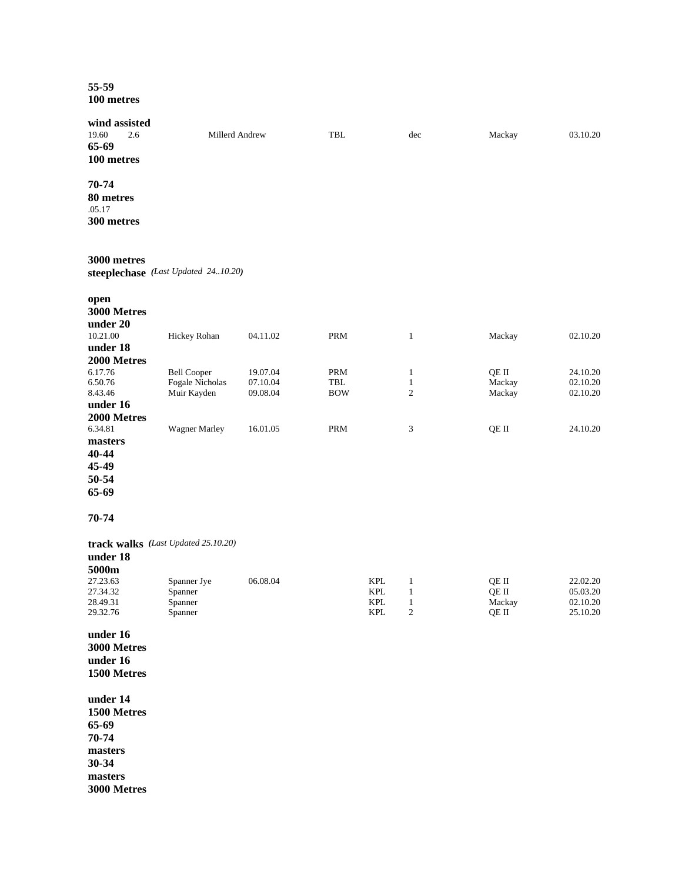## **55-59 100 metres**

| wind assisted<br>19.60<br>2.6<br>65-69<br>100 metres                                                     | Millerd Andrew                                       |                                  | <b>TBL</b>                                       |                                               | dec                                               | Mackay                            | 03.10.20                                     |
|----------------------------------------------------------------------------------------------------------|------------------------------------------------------|----------------------------------|--------------------------------------------------|-----------------------------------------------|---------------------------------------------------|-----------------------------------|----------------------------------------------|
| 70-74<br>80 metres<br>.05.17<br>300 metres                                                               |                                                      |                                  |                                                  |                                               |                                                   |                                   |                                              |
| 3000 metres                                                                                              | steeplechase (Last Updated 2410.20)                  |                                  |                                                  |                                               |                                                   |                                   |                                              |
| open<br>3000 Metres<br>under 20                                                                          |                                                      |                                  |                                                  |                                               |                                                   |                                   |                                              |
| 10.21.00<br>under 18                                                                                     | Hickey Rohan                                         | 04.11.02                         | PRM                                              |                                               | $\mathbf{1}$                                      | Mackay                            | 02.10.20                                     |
| 2000 Metres<br>6.17.76<br>6.50.76<br>8.43.46<br>under 16<br>2000 Metres                                  | <b>Bell Cooper</b><br>Fogale Nicholas<br>Muir Kayden | 19.07.04<br>07.10.04<br>09.08.04 | PRM<br>$\ensuremath{\mathsf{TBL}}$<br><b>BOW</b> |                                               | $\mathbf{1}$<br>$\mathbf{1}$<br>$\mathfrak{2}$    | QE II<br>Mackay<br>Mackay         | 24.10.20<br>02.10.20<br>02.10.20             |
| 6.34.81<br>masters<br>40-44<br>45-49<br>50-54<br>65-69                                                   | <b>Wagner Marley</b>                                 | 16.01.05                         | PRM                                              |                                               | 3                                                 | QE II                             | 24.10.20                                     |
| 70-74                                                                                                    |                                                      |                                  |                                                  |                                               |                                                   |                                   |                                              |
| track walks (Last Updated 25.10.20)<br>under 18<br>5000m<br>27.23.63<br>27.34.32<br>28.49.31<br>29.32.76 | Spanner Jye<br>Spanner<br>Spanner<br>Spanner         | 06.08.04                         |                                                  | <b>KPL</b><br><b>KPL</b><br><b>KPL</b><br>KPL | $\mathbf{1}$<br>$\mathbf{1}$<br>$\mathbf{1}$<br>2 | QE II<br>QE II<br>Mackay<br>QE II | 22.02.20<br>05.03.20<br>02.10.20<br>25.10.20 |
| under 16<br>3000 Metres<br>under 16<br>1500 Metres                                                       |                                                      |                                  |                                                  |                                               |                                                   |                                   |                                              |
| under 14<br>1500 Metres<br>65-69<br>70-74<br>masters<br>30-34<br>masters<br>3000 Metres                  |                                                      |                                  |                                                  |                                               |                                                   |                                   |                                              |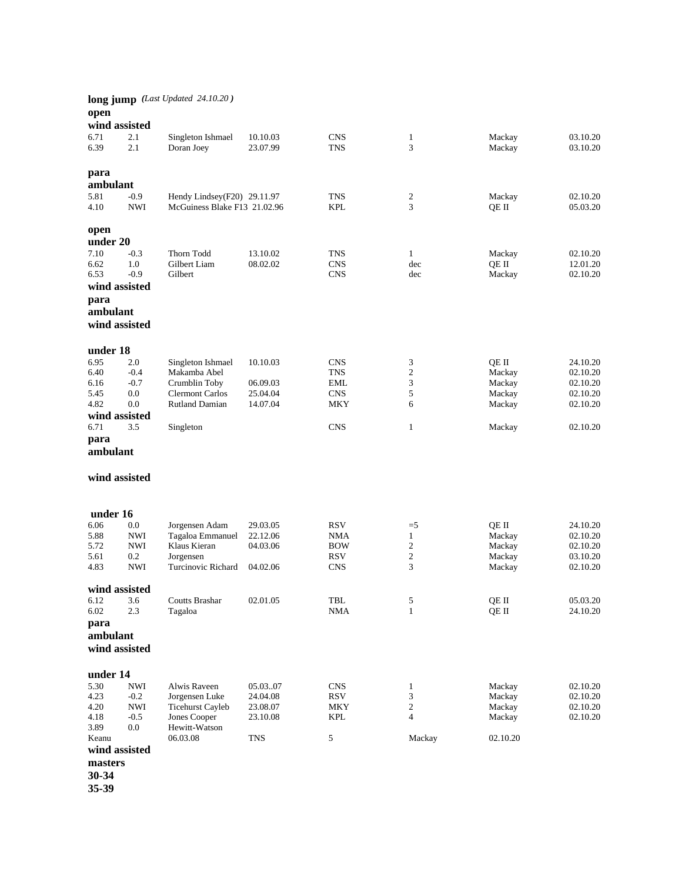| open                              |                      | long jump (Last Updated 24.10.20)                           |                      |                          |                   |                  |                      |
|-----------------------------------|----------------------|-------------------------------------------------------------|----------------------|--------------------------|-------------------|------------------|----------------------|
| wind assisted                     |                      |                                                             |                      |                          |                   |                  |                      |
| 6.71<br>6.39                      | 2.1<br>2.1           | Singleton Ishmael<br>Doran Joey                             | 10.10.03<br>23.07.99 | <b>CNS</b><br><b>TNS</b> | $\mathbf{1}$<br>3 | Mackay<br>Mackay | 03.10.20<br>03.10.20 |
| para<br>ambulant                  |                      |                                                             |                      |                          |                   |                  |                      |
| 5.81<br>4.10                      | $-0.9$<br><b>NWI</b> | Hendy Lindsey(F20) 29.11.97<br>McGuiness Blake F13 21.02.96 |                      | <b>TNS</b><br><b>KPL</b> | 2<br>3            | Mackay<br>QE II  | 02.10.20<br>05.03.20 |
| open<br>under 20                  |                      |                                                             |                      |                          |                   |                  |                      |
| 7.10                              | $-0.3$               | Thorn Todd                                                  | 13.10.02             | <b>TNS</b>               | $\mathbf{1}$      | Mackay           | 02.10.20             |
| 6.62                              | 1.0                  | Gilbert Liam                                                | 08.02.02             | <b>CNS</b>               | dec               | QE II            | 12.01.20             |
| 6.53                              | $-0.9$               | Gilbert                                                     |                      | <b>CNS</b>               | dec               | Mackay           | 02.10.20             |
| wind assisted                     |                      |                                                             |                      |                          |                   |                  |                      |
| para<br>ambulant<br>wind assisted |                      |                                                             |                      |                          |                   |                  |                      |
| under 18                          |                      |                                                             |                      |                          |                   |                  |                      |
| 6.95                              | 2.0                  | Singleton Ishmael                                           | 10.10.03             | <b>CNS</b>               | 3                 | QE II            | 24.10.20             |
| 6.40                              | $-0.4$               | Makamba Abel                                                |                      | TNS                      | $\mathbf{2}$      | Mackay           | 02.10.20             |
| 6.16                              | $-0.7$               | Crumblin Toby                                               | 06.09.03             | EML                      | 3                 | Mackay           | 02.10.20             |
| 5.45                              | 0.0                  | <b>Clermont Carlos</b>                                      | 25.04.04             | <b>CNS</b>               | 5                 | Mackay           | 02.10.20             |
| 4.82                              | 0.0                  | <b>Rutland Damian</b>                                       | 14.07.04             | <b>MKY</b>               | 6                 | Mackay           | 02.10.20             |
| wind assisted                     |                      |                                                             |                      |                          |                   |                  |                      |
| 6.71<br>para<br>ambulant          | 3.5                  | Singleton                                                   |                      | <b>CNS</b>               | $\mathbf{1}$      | Mackay           | 02.10.20             |
| wind assisted                     |                      |                                                             |                      |                          |                   |                  |                      |
| under 16                          |                      |                                                             |                      |                          |                   |                  |                      |
| 6.06                              | $0.0\,$              | Jorgensen Adam                                              | 29.03.05             | <b>RSV</b>               | $=$ 5             | QE II            | 24.10.20             |
| 5.88                              | <b>NWI</b>           | Tagaloa Emmanuel                                            | 22.12.06             | <b>NMA</b>               | $\mathbf{1}$      | Mackay           | 02.10.20             |
| 5.72                              | <b>NWI</b>           | Klaus Kieran                                                | 04.03.06             | <b>BOW</b>               | $\overline{c}$    | Mackay           | 02.10.20             |
| 5.61                              | 0.2                  | Jorgensen                                                   |                      | RSV                      | $\overline{c}$    | Mackay           | 03.10.20             |
| 4.83                              | <b>NWI</b>           | Turcinovic Richard                                          | 04.02.06             | <b>CNS</b>               | 3                 | Mackay           | 02.10.20             |
| wind assisted                     |                      |                                                             |                      |                          |                   |                  |                      |
| 6.12                              | 3.6                  | Coutts Brashar                                              | 02.01.05             | TBL                      | 5                 | QE II            | 05.03.20             |
| 6.02<br>para<br>ambulant          | 2.3                  | Tagaloa                                                     |                      | <b>NMA</b>               | $\mathbf{1}$      | QE II            | 24.10.20             |
| wind assisted                     |                      |                                                             |                      |                          |                   |                  |                      |
| under 14<br>5.30                  | <b>NWI</b>           | Alwis Raveen                                                | 05.03.07             | <b>CNS</b>               | $\mathbf{1}$      | Mackay           | 02.10.20             |
| 4.23                              | $-0.2$               | Jorgensen Luke                                              | 24.04.08             | <b>RSV</b>               | 3                 | Mackay           | 02.10.20             |
| 4.20                              | <b>NWI</b>           | <b>Ticehurst Cayleb</b>                                     | 23.08.07             | MKY                      | $\overline{c}$    | Mackay           | 02.10.20             |
| 4.18                              | $-0.5$               | Jones Cooper                                                | 23.10.08             | KPL                      | $\overline{4}$    | Mackay           | 02.10.20             |
| 3.89                              | 0.0                  | Hewitt-Watson                                               |                      |                          |                   |                  |                      |
| Keanu<br>wind assisted            |                      | 06.03.08                                                    | <b>TNS</b>           | 5                        | Mackay            | 02.10.20         |                      |
|                                   |                      |                                                             |                      |                          |                   |                  |                      |
| masters<br>30-34                  |                      |                                                             |                      |                          |                   |                  |                      |
| 35-39                             |                      |                                                             |                      |                          |                   |                  |                      |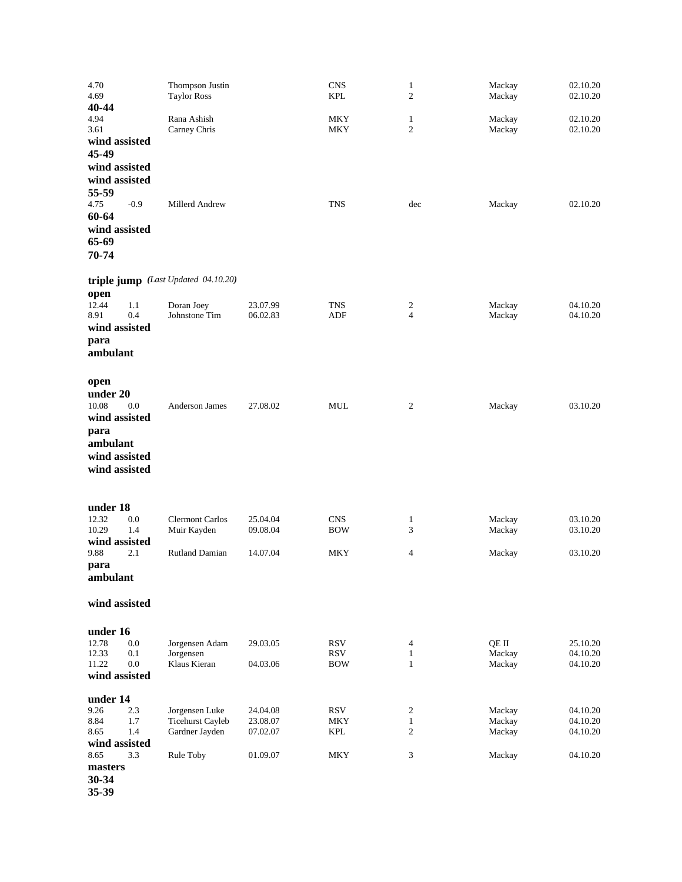| 4.70<br>4.69<br>40-44                                                                                   | Thompson Justin<br><b>Taylor Ross</b>                       |                                  | <b>CNS</b><br><b>KPL</b>                                | $\mathbf{1}$<br>$\mathfrak{2}$    | Mackay<br>Mackay           | 02.10.20<br>02.10.20             |
|---------------------------------------------------------------------------------------------------------|-------------------------------------------------------------|----------------------------------|---------------------------------------------------------|-----------------------------------|----------------------------|----------------------------------|
| 4.94<br>3.61<br>wind assisted<br>45-49<br>wind assisted<br>wind assisted<br>55-59                       | Rana Ashish<br>Carney Chris                                 |                                  | <b>MKY</b><br>MKY                                       | 1<br>2                            | Mackay<br>Mackay           | 02.10.20<br>02.10.20             |
| 4.75<br>$-0.9$<br>60-64<br>wind assisted<br>65-69<br>70-74                                              | Millerd Andrew                                              |                                  | <b>TNS</b>                                              | dec                               | Mackay                     | 02.10.20                         |
|                                                                                                         | triple jump (Last Updated 04.10.20)                         |                                  |                                                         |                                   |                            |                                  |
| open<br>12.44<br>1.1<br>0.4<br>8.91<br>wind assisted<br>para<br>ambulant                                | Doran Joey<br>Johnstone Tim                                 | 23.07.99<br>06.02.83             | <b>TNS</b><br>ADF                                       | 2<br>4                            | Mackay<br>Mackay           | 04.10.20<br>04.10.20             |
| open<br>under 20<br>10.08<br>0.0<br>wind assisted<br>para<br>ambulant<br>wind assisted<br>wind assisted | Anderson James                                              | 27.08.02                         | <b>MUL</b>                                              | 2                                 | Mackay                     | 03.10.20                         |
| under 18                                                                                                |                                                             |                                  |                                                         |                                   |                            |                                  |
| 12.32<br>0.0<br>10.29<br>1.4<br>wind assisted                                                           | <b>Clermont Carlos</b><br>Muir Kayden                       | 25.04.04<br>09.08.04             | <b>CNS</b><br><b>BOW</b>                                | 1<br>3                            | Mackay<br>Mackay           | 03.10.20<br>03.10.20             |
| 9.88<br>2.1<br>para<br>ambulant                                                                         | <b>Rutland Damian</b>                                       | 14.07.04                         | MKY                                                     | 4                                 | Mackay                     | 03.10.20                         |
| wind assisted                                                                                           |                                                             |                                  |                                                         |                                   |                            |                                  |
| under 16<br>12.78<br>$0.0\,$<br>12.33<br>0.1<br>$0.0\,$<br>11.22<br>wind assisted                       | Jorgensen Adam<br>Jorgensen<br>Klaus Kieran                 | 29.03.05<br>04.03.06             | $\mathop{\rm RSV}\nolimits$<br><b>RSV</b><br><b>BOW</b> | 4<br>$\mathbf{1}$<br>$\mathbf{1}$ | QE II<br>Mackay<br>Mackay  | 25.10.20<br>04.10.20<br>04.10.20 |
| under 14                                                                                                |                                                             |                                  |                                                         |                                   |                            |                                  |
| 9.26<br>$2.3\,$<br>8.84<br>1.7<br>1.4<br>8.65<br>wind assisted                                          | Jorgensen Luke<br><b>Ticehurst Cayleb</b><br>Gardner Jayden | 24.04.08<br>23.08.07<br>07.02.07 | <b>RSV</b><br>MKY<br>KPL                                | 2<br>$\mathbf{1}$<br>2            | Mackay<br>Mackay<br>Mackay | 04.10.20<br>04.10.20<br>04.10.20 |
| 8.65<br>3.3<br>masters<br>30-34                                                                         | Rule Toby                                                   | 01.09.07                         | <b>MKY</b>                                              | 3                                 | Mackay                     | 04.10.20                         |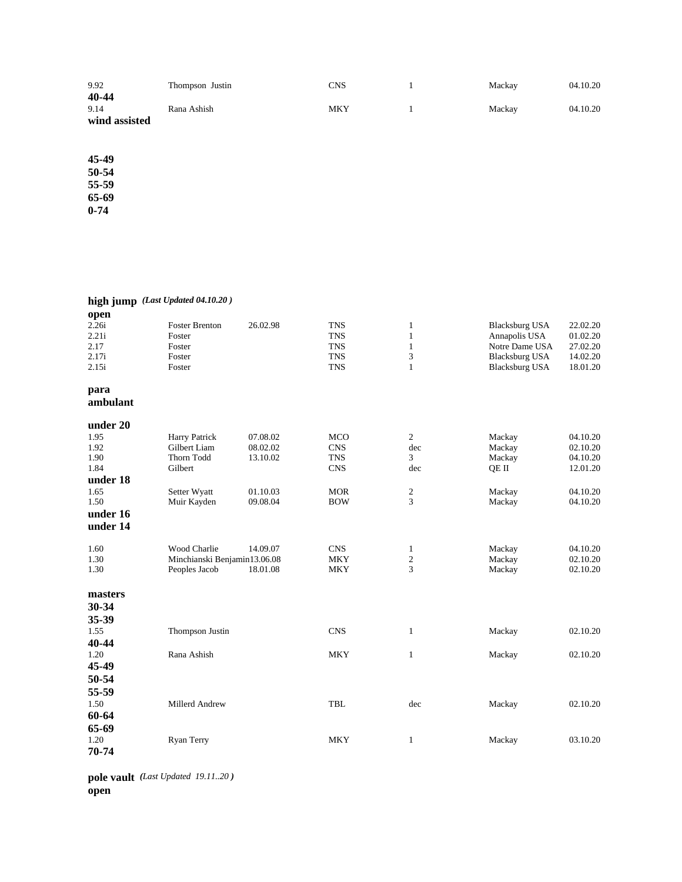| 9.92<br>40-44         | Thompson Justin | CNS | Mackay | 04.10.20 |
|-----------------------|-----------------|-----|--------|----------|
| 9.14<br>wind assisted | Rana Ashish     | MKY | Mackay | 04.10.20 |

**45-49 50-54 55-59 65-69 0-74**

|                  | high jump (Last Updated 04.10.20) |          |            |                  |                       |          |
|------------------|-----------------------------------|----------|------------|------------------|-----------------------|----------|
| open             |                                   |          |            |                  |                       |          |
| 2.26i            | <b>Foster Brenton</b>             | 26.02.98 | <b>TNS</b> | $\mathbf{1}$     | <b>Blacksburg USA</b> | 22.02.20 |
| 2.21i            | Foster                            |          | <b>TNS</b> | 1                | Annapolis USA         | 01.02.20 |
| 2.17             | Foster                            |          | <b>TNS</b> | $\mathbf{1}$     | Notre Dame USA        | 27.02.20 |
| 2.17i            | Foster                            |          | <b>TNS</b> | 3                | <b>Blacksburg USA</b> | 14.02.20 |
| 2.15i            | Foster                            |          | <b>TNS</b> | $\mathbf{1}$     | <b>Blacksburg USA</b> | 18.01.20 |
| para<br>ambulant |                                   |          |            |                  |                       |          |
| under 20         |                                   |          |            |                  |                       |          |
| 1.95             |                                   | 07.08.02 | <b>MCO</b> | 2                |                       | 04.10.20 |
| 1.92             | Harry Patrick<br>Gilbert Liam     | 08.02.02 | <b>CNS</b> | dec              | Mackay<br>Mackay      | 02.10.20 |
| 1.90             | Thorn Todd                        | 13.10.02 | <b>TNS</b> | 3                | Mackay                | 04.10.20 |
| 1.84             | Gilbert                           |          | <b>CNS</b> | dec              | QE II                 | 12.01.20 |
| under 18         |                                   |          |            |                  |                       |          |
| 1.65             | Setter Wyatt                      | 01.10.03 | <b>MOR</b> | $\boldsymbol{2}$ | Mackay                | 04.10.20 |
| 1.50             | Muir Kayden                       | 09.08.04 | <b>BOW</b> | 3                | Mackay                | 04.10.20 |
| under 16         |                                   |          |            |                  |                       |          |
| under 14         |                                   |          |            |                  |                       |          |
| 1.60             | <b>Wood Charlie</b>               | 14.09.07 | <b>CNS</b> | $\mathbf{1}$     | Mackay                | 04.10.20 |
| 1.30             | Minchianski Benjamin13.06.08      |          | <b>MKY</b> | $\overline{2}$   | Mackay                | 02.10.20 |
| 1.30             | Peoples Jacob                     | 18.01.08 | <b>MKY</b> | 3                | Mackay                | 02.10.20 |
| masters          |                                   |          |            |                  |                       |          |
| 30-34            |                                   |          |            |                  |                       |          |
| 35-39            |                                   |          |            |                  |                       |          |
| 1.55             | Thompson Justin                   |          | <b>CNS</b> | $\mathbf{1}$     | Mackay                | 02.10.20 |
| 40-44            |                                   |          |            |                  |                       |          |
| 1.20             | Rana Ashish                       |          | <b>MKY</b> | $\mathbf{1}$     | Mackay                | 02.10.20 |
| 45-49            |                                   |          |            |                  |                       |          |
| 50-54            |                                   |          |            |                  |                       |          |
| 55-59            |                                   |          |            |                  |                       |          |
|                  |                                   |          |            |                  |                       |          |
| 1.50             | Millerd Andrew                    |          | <b>TBL</b> | dec              | Mackay                | 02.10.20 |
| 60-64            |                                   |          |            |                  |                       |          |
| 65-69            |                                   |          |            |                  |                       |          |
| 1.20             | <b>Ryan Terry</b>                 |          | <b>MKY</b> | 1                | Mackay                | 03.10.20 |
| 70-74            |                                   |          |            |                  |                       |          |

**pole vault** *(Last Updated 19.11..20 )*  **open**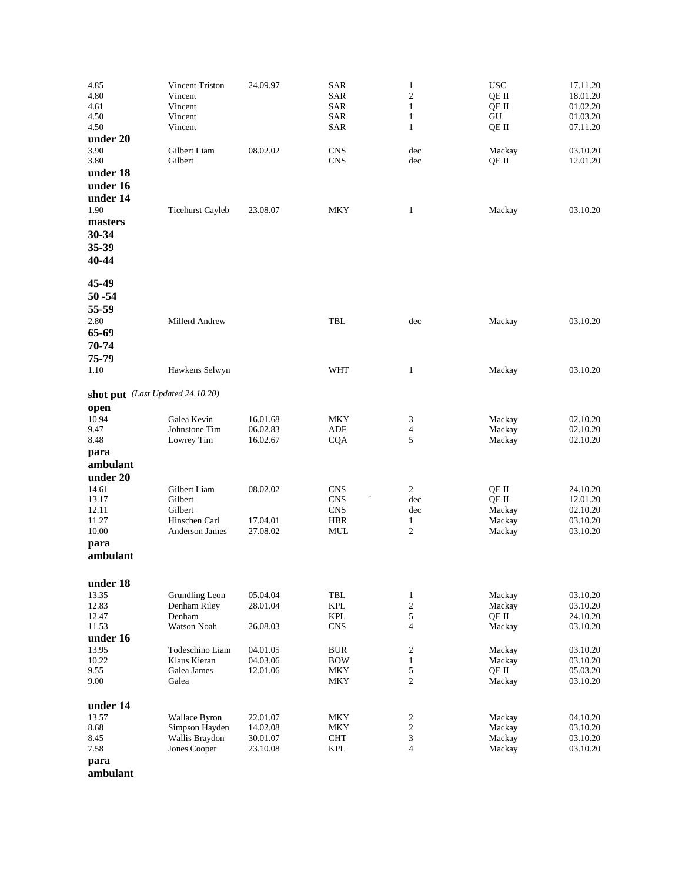| 4.85<br>4.80<br>4.61<br>4.50<br>4.50<br>under 20              | Vincent Triston<br>Vincent<br>Vincent<br>Vincent<br>Vincent           | 24.09.97                                     | <b>SAR</b><br><b>SAR</b><br><b>SAR</b><br>SAR<br>SAR  | $\mathbf{1}$<br>$\mathfrak{2}$<br>$\mathbf{1}$<br>$\mathbf{1}$<br>$\mathbf{1}$ | <b>USC</b><br>QE II<br>QE II<br>GU<br>QE II  | 17.11.20<br>18.01.20<br>01.02.20<br>01.03.20<br>07.11.20 |
|---------------------------------------------------------------|-----------------------------------------------------------------------|----------------------------------------------|-------------------------------------------------------|--------------------------------------------------------------------------------|----------------------------------------------|----------------------------------------------------------|
| 3.90<br>3.80<br>under 18<br>under 16                          | Gilbert Liam<br>Gilbert                                               | 08.02.02                                     | <b>CNS</b><br><b>CNS</b>                              | dec<br>dec                                                                     | Mackay<br>QE II                              | 03.10.20<br>12.01.20                                     |
| under 14<br>1.90<br>masters<br>30-34<br>35-39<br>40-44        | <b>Ticehurst Cayleb</b>                                               | 23.08.07                                     | <b>MKY</b>                                            | $\mathbf{1}$                                                                   | Mackay                                       | 03.10.20                                                 |
| 45-49<br>$50 - 54$<br>55-59<br>2.80<br>65-69<br>70-74         | Millerd Andrew                                                        |                                              | TBL                                                   | dec                                                                            | Mackay                                       | 03.10.20                                                 |
| 75-79<br>1.10                                                 | Hawkens Selwyn                                                        |                                              | <b>WHT</b>                                            | $\mathbf{1}$                                                                   | Mackay                                       | 03.10.20                                                 |
| shot put (Last Updated 24.10.20)                              |                                                                       |                                              |                                                       |                                                                                |                                              |                                                          |
| open<br>10.94<br>9.47<br>8.48<br>para                         | Galea Kevin<br>Johnstone Tim<br>Lowrey Tim                            | 16.01.68<br>06.02.83<br>16.02.67             | MKY<br>ADF<br><b>CQA</b>                              | 3<br>4<br>5                                                                    | Mackay<br>Mackay<br>Mackay                   | 02.10.20<br>02.10.20<br>02.10.20                         |
| ambulant<br>under 20                                          |                                                                       |                                              |                                                       |                                                                                |                                              |                                                          |
| 14.61<br>13.17<br>12.11<br>11.27<br>10.00<br>para<br>ambulant | Gilbert Liam<br>Gilbert<br>Gilbert<br>Hinschen Carl<br>Anderson James | 08.02.02<br>17.04.01<br>27.08.02             | <b>CNS</b><br><b>CNS</b><br><b>CNS</b><br>HBR<br>MUL  | 2<br>dec<br>dec<br>1<br>2                                                      | QE II<br>QE II<br>Mackay<br>Mackay<br>Mackay | 24.10.20<br>12.01.20<br>02.10.20<br>03.10.20<br>03.10.20 |
|                                                               |                                                                       |                                              |                                                       |                                                                                |                                              |                                                          |
| under 18<br>13.35<br>12.83<br>12.47<br>11.53<br>under 16      | Grundling Leon<br>Denham Riley<br>Denham<br>Watson Noah               | 05.04.04<br>28.01.04<br>26.08.03             | TBL<br>KPL<br>$\ensuremath{\text{KPL}}$<br><b>CNS</b> | $\mathbf{1}$<br>$\overline{\mathbf{c}}$<br>5<br>$\overline{4}$                 | Mackay<br>Mackay<br>QE II<br>Mackay          | 03.10.20<br>03.10.20<br>24.10.20<br>03.10.20             |
| 13.95<br>10.22<br>9.55<br>9.00                                | Todeschino Liam<br>Klaus Kieran<br>Galea James<br>Galea               | 04.01.05<br>04.03.06<br>12.01.06             | <b>BUR</b><br><b>BOW</b><br><b>MKY</b><br><b>MKY</b>  | 2<br>$\mathbf{1}$<br>5<br>$\overline{c}$                                       | Mackay<br>Mackay<br>QE II<br>Mackay          | 03.10.20<br>03.10.20<br>05.03.20<br>03.10.20             |
| under 14<br>13.57<br>8.68<br>8.45<br>7.58<br>para             | Wallace Byron<br>Simpson Hayden<br>Wallis Braydon<br>Jones Cooper     | 22.01.07<br>14.02.08<br>30.01.07<br>23.10.08 | MKY<br>MKY<br><b>CHT</b><br>KPL                       | 2<br>$\overline{\mathbf{c}}$<br>3<br>$\overline{4}$                            | Mackay<br>Mackay<br>Mackay<br>Mackay         | 04.10.20<br>03.10.20<br>03.10.20<br>03.10.20             |

**ambulant**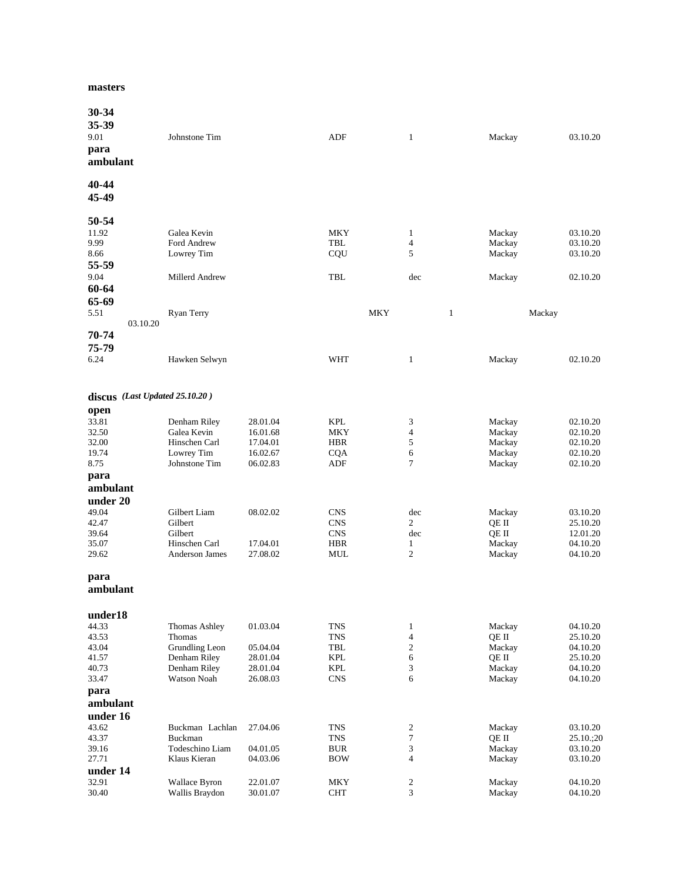#### **masters**

| 30-34<br>35-39<br>9.01<br>para<br>ambulant                        | Johnstone Tim                                                                            |                                                          | ADF                                                                       | $\mathbf{1}$                                                       | Mackay                                                 | 03.10.20                                                             |
|-------------------------------------------------------------------|------------------------------------------------------------------------------------------|----------------------------------------------------------|---------------------------------------------------------------------------|--------------------------------------------------------------------|--------------------------------------------------------|----------------------------------------------------------------------|
| 40-44<br>45-49                                                    |                                                                                          |                                                          |                                                                           |                                                                    |                                                        |                                                                      |
| 50-54<br>11.92<br>9.99<br>8.66<br>55-59<br>9.04<br>60-64          | Galea Kevin<br>Ford Andrew<br>Lowrey Tim<br>Millerd Andrew                               |                                                          | <b>MKY</b><br>TBL<br>CQU<br><b>TBL</b>                                    | $\mathbf{1}$<br>$\overline{4}$<br>5<br>dec                         | Mackay<br>Mackay<br>Mackay<br>Mackay                   | 03.10.20<br>03.10.20<br>03.10.20<br>02.10.20                         |
| 65-69<br>5.51<br>03.10.20<br>70-74                                | Ryan Terry                                                                               |                                                          | <b>MKY</b>                                                                | $\mathbf{1}$                                                       | Mackay                                                 |                                                                      |
| 75-79<br>6.24                                                     | Hawken Selwyn                                                                            |                                                          | <b>WHT</b>                                                                | $\mathbf{1}$                                                       | Mackay                                                 | 02.10.20                                                             |
| discus (Last Updated 25.10.20)                                    |                                                                                          |                                                          |                                                                           |                                                                    |                                                        |                                                                      |
| open<br>33.81<br>32.50<br>32.00<br>19.74<br>8.75<br>para          | Denham Riley<br>Galea Kevin<br>Hinschen Carl<br>Lowrey Tim<br>Johnstone Tim              | 28.01.04<br>16.01.68<br>17.04.01<br>16.02.67<br>06.02.83 | <b>KPL</b><br>MKY<br><b>HBR</b><br><b>CQA</b><br>ADF                      | 3<br>$\overline{4}$<br>5<br>6<br>$\overline{7}$                    | Mackay<br>Mackay<br>Mackay<br>Mackay<br>Mackay         | 02.10.20<br>02.10.20<br>02.10.20<br>02.10.20<br>02.10.20             |
| ambulant<br>under 20<br>49.04<br>42.47<br>39.64<br>35.07<br>29.62 | Gilbert Liam<br>Gilbert<br>Gilbert<br>Hinschen Carl<br>Anderson James                    | 08.02.02<br>17.04.01<br>27.08.02                         | <b>CNS</b><br><b>CNS</b><br><b>CNS</b><br><b>HBR</b><br>MUL               | dec<br>$\overline{2}$<br>dec<br>$\mathbf{1}$<br>$\overline{c}$     | Mackay<br>QE II<br>QE II<br>Mackay<br>Mackay           | 03.10.20<br>25.10.20<br>12.01.20<br>04.10.20<br>04.10.20             |
| para<br>ambulant                                                  |                                                                                          |                                                          |                                                                           |                                                                    |                                                        |                                                                      |
| under18<br>44.33<br>43.53<br>43.04<br>41.57<br>40.73<br>33.47     | Thomas Ashley<br>Thomas<br>Grundling Leon<br>Denham Riley<br>Denham Riley<br>Watson Noah | 01.03.04<br>05.04.04<br>28.01.04<br>28.01.04<br>26.08.03 | <b>TNS</b><br><b>TNS</b><br>TBL<br><b>KPL</b><br><b>KPL</b><br><b>CNS</b> | $\mathbf{1}$<br>$\overline{4}$<br>$\,2$<br>6<br>3<br>6             | Mackay<br>QE II<br>Mackay<br>QE II<br>Mackay<br>Mackay | 04.10.20<br>25.10.20<br>04.10.20<br>25.10.20<br>04.10.20<br>04.10.20 |
| para<br>ambulant<br>under 16<br>43.62<br>43.37<br>39.16<br>27.71  | Buckman Lachlan<br>Buckman<br>Todeschino Liam<br>Klaus Kieran                            | 27.04.06<br>04.01.05<br>04.03.06                         | <b>TNS</b><br><b>TNS</b><br><b>BUR</b><br><b>BOW</b>                      | $\overline{\mathbf{c}}$<br>$\boldsymbol{7}$<br>3<br>$\overline{4}$ | Mackay<br>QE II<br>Mackay<br>Mackay                    | 03.10.20<br>25.10.;20<br>03.10.20<br>03.10.20                        |
| under 14<br>32.91<br>30.40                                        | Wallace Byron<br>Wallis Braydon                                                          | 22.01.07<br>30.01.07                                     | <b>MKY</b><br><b>CHT</b>                                                  | $\boldsymbol{2}$<br>3                                              | Mackay<br>Mackay                                       | 04.10.20<br>04.10.20                                                 |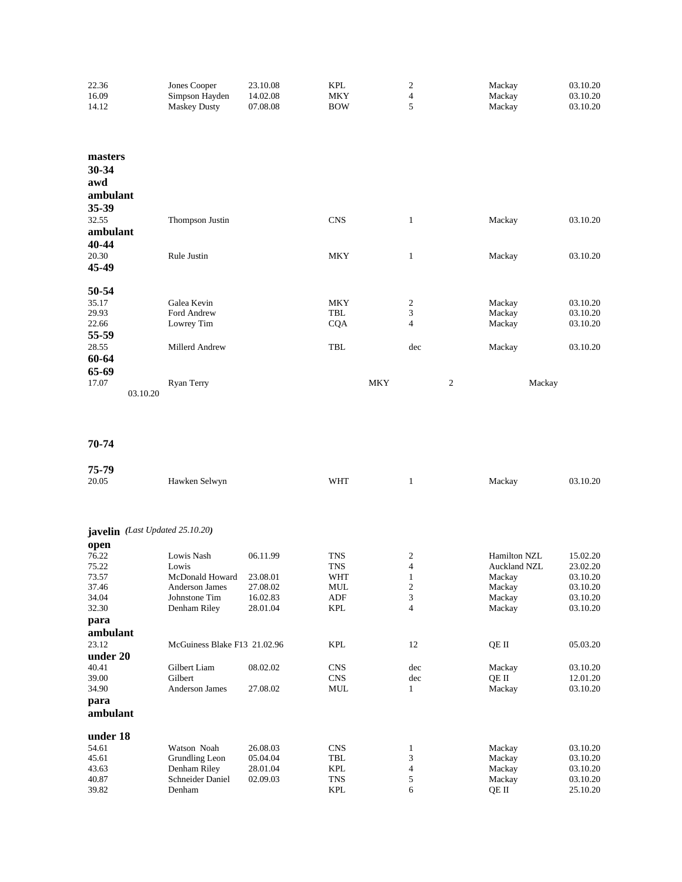| 22.36    | Jones Cooper        | 23.10.08 | <b>KPL</b> | 2                       | Mackay         | 03.10.20 |
|----------|---------------------|----------|------------|-------------------------|----------------|----------|
| 16.09    | Simpson Hayden      | 14.02.08 | <b>MKY</b> | 4                       | Mackay         | 03.10.20 |
| 14.12    | <b>Maskey Dusty</b> | 07.08.08 | <b>BOW</b> | 5                       | Mackay         | 03.10.20 |
| masters  |                     |          |            |                         |                |          |
| 30-34    |                     |          |            |                         |                |          |
| awd      |                     |          |            |                         |                |          |
| ambulant |                     |          |            |                         |                |          |
| 35-39    |                     |          |            |                         |                |          |
| 32.55    | Thompson Justin     |          | <b>CNS</b> | 1                       | Mackay         | 03.10.20 |
| ambulant |                     |          |            |                         |                |          |
| 40-44    |                     |          |            |                         |                |          |
| 20.30    | Rule Justin         |          | <b>MKY</b> | $\mathbf{1}$            | Mackay         | 03.10.20 |
| 45-49    |                     |          |            |                         |                |          |
| 50-54    |                     |          |            |                         |                |          |
| 35.17    | Galea Kevin         |          | <b>MKY</b> | 2                       | Mackay         | 03.10.20 |
| 29.93    | Ford Andrew         |          | <b>TBL</b> | 3                       | Mackay         | 03.10.20 |
| 22.66    | Lowrey Tim          |          | <b>CQA</b> | $\overline{\mathbf{4}}$ | Mackay         | 03.10.20 |
| 55-59    |                     |          |            |                         |                |          |
| 28.55    | Millerd Andrew      |          | TBL        | dec                     | Mackay         | 03.10.20 |
| 60-64    |                     |          |            |                         |                |          |
| 65-69    |                     |          |            |                         |                |          |
| 17.07    | Ryan Terry          |          |            | <b>MKY</b>              | $\mathfrak{2}$ | Mackay   |
| 03.10.20 |                     |          |            |                         |                |          |

| 75-79    |                                 |          |            |                |                     |          |
|----------|---------------------------------|----------|------------|----------------|---------------------|----------|
| 20.05    | Hawken Selwyn                   |          | <b>WHT</b> | 1              | Mackay              | 03.10.20 |
|          |                                 |          |            |                |                     |          |
|          | javelin (Last Updated 25.10.20) |          |            |                |                     |          |
| open     |                                 |          |            |                |                     |          |
| 76.22    | Lowis Nash                      | 06.11.99 | <b>TNS</b> | 2              | <b>Hamilton NZL</b> | 15.02.20 |
| 75.22    | Lowis                           |          | <b>TNS</b> | $\overline{4}$ | <b>Auckland NZL</b> | 23.02.20 |
| 73.57    | McDonald Howard                 | 23.08.01 | <b>WHT</b> | 1              | Mackay              | 03.10.20 |
| 37.46    | <b>Anderson James</b>           | 27.08.02 | <b>MUL</b> | $\mathbf{2}$   | Mackay              | 03.10.20 |
| 34.04    | Johnstone Tim                   | 16.02.83 | <b>ADF</b> | 3              | Mackay              | 03.10.20 |
| 32.30    | Denham Riley                    | 28.01.04 | <b>KPL</b> | $\overline{4}$ | Mackay              | 03.10.20 |
| para     |                                 |          |            |                |                     |          |
| ambulant |                                 |          |            |                |                     |          |
| 23.12    | McGuiness Blake F13 21.02.96    |          | <b>KPL</b> | 12             | QE II               | 05.03.20 |
| under 20 |                                 |          |            |                |                     |          |
| 40.41    | Gilbert Liam                    | 08.02.02 | <b>CNS</b> | dec            | Mackay              | 03.10.20 |
| 39.00    | Gilbert                         |          | <b>CNS</b> | dec            | QE II               | 12.01.20 |
| 34.90    | <b>Anderson James</b>           | 27.08.02 | <b>MUL</b> | 1              | Mackay              | 03.10.20 |
| para     |                                 |          |            |                |                     |          |
| ambulant |                                 |          |            |                |                     |          |
|          |                                 |          |            |                |                     |          |
| under 18 |                                 |          |            |                |                     |          |
| 54.61    | Watson Noah                     | 26.08.03 | <b>CNS</b> | 1              | Mackay              | 03.10.20 |
| 45.61    | Grundling Leon                  | 05.04.04 | <b>TBL</b> | 3              | Mackay              | 03.10.20 |
| 43.63    | Denham Riley                    | 28.01.04 | <b>KPL</b> | $\overline{4}$ | Mackay              | 03.10.20 |
| 40.87    | Schneider Daniel                | 02.09.03 | <b>TNS</b> | 5              | Mackay              | 03.10.20 |
| 39.82    | Denham                          |          | KPL        | 6              | OE II               | 25.10.20 |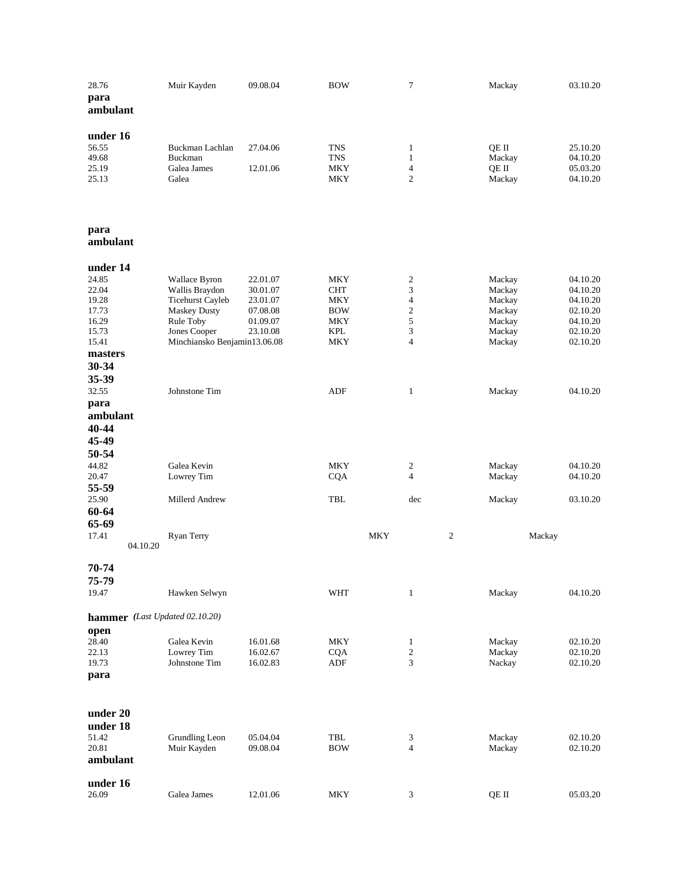| 28.76<br>para<br>ambulant                                                                                             | Muir Kayden                                                                                                                                                            | 09.08.04                                                             | <b>BOW</b>                                                                       | 7                                                                                                          | Mackay                                                                       | 03.10.20                                                                                     |
|-----------------------------------------------------------------------------------------------------------------------|------------------------------------------------------------------------------------------------------------------------------------------------------------------------|----------------------------------------------------------------------|----------------------------------------------------------------------------------|------------------------------------------------------------------------------------------------------------|------------------------------------------------------------------------------|----------------------------------------------------------------------------------------------|
| under 16<br>56.55<br>49.68<br>25.19<br>25.13                                                                          | Buckman Lachlan<br>Buckman<br>Galea James<br>Galea                                                                                                                     | 27.04.06<br>12.01.06                                                 | TNS<br>TNS<br>MKY<br>MKY                                                         | $\mathbf{1}$<br>$\mathbf{1}$<br>$\overline{4}$<br>$\overline{c}$                                           | QE II<br>Mackay<br>QE II<br>Mackay                                           | 25.10.20<br>04.10.20<br>05.03.20<br>04.10.20                                                 |
| para<br>ambulant                                                                                                      |                                                                                                                                                                        |                                                                      |                                                                                  |                                                                                                            |                                                                              |                                                                                              |
| under 14<br>24.85<br>22.04<br>19.28<br>17.73<br>16.29<br>15.73<br>15.41<br>masters<br>30-34<br>35-39<br>32.55<br>para | <b>Wallace Byron</b><br>Wallis Braydon<br><b>Ticehurst Cayleb</b><br><b>Maskey Dusty</b><br>Rule Toby<br>Jones Cooper<br>Minchiansko Benjamin13.06.08<br>Johnstone Tim | 22.01.07<br>30.01.07<br>23.01.07<br>07.08.08<br>01.09.07<br>23.10.08 | MKY<br><b>CHT</b><br>MKY<br><b>BOW</b><br><b>MKY</b><br><b>KPL</b><br>MKY<br>ADF | $\boldsymbol{2}$<br>3<br>$\overline{\mathbf{4}}$<br>$\sqrt{2}$<br>5<br>3<br>$\overline{4}$<br>$\mathbf{1}$ | Mackay<br>Mackay<br>Mackay<br>Mackay<br>Mackay<br>Mackay<br>Mackay<br>Mackay | 04.10.20<br>04.10.20<br>04.10.20<br>02.10.20<br>04.10.20<br>02.10.20<br>02.10.20<br>04.10.20 |
| ambulant<br>40-44<br>45-49<br>50-54<br>44.82<br>20.47<br>55-59                                                        | Galea Kevin<br>Lowrey Tim                                                                                                                                              |                                                                      | MKY<br><b>CQA</b>                                                                | 2<br>$\overline{4}$                                                                                        | Mackay<br>Mackay                                                             | 04.10.20<br>04.10.20                                                                         |
| 25.90<br>60-64<br>65-69<br>17.41<br>04.10.20                                                                          | Millerd Andrew<br>Ryan Terry                                                                                                                                           |                                                                      | TBL<br><b>MKY</b>                                                                | dec<br>$\mathbf{2}$                                                                                        | Mackay<br>Mackay                                                             | 03.10.20                                                                                     |
| 70-74<br>75-79<br>19.47                                                                                               | Hawken Selwyn                                                                                                                                                          |                                                                      | <b>WHT</b>                                                                       | $\mathbf{1}$                                                                                               | Mackay                                                                       | 04.10.20                                                                                     |
| hammer (Last Updated 02.10.20)<br>open<br>28.40<br>22.13<br>19.73<br>para                                             | Galea Kevin<br>Lowrey Tim<br>Johnstone Tim                                                                                                                             | 16.01.68<br>16.02.67<br>16.02.83                                     | MKY<br><b>CQA</b><br>ADF                                                         | $\mathbf{1}$<br>$\sqrt{2}$<br>3                                                                            | Mackay<br>Mackay<br>Nackay                                                   | 02.10.20<br>02.10.20<br>02.10.20                                                             |
| under 20<br>under 18<br>51.42<br>20.81<br>ambulant                                                                    | Grundling Leon<br>Muir Kayden                                                                                                                                          | 05.04.04<br>09.08.04                                                 | TBL<br><b>BOW</b>                                                                | 3<br>$\overline{4}$                                                                                        | Mackay<br>Mackay                                                             | 02.10.20<br>02.10.20                                                                         |
| under 16<br>26.09                                                                                                     | Galea James                                                                                                                                                            | 12.01.06                                                             | MKY                                                                              | 3                                                                                                          | QE II                                                                        | 05.03.20                                                                                     |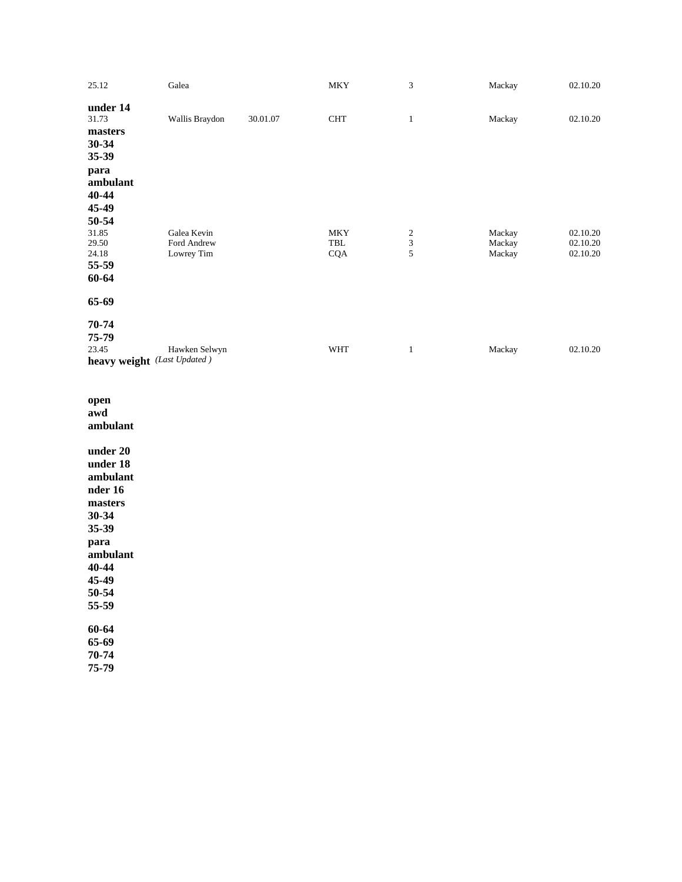| 25.12    | Galea                       |          | <b>MKY</b>           | 3                       | Mackay | 02.10.20 |
|----------|-----------------------------|----------|----------------------|-------------------------|--------|----------|
| under 14 |                             |          |                      |                         |        |          |
| 31.73    | Wallis Braydon              | 30.01.07 | $\operatorname{CHT}$ | $\mathbf{1}$            | Mackay | 02.10.20 |
| masters  |                             |          |                      |                         |        |          |
| 30-34    |                             |          |                      |                         |        |          |
| 35-39    |                             |          |                      |                         |        |          |
| para     |                             |          |                      |                         |        |          |
| ambulant |                             |          |                      |                         |        |          |
| 40-44    |                             |          |                      |                         |        |          |
| 45-49    |                             |          |                      |                         |        |          |
| 50-54    |                             |          |                      |                         |        |          |
| 31.85    | Galea Kevin                 |          | <b>MKY</b>           | $\overline{\mathbf{c}}$ | Mackay | 02.10.20 |
| 29.50    | Ford Andrew                 |          | TBL                  | $\frac{3}{5}$           | Mackay | 02.10.20 |
| 24.18    | Lowrey Tim                  |          | <b>CQA</b>           |                         | Mackay | 02.10.20 |
| 55-59    |                             |          |                      |                         |        |          |
| 60-64    |                             |          |                      |                         |        |          |
| 65-69    |                             |          |                      |                         |        |          |
| 70-74    |                             |          |                      |                         |        |          |
| 75-79    |                             |          |                      |                         |        |          |
| 23.45    | Hawken Selwyn               |          | <b>WHT</b>           | $\mathbf{1}$            | Mackay | 02.10.20 |
|          | heavy weight (Last Updated) |          |                      |                         |        |          |
| open     |                             |          |                      |                         |        |          |
| awd      |                             |          |                      |                         |        |          |
| ambulant |                             |          |                      |                         |        |          |
|          |                             |          |                      |                         |        |          |
| under 20 |                             |          |                      |                         |        |          |
| under 18 |                             |          |                      |                         |        |          |

**under 18 ambulant nder 16 masters 30 -34 35 -39 para ambulant 40 -44 45 -49 50 -54 55 -59 60 -64 65 -69 70 -74 75 -79**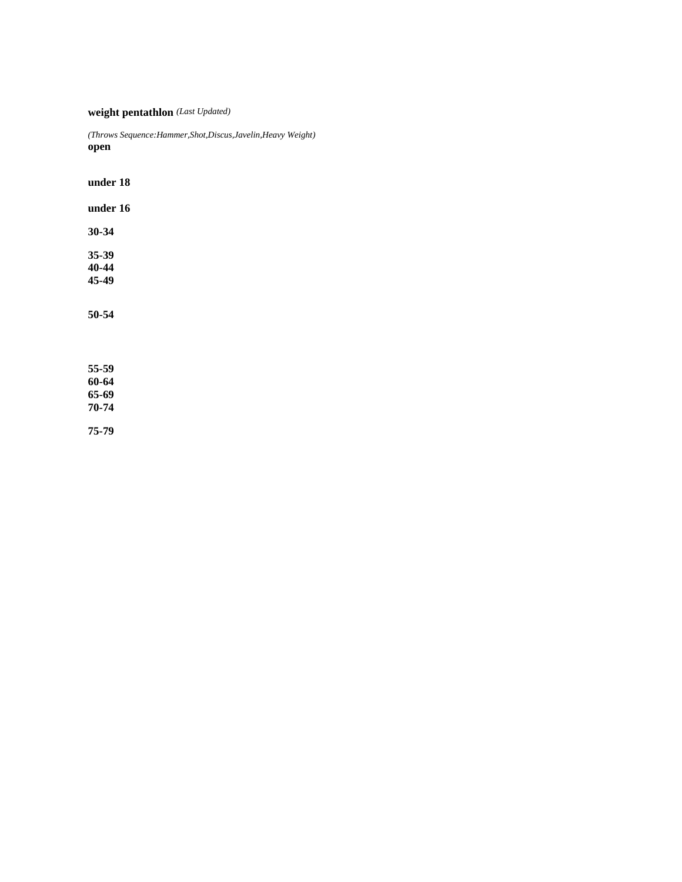**weight pentathlon** *(Last Updated)*

*(Throws Sequence:Hammer,Shot,Discus,Javelin,Heavy Weight)* **open**

**under 18 under 16 30-34 35-39 40-44 45-49 50-54 55-59 60-64 65-69**

**75-79**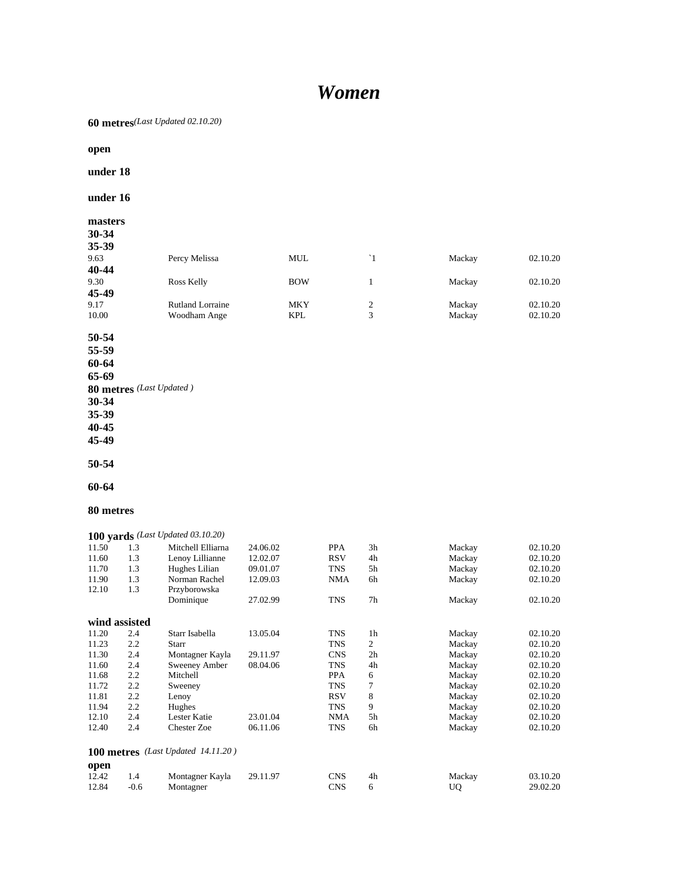# *Women*

**60 metres***(Last Updated 02.10.20)*

**open**

**under 18**

**under 16**

# **masters**

| 30-34 |                         |            |    |        |          |
|-------|-------------------------|------------|----|--------|----------|
| 35-39 |                         |            |    |        |          |
| 9.63  | Percy Melissa           | MUL        | `1 | Mackay | 02.10.20 |
| 40-44 |                         |            |    |        |          |
| 9.30  | Ross Kelly              | <b>BOW</b> |    | Mackay | 02.10.20 |
| 45-49 |                         |            |    |        |          |
| 9.17  | <b>Rutland Lorraine</b> | <b>MKY</b> | 2  | Mackay | 02.10.20 |
| 10.00 | Woodham Ange            | <b>KPL</b> | 3  | Mackay | 02.10.20 |
|       |                         |            |    |        |          |

**50-54**

**55-59**

**60-64 65-69**

**80 metres** *(Last Updated )*

**30-34**

**35-39**

**40-45**

**45-49**

**50-54**

**60-64**

**80 metres**

|       |               | 100 yards (Last Updated 03.10.20)  |          |            |                |        |          |
|-------|---------------|------------------------------------|----------|------------|----------------|--------|----------|
| 11.50 | 1.3           | Mitchell Elliarna                  | 24.06.02 | <b>PPA</b> | 3h             | Mackay | 02.10.20 |
| 11.60 | 1.3           | Lenoy Lillianne                    | 12.02.07 | <b>RSV</b> | 4h             | Mackay | 02.10.20 |
| 11.70 | 1.3           | Hughes Lilian                      | 09.01.07 | <b>TNS</b> | 5h             | Mackay | 02.10.20 |
| 11.90 | 1.3           | Norman Rachel                      | 12.09.03 | <b>NMA</b> | 6h             | Mackay | 02.10.20 |
| 12.10 | 1.3           | Przyborowska                       |          |            |                |        |          |
|       |               | Dominique                          | 27.02.99 | TNS        | 7 <sub>h</sub> | Mackay | 02.10.20 |
|       | wind assisted |                                    |          |            |                |        |          |
| 11.20 | 2.4           | Starr Isabella                     | 13.05.04 | <b>TNS</b> | 1 <sub>h</sub> | Mackay | 02.10.20 |
| 11.23 | 2.2           | Starr                              |          | <b>TNS</b> | 2              | Mackay | 02.10.20 |
| 11.30 | 2.4           | Montagner Kayla                    | 29.11.97 | <b>CNS</b> | 2 <sub>h</sub> | Mackay | 02.10.20 |
| 11.60 | 2.4           | Sweeney Amber                      | 08.04.06 | <b>TNS</b> | 4h             | Mackay | 02.10.20 |
| 11.68 | 2.2           | Mitchell                           |          | <b>PPA</b> | 6              | Mackay | 02.10.20 |
| 11.72 | 2.2           | Sweeney                            |          | <b>TNS</b> | 7              | Mackay | 02.10.20 |
| 11.81 | 2.2           | Lenoy                              |          | <b>RSV</b> | 8              | Mackay | 02.10.20 |
| 11.94 | 2.2           | Hughes                             |          | TNS        | 9              | Mackay | 02.10.20 |
| 12.10 | 2.4           | Lester Katie                       | 23.01.04 | <b>NMA</b> | 5h             | Mackay | 02.10.20 |
| 12.40 | 2.4           | <b>Chester Zoe</b>                 | 06.11.06 | TNS        | 6h             | Mackay | 02.10.20 |
|       |               | 100 metres (Last Updated 14.11.20) |          |            |                |        |          |
| open  |               |                                    |          |            |                |        |          |
| 12.42 | 1.4           | Montagner Kayla                    | 29.11.97 | <b>CNS</b> | 4h             | Mackay | 03.10.20 |
| 12.84 | $-0.6$        | Montagner                          |          | <b>CNS</b> | 6              | UQ     | 29.02.20 |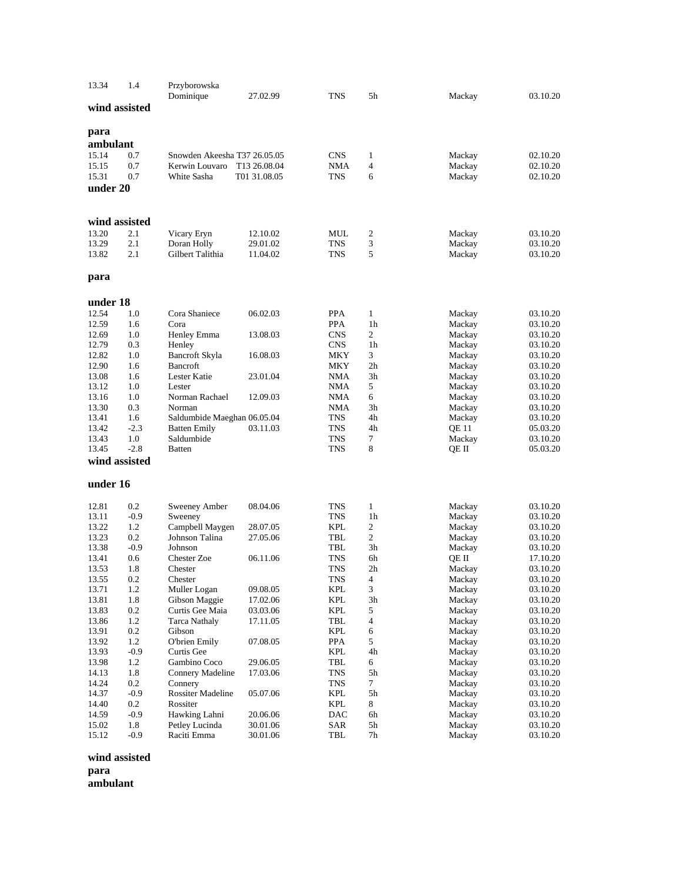| 13.34         | 1.4     | Przyborowska<br>Dominique    | 27.02.99     | <b>TNS</b> | 5h             | Mackay | 03.10.20 |
|---------------|---------|------------------------------|--------------|------------|----------------|--------|----------|
| wind assisted |         |                              |              |            |                |        |          |
| para          |         |                              |              |            |                |        |          |
| ambulant      |         |                              |              |            |                |        |          |
| 15.14         | 0.7     | Snowden Akeesha T37 26.05.05 |              | <b>CNS</b> | $\mathbf{1}$   | Mackay | 02.10.20 |
| 15.15         | 0.7     | Kerwin Louvaro               | T13 26.08.04 | NMA        | 4              | Mackay | 02.10.20 |
| 15.31         | 0.7     | White Sasha                  | T01 31.08.05 | <b>TNS</b> | 6              | Mackay | 02.10.20 |
| under 20      |         |                              |              |            |                |        |          |
|               |         |                              |              |            |                |        |          |
| wind assisted |         |                              |              |            |                |        |          |
| 13.20         | 2.1     | Vicary Eryn                  | 12.10.02     | MUL        | 2              | Mackay | 03.10.20 |
| 13.29         | 2.1     | Doran Holly                  | 29.01.02     | <b>TNS</b> | 3              | Mackay | 03.10.20 |
| 13.82         | 2.1     | Gilbert Talithia             | 11.04.02     | <b>TNS</b> | 5              | Mackay | 03.10.20 |
| para          |         |                              |              |            |                |        |          |
| under 18      |         |                              |              |            |                |        |          |
| 12.54         | 1.0     | Cora Shaniece                | 06.02.03     | PPA        | $\mathbf{1}$   | Mackay | 03.10.20 |
| 12.59         | 1.6     | Cora                         |              | PPA        | 1 <sub>h</sub> | Mackay | 03.10.20 |
| 12.69         | 1.0     | Henley Emma                  | 13.08.03     | <b>CNS</b> | 2              | Mackay | 03.10.20 |
| 12.79         | 0.3     | Henley                       |              | <b>CNS</b> | 1h             | Mackay | 03.10.20 |
| 12.82         | 1.0     | Bancroft Skyla               | 16.08.03     | MKY        | 3              | Mackay | 03.10.20 |
| 12.90         | 1.6     | <b>Bancroft</b>              |              | MKY        | 2 <sub>h</sub> | Mackay | 03.10.20 |
| 13.08         | 1.6     | Lester Katie                 | 23.01.04     | NMA        | 3h             | Mackay | 03.10.20 |
| 13.12         | 1.0     | Lester                       |              | NMA        | 5              | Mackay | 03.10.20 |
| 13.16         | 1.0     | Norman Rachael               | 12.09.03     | NMA        | 6              | Mackay | 03.10.20 |
| 13.30         | 0.3     | Norman                       |              | NMA        | 3h             | Mackay | 03.10.20 |
| 13.41         | 1.6     | Saldumbide Maeghan 06.05.04  |              | <b>TNS</b> | 4h             | Mackay | 03.10.20 |
| 13.42         | $-2.3$  | <b>Batten Emily</b>          | 03.11.03     | TNS        | 4h             | QE 11  | 05.03.20 |
| 13.43         | 1.0     | Saldumbide                   |              | <b>TNS</b> | 7              | Mackay | 03.10.20 |
| 13.45         | $-2.8$  | <b>Batten</b>                |              | <b>TNS</b> | 8              | QE II  | 05.03.20 |
| wind assisted |         |                              |              |            |                |        |          |
| under 16      |         |                              |              |            |                |        |          |
| 12.81         | 0.2     | Sweeney Amber                | 08.04.06     | <b>TNS</b> | $\mathbf{1}$   | Mackay | 03.10.20 |
| 13.11         | $-0.9$  | Sweeney                      |              | <b>TNS</b> | 1 <sub>h</sub> | Mackay | 03.10.20 |
| 13.22         | 1.2     | Campbell Maygen              | 28.07.05     | <b>KPL</b> | 2              | Mackay | 03.10.20 |
| 13.23         | 0.2     | Johnson Talina               | 27.05.06     | TBL        | 2              | Mackay | 03.10.20 |
| 13.38         | $-0.9$  | Johnson                      |              | TBL        | 3h             | Mackay | 03.10.20 |
| 13.41         | 0.6     | <b>Chester Zoe</b>           | 06.11.06     | <b>TNS</b> | 6h             | QE II  | 17.10.20 |
| 13.53         | 1.8     | Chester                      |              | <b>TNS</b> | 2 <sub>h</sub> | Mackay | 03.10.20 |
| 13.55         | 0.2     | Chester                      |              | <b>TNS</b> | 4              | Mackay | 03.10.20 |
| 13.71         | $1.2\,$ | Muller Logan                 | 09.08.05     | KPL        | 3              | Mackay | 03.10.20 |
| 13.81         | 1.8     | Gibson Maggie                | 17.02.06     | KPL        | 3h             | Mackay | 03.10.20 |
| 13.83         | $0.2\,$ | Curtis Gee Maia              | 03.03.06     | KPL        | 5              | Mackay | 03.10.20 |
| 13.86         | 1.2     | Tarca Nathaly                | 17.11.05     | TBL        | $\overline{4}$ | Mackay | 03.10.20 |
| 13.91         | 0.2     | Gibson                       |              | <b>KPL</b> | 6              | Mackay | 03.10.20 |
| 13.92         | 1.2     | O'brien Emily                | 07.08.05     | PPA        | 5              | Mackay | 03.10.20 |
| 13.93         | $-0.9$  | Curtis Gee                   |              | <b>KPL</b> | 4h             | Mackay | 03.10.20 |
| 13.98         | 1.2     | Gambino Coco                 | 29.06.05     | TBL        | 6              | Mackay | 03.10.20 |
| 14.13         | 1.8     | Connery Madeline             | 17.03.06     | <b>TNS</b> | 5h             | Mackay | 03.10.20 |
| 14.24         | 0.2     | Connery                      |              | TNS        | 7              | Mackay | 03.10.20 |
| 14.37         | $-0.9$  | Rossiter Madeline            | 05.07.06     | KPL        | 5h             | Mackay | 03.10.20 |
| 14.40         | 0.2     | Rossiter                     |              | KPL        | 8              | Mackay | 03.10.20 |
| 14.59         | $-0.9$  | Hawking Lahni                | 20.06.06     | DAC        | 6h             | Mackay | 03.10.20 |
| 15.02         | 1.8     | Petley Lucinda               | 30.01.06     | SAR        | 5h             | Mackay | 03.10.20 |
| 15.12         | $-0.9$  | Raciti Emma                  | 30.01.06     | TBL        | 7h             | Mackay | 03.10.20 |

**wind assisted**

**para**

**ambulant**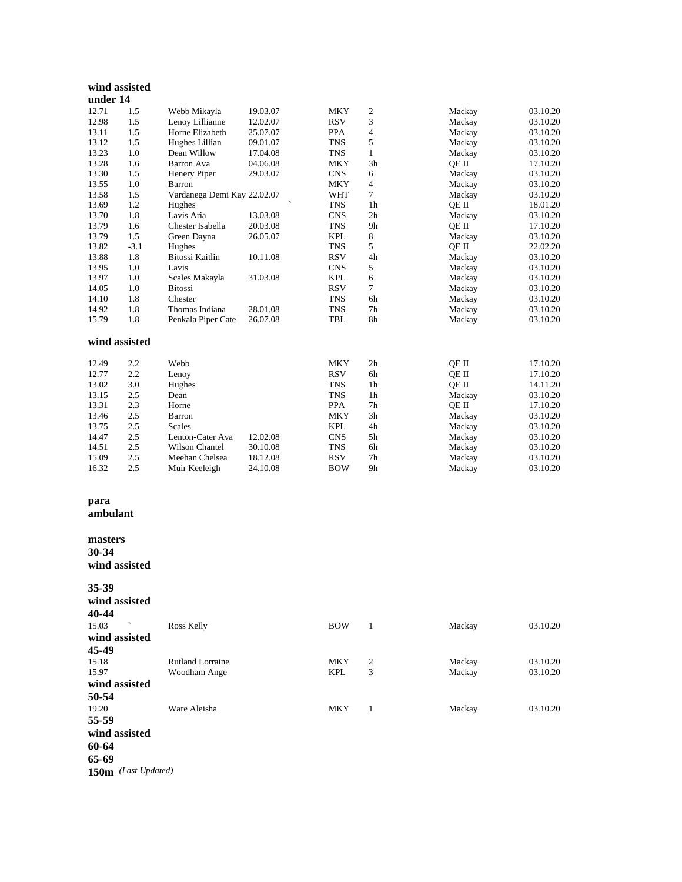#### **wind assisted under 14**

| uuuti 17      |        |                             |          |            |                |        |          |
|---------------|--------|-----------------------------|----------|------------|----------------|--------|----------|
| 12.71         | 1.5    | Webb Mikayla                | 19.03.07 | <b>MKY</b> | 2              | Mackay | 03.10.20 |
| 12.98         | 1.5    | Lenoy Lillianne             | 12.02.07 | <b>RSV</b> | 3              | Mackay | 03.10.20 |
| 13.11         | 1.5    | Horne Elizabeth             | 25.07.07 | <b>PPA</b> | $\overline{4}$ | Mackay | 03.10.20 |
| 13.12         | 1.5    | Hughes Lillian              | 09.01.07 | <b>TNS</b> | 5              | Mackay | 03.10.20 |
| 13.23         | 1.0    | Dean Willow                 | 17.04.08 | <b>TNS</b> | $\mathbf{1}$   | Mackay | 03.10.20 |
| 13.28         | 1.6    | Barron Ava                  | 04.06.08 | <b>MKY</b> | 3h             | OE II  | 17.10.20 |
| 13.30         | 1.5    | Henery Piper                | 29.03.07 | <b>CNS</b> | 6              | Mackay | 03.10.20 |
| 13.55         | 1.0    | Barron                      |          | <b>MKY</b> | $\overline{4}$ | Mackay | 03.10.20 |
| 13.58         | 1.5    | Vardanega Demi Kay 22.02.07 |          | WHT        | $\tau$         | Mackay | 03.10.20 |
| 13.69         | 1.2    | Hughes                      |          | <b>TNS</b> | 1 <sub>h</sub> | OE II  | 18.01.20 |
| 13.70         | 1.8    | Lavis Aria                  | 13.03.08 | <b>CNS</b> | 2h             | Mackay | 03.10.20 |
| 13.79         | 1.6    | Chester Isabella            | 20.03.08 | <b>TNS</b> | 9h             | QE II  | 17.10.20 |
| 13.79         | 1.5    | Green Dayna                 | 26.05.07 | <b>KPL</b> | 8              | Mackay | 03.10.20 |
| 13.82         | $-3.1$ | Hughes                      |          | <b>TNS</b> | 5              | OE II  | 22.02.20 |
| 13.88         | 1.8    | Bitossi Kaitlin             | 10.11.08 | <b>RSV</b> | 4h             | Mackay | 03.10.20 |
| 13.95         | 1.0    | Lavis                       |          | <b>CNS</b> | 5              | Mackay | 03.10.20 |
| 13.97         | 1.0    | Scales Makayla              | 31.03.08 | <b>KPL</b> | 6              | Mackay | 03.10.20 |
| 14.05         | 1.0    | <b>Bitossi</b>              |          | <b>RSV</b> | $\tau$         | Mackay | 03.10.20 |
| 14.10         | 1.8    | Chester                     |          | <b>TNS</b> | 6h             | Mackay | 03.10.20 |
| 14.92         | 1.8    | Thomas Indiana              | 28.01.08 | <b>TNS</b> | 7h             | Mackay | 03.10.20 |
| 15.79         | 1.8    | Penkala Piper Cate          | 26.07.08 | <b>TBL</b> | 8h             | Mackay | 03.10.20 |
| wind assisted |        |                             |          |            |                |        |          |
| 12.49         | 2.2    | Webb                        |          | <b>MKY</b> | 2h             | OE II  | 17.10.20 |
| 12.77         | 2.2    | Lenoy                       |          | <b>RSV</b> | 6h             | QE II  | 17.10.20 |
| 13.02         | 3.0    | Hughes                      |          | <b>TNS</b> | 1 <sub>h</sub> | OE II  | 14.11.20 |
| 13.15         | 2.5    | Dean                        |          | <b>TNS</b> | 1 <sub>h</sub> | Mackay | 03.10.20 |
| 13.31         | 2.3    | Horne                       |          | <b>PPA</b> | 7 <sub>h</sub> | OE II  | 17.10.20 |
| 13.46         | 2.5    | Barron                      |          | <b>MKY</b> | 3h             | Mackay | 03.10.20 |
| 13.75         | 2.5    | Scales                      |          | <b>KPL</b> | 4h             | Mackay | 03.10.20 |
| 14.47         | 2.5    | Lenton-Cater Ava            | 12.02.08 | <b>CNS</b> | 5h             | Mackay | 03.10.20 |
| 14.51         | 2.5    | <b>Wilson Chantel</b>       | 30.10.08 | <b>TNS</b> | 6h             | Mackay | 03.10.20 |
| 15.09         | 2.5    | Meehan Chelsea              | 18.12.08 | <b>RSV</b> | 7 <sub>h</sub> | Mackay | 03.10.20 |
| 16.32         | 2.5    | Muir Keeleigh               | 24.10.08 | <b>BOW</b> | 9h             | Mackay | 03.10.20 |

# **para**

**ambulant**

**masters 30 -34 wind assisted**

**35 -39**

| wind assisted |                         |            |   |        |          |
|---------------|-------------------------|------------|---|--------|----------|
| 40-44         |                         |            |   |        |          |
| 15.03         | Ross Kelly              | <b>BOW</b> | 1 | Mackay | 03.10.20 |
| wind assisted |                         |            |   |        |          |
| 45-49         |                         |            |   |        |          |
| 15.18         | <b>Rutland Lorraine</b> | MKY        | 2 | Mackay | 03.10.20 |
| 15.97         | Woodham Ange            | <b>KPL</b> | 3 | Mackay | 03.10.20 |
| wind assisted |                         |            |   |        |          |
| 50-54         |                         |            |   |        |          |
| 19.20         | Ware Aleisha            | <b>MKY</b> | 1 | Mackay | 03.10.20 |
| 55-59         |                         |            |   |        |          |
| wind assisted |                         |            |   |        |          |
| 60-64         |                         |            |   |        |          |
| 65-69         |                         |            |   |        |          |

**150m** *(Last Updated)*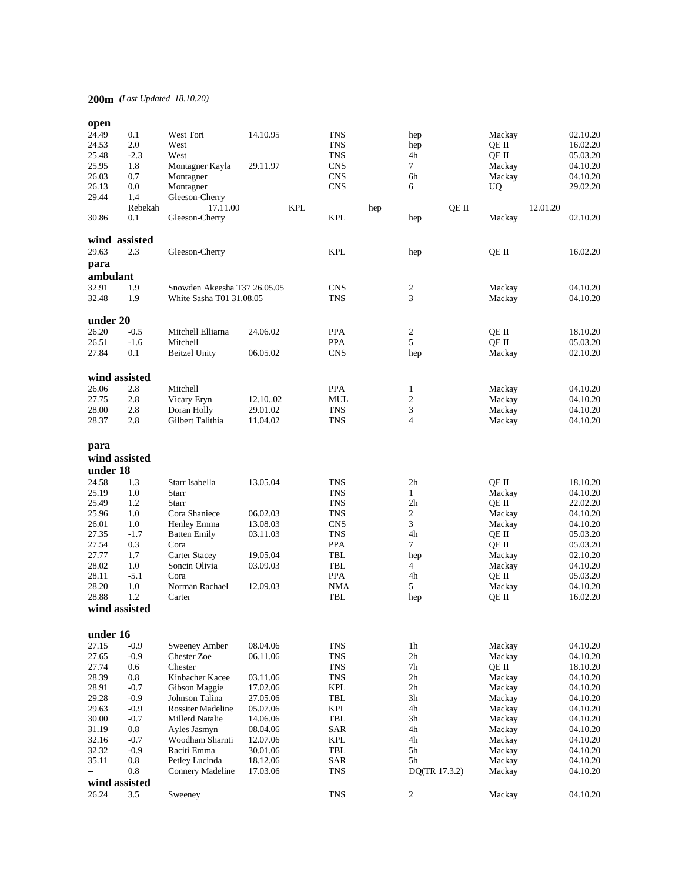# **200m** *(Last Updated 18.10.20)*

| open                     |               |                              |          |            |                             |     |                |       |           |          |          |
|--------------------------|---------------|------------------------------|----------|------------|-----------------------------|-----|----------------|-------|-----------|----------|----------|
| 24.49                    | 0.1           | West Tori                    | 14.10.95 |            | <b>TNS</b>                  |     | hep            |       | Mackay    |          | 02.10.20 |
| 24.53                    | 2.0           | West                         |          |            | <b>TNS</b>                  |     | hep            |       | QE II     |          | 16.02.20 |
| 25.48                    | $-2.3$        | West                         |          |            | <b>TNS</b>                  |     | 4h             |       | QE II     |          | 05.03.20 |
| 25.95                    | 1.8           | Montagner Kayla              | 29.11.97 |            | <b>CNS</b>                  |     | $\tau$         |       | Mackay    |          | 04.10.20 |
| 26.03                    | 0.7           | Montagner                    |          |            | <b>CNS</b>                  |     | 6h             |       | Mackay    |          | 04.10.20 |
| 26.13                    | 0.0           | Montagner                    |          |            | <b>CNS</b>                  |     | 6              |       | <b>UQ</b> |          | 29.02.20 |
| 29.44                    | 1.4           | Gleeson-Cherry               |          |            |                             |     |                |       |           |          |          |
|                          | Rebekah       | 17.11.00                     |          | <b>KPL</b> |                             | hep |                | QE II |           | 12.01.20 |          |
| 30.86                    | 0.1           | Gleeson-Cherry               |          |            | <b>KPL</b>                  |     | hep            |       | Mackay    |          | 02.10.20 |
|                          | wind assisted |                              |          |            |                             |     |                |       |           |          |          |
| 29.63                    | 2.3           | Gleeson-Cherry               |          |            | <b>KPL</b>                  |     | hep            |       | QE II     |          | 16.02.20 |
|                          |               |                              |          |            |                             |     |                |       |           |          |          |
| para                     |               |                              |          |            |                             |     |                |       |           |          |          |
| ambulant                 |               |                              |          |            |                             |     |                |       |           |          |          |
| 32.91                    | 1.9           | Snowden Akeesha T37 26.05.05 |          |            | <b>CNS</b>                  |     | 2              |       | Mackay    |          | 04.10.20 |
| 32.48                    | 1.9           | White Sasha T01 31.08.05     |          |            | <b>TNS</b>                  |     | 3              |       | Mackay    |          | 04.10.20 |
| under 20                 |               |                              |          |            |                             |     |                |       |           |          |          |
| 26.20                    | $-0.5$        | Mitchell Elliarna            | 24.06.02 |            | <b>PPA</b>                  |     | 2              |       | QE II     |          | 18.10.20 |
| 26.51                    | $-1.6$        | Mitchell                     |          |            | <b>PPA</b>                  |     | 5              |       | QE II     |          | 05.03.20 |
| 27.84                    | 0.1           | <b>Beitzel Unity</b>         | 06.05.02 |            | <b>CNS</b>                  |     | hep            |       | Mackay    |          | 02.10.20 |
|                          |               |                              |          |            |                             |     |                |       |           |          |          |
|                          | wind assisted |                              |          |            |                             |     |                |       |           |          |          |
| 26.06                    | 2.8           | Mitchell                     |          |            | <b>PPA</b>                  |     | $\mathbf{1}$   |       | Mackay    |          | 04.10.20 |
| 27.75                    | 2.8           | Vicary Eryn                  | 12.1002  |            | <b>MUL</b>                  |     | $\mathfrak{2}$ |       | Mackay    |          | 04.10.20 |
| 28.00                    | 2.8           | Doran Holly                  | 29.01.02 |            | <b>TNS</b>                  |     | 3              |       | Mackay    |          | 04.10.20 |
| 28.37                    | 2.8           | Gilbert Talithia             | 11.04.02 |            | <b>TNS</b>                  |     | $\overline{4}$ |       | Mackay    |          | 04.10.20 |
|                          |               |                              |          |            |                             |     |                |       |           |          |          |
| para                     |               |                              |          |            |                             |     |                |       |           |          |          |
|                          | wind assisted |                              |          |            |                             |     |                |       |           |          |          |
| under 18                 |               |                              |          |            |                             |     |                |       |           |          |          |
| 24.58                    | 1.3           | Starr Isabella               | 13.05.04 |            | <b>TNS</b>                  |     | 2 <sub>h</sub> |       | QE II     |          | 18.10.20 |
| 25.19                    | 1.0           | Starr                        |          |            | <b>TNS</b>                  |     | $\mathbf{1}$   |       | Mackay    |          | 04.10.20 |
| 25.49                    | 1.2           | Starr                        |          |            | <b>TNS</b>                  |     | 2 <sub>h</sub> |       | QE II     |          | 22.02.20 |
| 25.96                    | 1.0           | Cora Shaniece                | 06.02.03 |            | <b>TNS</b>                  |     | $\overline{c}$ |       | Mackay    |          | 04.10.20 |
| 26.01                    | 1.0           | Henley Emma                  | 13.08.03 |            | <b>CNS</b>                  |     | 3              |       | Mackay    |          | 04.10.20 |
| 27.35                    | $-1.7$        | <b>Batten Emily</b>          | 03.11.03 |            | <b>TNS</b>                  |     | 4h             |       | QE II     |          | 05.03.20 |
| 27.54                    | 0.3           | Cora                         |          |            | <b>PPA</b>                  |     | $\overline{7}$ |       | QE II     |          | 05.03.20 |
| 27.77                    | 1.7           | <b>Carter Stacey</b>         | 19.05.04 |            | TBL                         |     | hep            |       | Mackay    |          | 02.10.20 |
| 28.02                    | 1.0           | Soncin Olivia                | 03.09.03 |            | <b>TBL</b>                  |     | $\overline{4}$ |       | Mackay    |          | 04.10.20 |
| 28.11                    | $-5.1$        | Cora                         |          |            | <b>PPA</b>                  |     | 4h             |       | QE II     |          | 05.03.20 |
| 28.20                    | 1.0           | Norman Rachael               | 12.09.03 |            | <b>NMA</b>                  |     | 5              |       | Mackay    |          | 04.10.20 |
| 28.88                    | 1.2           | Carter                       |          |            | TBL                         |     | hep            |       | QE II     |          | 16.02.20 |
|                          | wind assisted |                              |          |            |                             |     |                |       |           |          |          |
|                          |               |                              |          |            |                             |     |                |       |           |          |          |
| under 16                 |               |                              |          |            |                             |     |                |       |           |          |          |
| 27.15                    | $-0.9$        | Sweeney Amber                | 08.04.06 |            | <b>TNS</b>                  |     | 1h             |       | Mackay    |          | 04.10.20 |
| 27.65                    | $-0.9$        | Chester Zoe                  | 06.11.06 |            | <b>TNS</b>                  |     | 2h             |       | Mackay    |          | 04.10.20 |
| 27.74                    | 0.6           | Chester                      |          |            | <b>TNS</b>                  |     | 7h             |       | QE II     |          | 18.10.20 |
| 28.39                    | 0.8           | Kinbacher Kacee              | 03.11.06 |            | <b>TNS</b>                  |     | 2 <sub>h</sub> |       | Mackay    |          | 04.10.20 |
| 28.91                    | $-0.7$        | Gibson Maggie                | 17.02.06 |            | <b>KPL</b>                  |     | 2 <sub>h</sub> |       | Mackay    |          | 04.10.20 |
| 29.28                    | $-0.9$        | Johnson Talina               | 27.05.06 |            | TBL                         |     | 3h             |       | Mackay    |          | 04.10.20 |
| 29.63                    | $-0.9$        | <b>Rossiter Madeline</b>     | 05.07.06 |            | <b>KPL</b>                  |     | 4h             |       | Mackay    |          | 04.10.20 |
| 30.00                    | $-0.7$        | Millerd Natalie              | 14.06.06 |            | TBL                         |     | 3h             |       | Mackay    |          | 04.10.20 |
| 31.19                    | 0.8           | Ayles Jasmyn                 | 08.04.06 |            | <b>SAR</b>                  |     | 4h             |       | Mackay    |          | 04.10.20 |
| 32.16                    | $-0.7$        | Woodham Sharnti              | 12.07.06 |            | <b>KPL</b>                  |     | 4h             |       | Mackay    |          | 04.10.20 |
| 32.32                    | $-0.9$        | Raciti Emma                  | 30.01.06 |            | $\ensuremath{\mathsf{TBL}}$ |     | 5h             |       | Mackay    |          | 04.10.20 |
| 35.11                    | 0.8           | Petley Lucinda               | 18.12.06 |            | <b>SAR</b>                  |     | 5h             |       | Mackay    |          | 04.10.20 |
| $\overline{\phantom{a}}$ | 0.8           | Connery Madeline             | 17.03.06 |            | <b>TNS</b>                  |     | DQ(TR 17.3.2)  |       | Mackay    |          | 04.10.20 |
|                          | wind assisted |                              |          |            |                             |     |                |       |           |          |          |
| 26.24                    | 3.5           | Sweeney                      |          |            | <b>TNS</b>                  |     | $\overline{c}$ |       | Mackay    |          | 04.10.20 |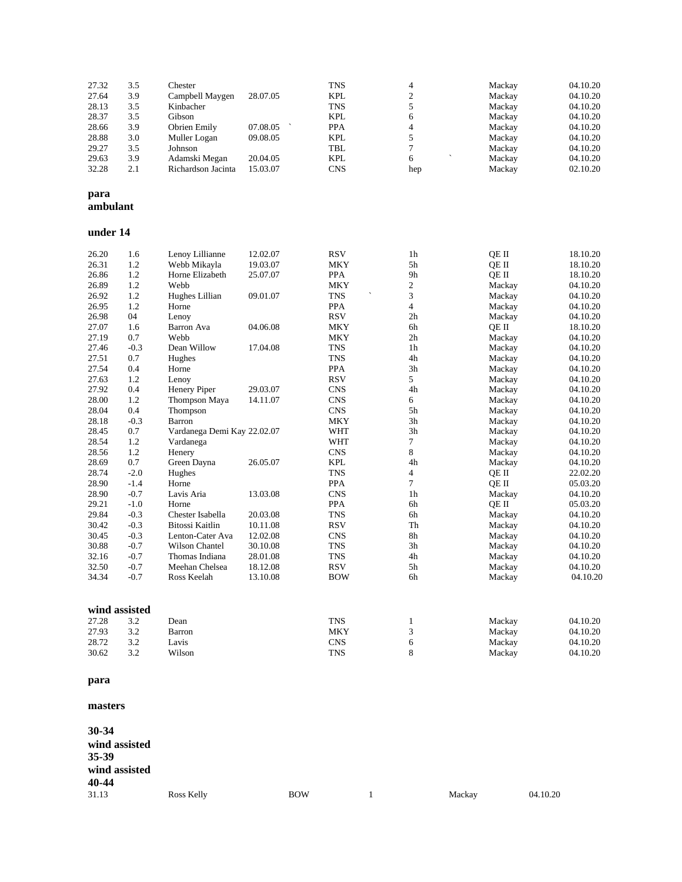| 27.32    | 3.5    | Chester                     |                                 | <b>TNS</b>                  | 4                             | Mackay | 04.10.20 |
|----------|--------|-----------------------------|---------------------------------|-----------------------------|-------------------------------|--------|----------|
| 27.64    | 3.9    | Campbell Maygen             | 28.07.05                        | <b>KPL</b>                  | $\mathbf{2}$                  | Mackay | 04.10.20 |
| 28.13    | 3.5    | Kinbacher                   |                                 | <b>TNS</b>                  | 5                             | Mackay | 04.10.20 |
| 28.37    | 3.5    | Gibson                      |                                 | <b>KPL</b>                  | 6                             | Mackay | 04.10.20 |
| 28.66    | 3.9    | Obrien Emily                | 07.08.05<br>$\hat{\phantom{a}}$ | <b>PPA</b>                  | $\overline{4}$                | Mackay | 04.10.20 |
| 28.88    | 3.0    | Muller Logan                | 09.08.05                        | <b>KPL</b>                  | 5                             | Mackay | 04.10.20 |
| 29.27    | 3.5    | Johnson                     |                                 | $\ensuremath{\mathsf{TBL}}$ | $\overline{7}$                | Mackay | 04.10.20 |
| 29.63    | 3.9    | Adamski Megan               | 20.04.05                        | <b>KPL</b>                  | 6<br>$\overline{\phantom{0}}$ | Mackay | 04.10.20 |
| 32.28    | 2.1    | Richardson Jacinta          | 15.03.07                        | <b>CNS</b>                  | hep                           | Mackay | 02.10.20 |
| para     |        |                             |                                 |                             |                               |        |          |
| ambulant |        |                             |                                 |                             |                               |        |          |
| under 14 |        |                             |                                 |                             |                               |        |          |
| 26.20    | 1.6    | Lenoy Lillianne             | 12.02.07                        | <b>RSV</b>                  | 1 <sub>h</sub>                | OE II  | 18.10.20 |
| 26.31    | 1.2    | Webb Mikayla                | 19.03.07                        | <b>MKY</b>                  | 5h                            | QE II  | 18.10.20 |
| 26.86    | 1.2    | Horne Elizabeth             | 25.07.07                        | <b>PPA</b>                  | 9 <sub>h</sub>                | OE II  | 18.10.20 |
| 26.89    | 1.2    | Webb                        |                                 | <b>MKY</b>                  | $\overline{c}$                | Mackay | 04.10.20 |
| 26.92    | 1.2    | Hughes Lillian              | 09.01.07                        | <b>TNS</b>                  | 3                             | Mackay | 04.10.20 |
| 26.95    | 1.2    | Horne                       |                                 | <b>PPA</b>                  | $\overline{\mathbf{4}}$       | Mackay | 04.10.20 |
| 26.98    | 04     | Lenoy                       |                                 | <b>RSV</b>                  | 2h                            | Mackay | 04.10.20 |
| 27.07    | 1.6    | Barron Ava                  | 04.06.08                        | <b>MKY</b>                  | 6h                            | OE II  | 18.10.20 |
| 27.19    | 0.7    | Webb                        |                                 | <b>MKY</b>                  | 2 <sub>h</sub>                | Mackay | 04.10.20 |
| 27.46    | $-0.3$ | Dean Willow                 | 17.04.08                        | <b>TNS</b>                  | 1 <sub>h</sub>                | Mackay | 04.10.20 |
| 27.51    | 0.7    | Hughes                      |                                 | <b>TNS</b>                  | 4h                            | Mackay | 04.10.20 |
| 27.54    | 0.4    | Horne                       |                                 | <b>PPA</b>                  | 3h                            | Mackay | 04.10.20 |
| 27.63    | 1.2    | Lenoy                       |                                 | <b>RSV</b>                  | 5                             | Mackay | 04.10.20 |
| 27.92    | 0.4    | Henery Piper                | 29.03.07                        | <b>CNS</b>                  | 4h                            | Mackay | 04.10.20 |
| 28.00    | 1.2    | Thompson Maya               | 14.11.07                        | <b>CNS</b>                  | 6                             | Mackay | 04.10.20 |
| 28.04    | 0.4    | Thompson                    |                                 | <b>CNS</b>                  | 5h                            | Mackay | 04.10.20 |
| 28.18    | $-0.3$ | Barron                      |                                 | <b>MKY</b>                  | 3h                            | Mackay | 04.10.20 |
| 28.45    | 0.7    | Vardanega Demi Kay 22.02.07 |                                 | <b>WHT</b>                  | 3h                            | Mackay | 04.10.20 |
| 28.54    | 1.2    | Vardanega                   |                                 | <b>WHT</b>                  | 7                             | Mackay | 04.10.20 |
| 28.56    | 1.2    | Henery                      |                                 | <b>CNS</b>                  | 8                             | Mackay | 04.10.20 |
| 28.69    | 0.7    | Green Dayna                 | 26.05.07                        | <b>KPL</b>                  | 4h                            | Mackay | 04.10.20 |
| 28.74    | $-2.0$ | Hughes                      |                                 | <b>TNS</b>                  | 4                             | QE II  | 22.02.20 |
| 28.90    | $-1.4$ | Horne                       |                                 | PPA                         | $\overline{7}$                | QE II  | 05.03.20 |
| 28.90    | $-0.7$ | Lavis Aria                  | 13.03.08                        | <b>CNS</b>                  | 1 <sub>h</sub>                | Mackay | 04.10.20 |

| 28.YU | -v. /         | Lavis Ana             | 15.U5.U8 | UND.       | ın | маскау | 04.IU.ZU |
|-------|---------------|-----------------------|----------|------------|----|--------|----------|
| 29.21 | $-1.0$        | Horne                 |          | <b>PPA</b> | 6h | OE II  | 05.03.20 |
| 29.84 | $-0.3$        | Chester Isabella      | 20.03.08 | <b>TNS</b> | 6h | Mackay | 04.10.20 |
| 30.42 | $-0.3$        | Bitossi Kaitlin       | 10.11.08 | <b>RSV</b> | Th | Mackay | 04.10.20 |
| 30.45 | $-0.3$        | Lenton-Cater Ava      | 12.02.08 | <b>CNS</b> | 8h | Mackay | 04.10.20 |
| 30.88 | $-0.7$        | <b>Wilson Chantel</b> | 30.10.08 | <b>TNS</b> | 3h | Mackay | 04.10.20 |
| 32.16 | $-0.7$        | Thomas Indiana        | 28.01.08 | <b>TNS</b> | 4h | Mackay | 04.10.20 |
| 32.50 | $-0.7$        | Meehan Chelsea        | 18.12.08 | <b>RSV</b> | 5h | Mackay | 04.10.20 |
| 34.34 | $-0.7$        | Ross Keelah           | 13.10.08 | <b>BOW</b> | 6h | Mackay | 04.10.20 |
|       | wind assisted |                       |          |            |    |        |          |
| 27.28 | 3.2           | Dean                  |          | <b>TNS</b> |    | Mackay | 04.10.20 |
| 27.93 | 3.2           | Barron                |          | <b>MKY</b> | ⌒  | Mackay | 04.10.20 |

28.72 3.2 Lavis CNS 6 Mackay 04.10.20 30.62 3.2 Wilson TNS 8 Mackay 04.10.20

#### **para**

#### **masters**

| 30-34<br>wind assisted<br>35-39<br>wind assisted |                   |            |        |          |
|--------------------------------------------------|-------------------|------------|--------|----------|
| 40-44<br>31.13                                   | <b>Ross Kelly</b> | <b>BOW</b> | Mackay | 04.10.20 |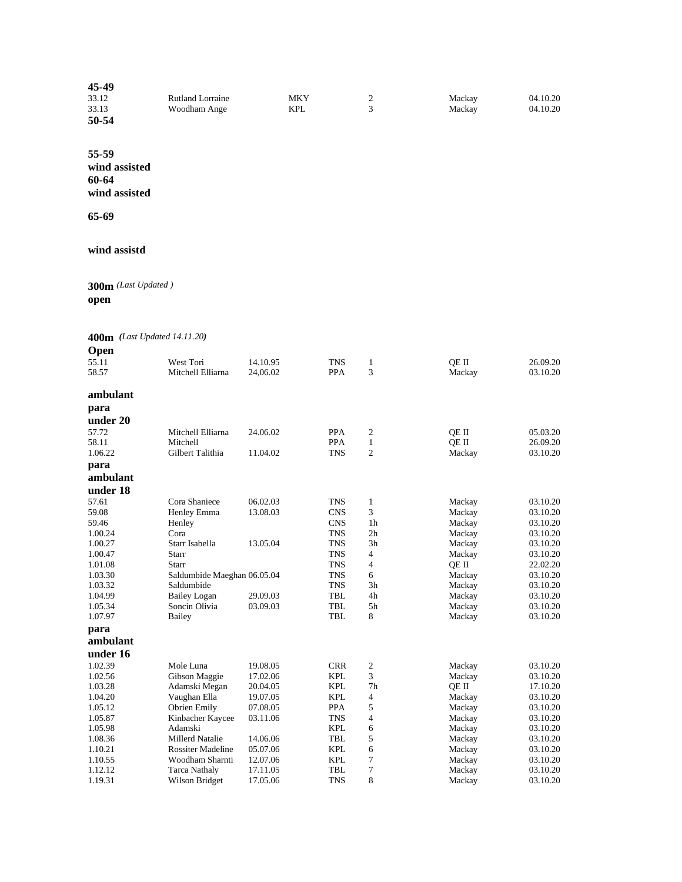| 45-49 |                  |     |   |        |          |
|-------|------------------|-----|---|--------|----------|
| 33.12 | Rutland Lorraine | MKY | ∸ | Mackay | 04.10.20 |
| 33.13 | Woodham Ange     | KPL |   | Mackay | 04.10.20 |
| 50-54 |                  |     |   |        |          |

**55-59 wind assisted 60-64 wind assisted**

**65-69**

#### **wind assistd**

**300m** *(Last Updated )* **open**

**400m** *(Last Updated 14.11.20)*

| <b>Open</b> |                               |          |                          |                     |        |          |
|-------------|-------------------------------|----------|--------------------------|---------------------|--------|----------|
| 55.11       |                               |          |                          |                     |        |          |
|             | West Tori                     | 14.10.95 | <b>TNS</b>               | $\mathbf{1}$<br>3   | QE II  | 26.09.20 |
| 58.57       | Mitchell Elliarna             | 24,06.02 | <b>PPA</b>               |                     | Mackay | 03.10.20 |
| ambulant    |                               |          |                          |                     |        |          |
| para        |                               |          |                          |                     |        |          |
| under 20    |                               |          |                          |                     |        |          |
| 57.72       |                               |          |                          |                     |        |          |
| 58.11       | Mitchell Elliarna<br>Mitchell | 24.06.02 | <b>PPA</b><br><b>PPA</b> | 2                   | OE II  | 05.03.20 |
| 1.06.22     | Gilbert Talithia              |          | <b>TNS</b>               | 1<br>$\overline{2}$ | QE II  | 26.09.20 |
|             |                               | 11.04.02 |                          |                     | Mackay | 03.10.20 |
| para        |                               |          |                          |                     |        |          |
| ambulant    |                               |          |                          |                     |        |          |
| under 18    |                               |          |                          |                     |        |          |
| 57.61       | Cora Shaniece                 | 06.02.03 | <b>TNS</b>               | $\mathbf{1}$        | Mackay | 03.10.20 |
| 59.08       | Henley Emma                   | 13.08.03 | <b>CNS</b>               | 3                   | Mackay | 03.10.20 |
| 59.46       | Henley                        |          | <b>CNS</b>               | 1 <sub>h</sub>      | Mackay | 03.10.20 |
| 1.00.24     | Cora                          |          | <b>TNS</b>               | 2h                  | Mackay | 03.10.20 |
| 1.00.27     | Starr Isabella                | 13.05.04 | <b>TNS</b>               | 3h                  | Mackay | 03.10.20 |
| 1.00.47     | Starr                         |          | <b>TNS</b>               | $\overline{4}$      | Mackay | 03.10.20 |
| 1.01.08     | Starr                         |          | <b>TNS</b>               | 4                   | QE II  | 22.02.20 |
| 1.03.30     | Saldumbide Maeghan 06.05.04   |          | <b>TNS</b>               | 6                   | Mackay | 03.10.20 |
| 1.03.32     | Saldumbide                    |          | <b>TNS</b>               | 3h                  | Mackay | 03.10.20 |
| 1.04.99     | <b>Bailey Logan</b>           | 29.09.03 | <b>TBL</b>               | 4h                  | Mackay | 03.10.20 |
| 1.05.34     | Soncin Olivia                 | 03.09.03 | <b>TBL</b>               | 5 <sub>h</sub>      | Mackay | 03.10.20 |
| 1.07.97     | Bailey                        |          | <b>TBL</b>               | 8                   | Mackay | 03.10.20 |
| para        |                               |          |                          |                     |        |          |
| ambulant    |                               |          |                          |                     |        |          |
| under 16    |                               |          |                          |                     |        |          |
| 1.02.39     | Mole Luna                     | 19.08.05 | <b>CRR</b>               | $\boldsymbol{2}$    | Mackay | 03.10.20 |
| 1.02.56     | Gibson Maggie                 | 17.02.06 | <b>KPL</b>               | 3                   | Mackay | 03.10.20 |
| 1.03.28     | Adamski Megan                 | 20.04.05 | KPL                      | 7h                  | QE II  | 17.10.20 |
| 1.04.20     | Vaughan Ella                  | 19.07.05 | <b>KPL</b>               | $\overline{4}$      | Mackay | 03.10.20 |
| 1.05.12     | Obrien Emily                  | 07.08.05 | <b>PPA</b>               | 5                   | Mackay | 03.10.20 |
| 1.05.87     | Kinbacher Kaycee              | 03.11.06 | <b>TNS</b>               | $\overline{4}$      | Mackay | 03.10.20 |
| 1.05.98     | Adamski                       |          | <b>KPL</b>               | 6                   | Mackay | 03.10.20 |
| 1.08.36     | <b>Millerd Natalie</b>        | 14.06.06 | TBL                      | 5                   | Mackay | 03.10.20 |
| 1.10.21     | <b>Rossiter Madeline</b>      | 05.07.06 | <b>KPL</b>               | 6                   | Mackay | 03.10.20 |
| 1.10.55     | Woodham Sharnti               | 12.07.06 | <b>KPL</b>               | 7                   | Mackay | 03.10.20 |
| 1.12.12     | <b>Tarca Nathaly</b>          | 17.11.05 | TBL                      | 7                   | Mackay | 03.10.20 |
| 1.19.31     | Wilson Bridget                | 17.05.06 | <b>TNS</b>               | 8                   | Mackay | 03.10.20 |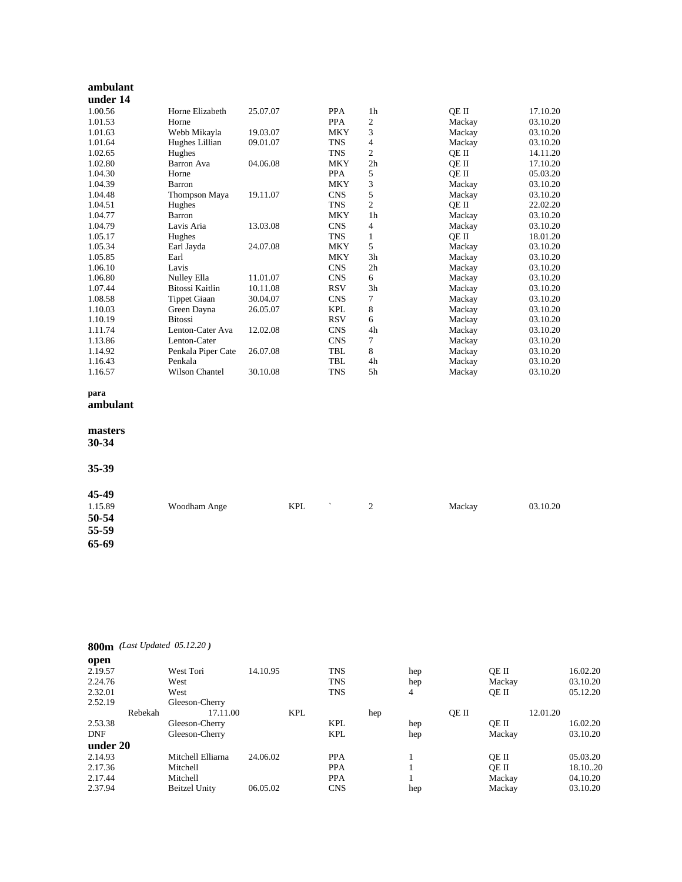| ambulant |                        |          |            |                |        |          |
|----------|------------------------|----------|------------|----------------|--------|----------|
| under 14 |                        |          |            |                |        |          |
| 1.00.56  | Horne Elizabeth        | 25.07.07 | <b>PPA</b> | 1 <sub>h</sub> | QE II  | 17.10.20 |
| 1.01.53  | Horne                  |          | <b>PPA</b> | 2              | Mackay | 03.10.20 |
| 1.01.63  | Webb Mikayla           | 19.03.07 | <b>MKY</b> | 3              | Mackay | 03.10.20 |
| 1.01.64  | Hughes Lillian         | 09.01.07 | <b>TNS</b> | 4              | Mackay | 03.10.20 |
| 1.02.65  | Hughes                 |          | <b>TNS</b> | $\overline{c}$ | OE II  | 14.11.20 |
| 1.02.80  | Barron Ava             | 04.06.08 | <b>MKY</b> | 2 <sub>h</sub> | OE II  | 17.10.20 |
| 1.04.30  | Horne                  |          | <b>PPA</b> | 5              | OE II  | 05.03.20 |
| 1.04.39  | Barron                 |          | <b>MKY</b> | 3              | Mackay | 03.10.20 |
| 1.04.48  | Thompson Maya          | 19.11.07 | <b>CNS</b> | 5              | Mackay | 03.10.20 |
| 1.04.51  | Hughes                 |          | <b>TNS</b> | $\overline{c}$ | QE II  | 22.02.20 |
| 1.04.77  | Barron                 |          | <b>MKY</b> | 1 <sub>h</sub> | Mackay | 03.10.20 |
| 1.04.79  | Lavis Aria             | 13.03.08 | <b>CNS</b> | 4              | Mackay | 03.10.20 |
| 1.05.17  | Hughes                 |          | <b>TNS</b> | 1              | OE II  | 18.01.20 |
| 1.05.34  | Earl Jayda             | 24.07.08 | <b>MKY</b> | 5              | Mackay | 03.10.20 |
| 1.05.85  | Earl                   |          | <b>MKY</b> | 3h             | Mackay | 03.10.20 |
| 1.06.10  | Lavis                  |          | <b>CNS</b> | 2 <sub>h</sub> | Mackay | 03.10.20 |
| 1.06.80  | Nulley Ella            | 11.01.07 | <b>CNS</b> | 6              | Mackay | 03.10.20 |
| 1.07.44  | <b>Bitossi Kaitlin</b> | 10.11.08 | <b>RSV</b> | 3h             | Mackay | 03.10.20 |
| 1.08.58  | Tippet Giaan           | 30.04.07 | <b>CNS</b> | 7              | Mackay | 03.10.20 |
| 1.10.03  | Green Dayna            | 26.05.07 | <b>KPL</b> | 8              | Mackay | 03.10.20 |
| 1.10.19  | <b>Bitossi</b>         |          | <b>RSV</b> | 6              | Mackay | 03.10.20 |
| 1.11.74  | Lenton-Cater Ava       | 12.02.08 | <b>CNS</b> | 4h             | Mackay | 03.10.20 |
| 1.13.86  | Lenton-Cater           |          | <b>CNS</b> | 7              | Mackay | 03.10.20 |
| 1.14.92  | Penkala Piper Cate     | 26.07.08 | <b>TBL</b> | 8              | Mackay | 03.10.20 |
| 1.16.43  | Penkala                |          | <b>TBL</b> | 4h             | Mackay | 03.10.20 |
| 1.16.57  | Wilson Chantel         | 30.10.08 | <b>TNS</b> | 5h             | Mackay | 03.10.20 |

# **para**

**ambulant**

# **masters**

**30-34**

#### **35-39**

| 45-49   |              |                                        |   |        |          |
|---------|--------------|----------------------------------------|---|--------|----------|
| 1.15.89 | Woodham Ange | <b>KPL</b><br>$\overline{\phantom{a}}$ | 2 | Mackay | 03.10.20 |
| 50-54   |              |                                        |   |        |          |
| 55-59   |              |                                        |   |        |          |
| 65-69   |              |                                        |   |        |          |
|         |              |                                        |   |        |          |

# **800m** *(Last Updated 05.12.20 )*

| open       |         |                      |          |            |            |     |     |       |        |          |          |
|------------|---------|----------------------|----------|------------|------------|-----|-----|-------|--------|----------|----------|
| 2.19.57    |         | West Tori            | 14.10.95 |            | <b>TNS</b> |     | hep |       | OE II  |          | 16.02.20 |
| 2.24.76    |         | West                 |          |            | <b>TNS</b> |     | hep |       | Mackay |          | 03.10.20 |
| 2.32.01    |         | West                 |          |            | <b>TNS</b> |     | 4   |       | OE II  |          | 05.12.20 |
| 2.52.19    |         | Gleeson-Cherry       |          |            |            |     |     |       |        |          |          |
|            | Rebekah | 17.11.00             |          | <b>KPL</b> |            | hep |     | OE II |        | 12.01.20 |          |
| 2.53.38    |         | Gleeson-Cherry       |          |            | <b>KPL</b> |     | hep |       | OE II  |          | 16.02.20 |
| <b>DNF</b> |         | Gleeson-Cherry       |          |            | <b>KPL</b> |     | hep |       | Mackay |          | 03.10.20 |
| under 20   |         |                      |          |            |            |     |     |       |        |          |          |
| 2.14.93    |         | Mitchell Elliarna    | 24.06.02 |            | <b>PPA</b> |     |     |       | OE II  |          | 05.03.20 |
| 2.17.36    |         | Mitchell             |          |            | <b>PPA</b> |     |     |       | OE II  |          | 18.1020  |
| 2.17.44    |         | Mitchell             |          |            | <b>PPA</b> |     |     |       | Mackay |          | 04.10.20 |
| 2.37.94    |         | <b>Beitzel Unity</b> | 06.05.02 |            | <b>CNS</b> |     | hep |       | Mackay |          | 03.10.20 |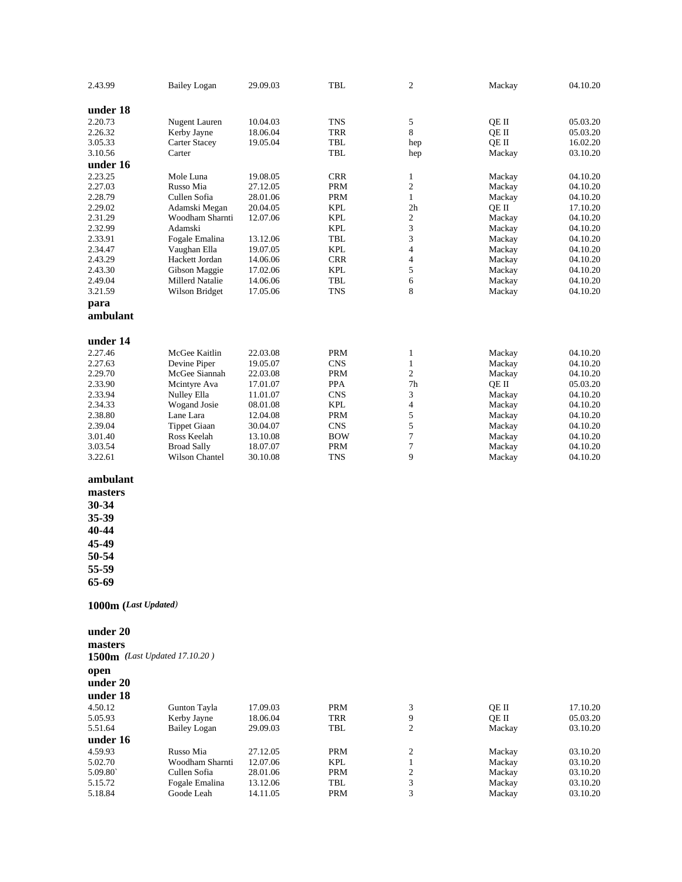| 2.43.99              | <b>Bailey Logan</b>           | 29.09.03 | <b>TBL</b> | 2                       | Mackay | 04.10.20 |
|----------------------|-------------------------------|----------|------------|-------------------------|--------|----------|
| under 18             |                               |          |            |                         |        |          |
| 2.20.73              | Nugent Lauren                 | 10.04.03 | TNS        | 5                       | OE II  | 05.03.20 |
| 2.26.32              | Kerby Jayne                   | 18.06.04 | TRR        | 8                       | QE II  | 05.03.20 |
| 3.05.33              | <b>Carter Stacey</b>          | 19.05.04 | TBL        | hep                     | QE II  | 16.02.20 |
| 3.10.56              | Carter                        |          | TBL        | hep                     | Mackay | 03.10.20 |
| under 16             |                               |          |            |                         |        |          |
| 2.23.25              | Mole Luna                     | 19.08.05 | <b>CRR</b> | $\mathbf{1}$            | Mackay | 04.10.20 |
| 2.27.03              | Russo Mia                     | 27.12.05 | <b>PRM</b> | $\boldsymbol{2}$        | Mackay | 04.10.20 |
| 2.28.79              | Cullen Sofia                  | 28.01.06 | <b>PRM</b> | $\mathbf{1}$            | Mackay | 04.10.20 |
| 2.29.02              | Adamski Megan                 | 20.04.05 | <b>KPL</b> | 2 <sub>h</sub>          | QE II  | 17.10.20 |
| 2.31.29              | Woodham Sharnti               | 12.07.06 | <b>KPL</b> | $\boldsymbol{2}$        | Mackay | 04.10.20 |
| 2.32.99              | Adamski                       |          | <b>KPL</b> | 3                       | Mackay | 04.10.20 |
|                      |                               |          | <b>TBL</b> | 3                       |        |          |
| 2.33.91              | Fogale Emalina                | 13.12.06 |            | $\overline{\mathbf{4}}$ | Mackay | 04.10.20 |
| 2.34.47              | Vaughan Ella                  | 19.07.05 | <b>KPL</b> |                         | Mackay | 04.10.20 |
| 2.43.29              | Hackett Jordan                | 14.06.06 | <b>CRR</b> | 4                       | Mackay | 04.10.20 |
| 2.43.30              | Gibson Maggie                 | 17.02.06 | <b>KPL</b> | 5                       | Mackay | 04.10.20 |
| 2.49.04              | Millerd Natalie               | 14.06.06 | TBL        | 6                       | Mackay | 04.10.20 |
| 3.21.59              | Wilson Bridget                | 17.05.06 | <b>TNS</b> | 8                       | Mackay | 04.10.20 |
| para<br>ambulant     |                               |          |            |                         |        |          |
| under 14             |                               |          |            |                         |        |          |
| 2.27.46              | McGee Kaitlin                 | 22.03.08 | <b>PRM</b> | $\mathbf{1}$            | Mackay | 04.10.20 |
| 2.27.63              | Devine Piper                  | 19.05.07 | <b>CNS</b> | $\mathbf{1}$            | Mackay | 04.10.20 |
| 2.29.70              | McGee Siannah                 | 22.03.08 | <b>PRM</b> | $\overline{c}$          | Mackay | 04.10.20 |
| 2.33.90              | Mcintyre Ava                  | 17.01.07 | <b>PPA</b> | 7 <sub>h</sub>          | QE II  | 05.03.20 |
| 2.33.94              | Nulley Ella                   | 11.01.07 | <b>CNS</b> | 3                       | Mackay | 04.10.20 |
| 2.34.33              | Wogand Josie                  | 08.01.08 | <b>KPL</b> | $\overline{\mathbf{4}}$ | Mackay | 04.10.20 |
| 2.38.80              | Lane Lara                     | 12.04.08 | <b>PRM</b> | 5                       | Mackay | 04.10.20 |
| 2.39.04              | <b>Tippet Giaan</b>           | 30.04.07 | <b>CNS</b> | 5                       | Mackay | 04.10.20 |
| 3.01.40              | Ross Keelah                   | 13.10.08 | <b>BOW</b> | $\tau$                  | Mackay | 04.10.20 |
| 3.03.54              | <b>Broad Sally</b>            | 18.07.07 | PRM        | 7                       | Mackay | 04.10.20 |
| 3.22.61              | Wilson Chantel                | 30.10.08 | TNS        | 9                       | Mackay | 04.10.20 |
| ambulant             |                               |          |            |                         |        |          |
| masters              |                               |          |            |                         |        |          |
|                      |                               |          |            |                         |        |          |
| 30-34                |                               |          |            |                         |        |          |
| 35-39                |                               |          |            |                         |        |          |
| 40-44                |                               |          |            |                         |        |          |
| 45-49                |                               |          |            |                         |        |          |
|                      |                               |          |            |                         |        |          |
| 50-54                |                               |          |            |                         |        |          |
| 55-59<br>65-69       |                               |          |            |                         |        |          |
| 1000m (Last Updated) |                               |          |            |                         |        |          |
| under 20             |                               |          |            |                         |        |          |
| masters              |                               |          |            |                         |        |          |
|                      | 1500m (Last Updated 17.10.20) |          |            |                         |        |          |
| open                 |                               |          |            |                         |        |          |
| under 20             |                               |          |            |                         |        |          |
| under 18             |                               |          |            |                         |        |          |
| 4.50.12              | Gunton Tayla                  | 17.09.03 | <b>PRM</b> | 3                       | QE II  | 17.10.20 |
| 5.05.93              | Kerby Jayne                   | 18.06.04 | <b>TRR</b> | 9                       | QE II  | 05.03.20 |
| 5.51.64              | <b>Bailey Logan</b>           | 29.09.03 | TBL        | 2                       | Mackay | 03.10.20 |
| under 16             |                               |          |            |                         |        |          |
|                      |                               |          |            |                         |        |          |
| 4.59.93              | Russo Mia                     | 27.12.05 | <b>PRM</b> | 2                       | Mackay | 03.10.20 |
| 5.02.70              | Woodham Sharnti               | 12.07.06 | <b>KPL</b> | $\mathbf{1}$            | Mackay | 03.10.20 |
| 5.09.80              | Cullen Sofia                  | 28.01.06 | <b>PRM</b> | 2                       | Mackay | 03.10.20 |
| 5.15.72              | Fogale Emalina                | 13.12.06 | TBL        | 3                       | Mackay | 03.10.20 |
| 5.18.84              | Goode Leah                    | 14.11.05 | <b>PRM</b> | 3                       | Mackay | 03.10.20 |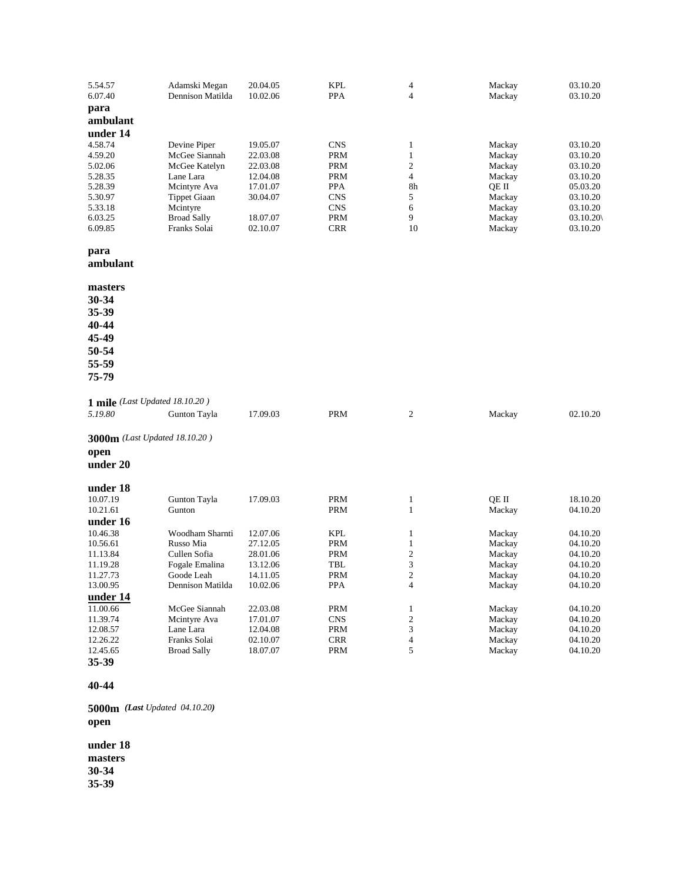| 5.54.57<br>6.07.40   | Adamski Megan<br>Dennison Matilda | 20.04.05<br>10.02.06 | <b>KPL</b><br>PPA        | $\overline{\mathcal{A}}$<br>4 | Mackay<br>Mackay | 03.10.20<br>03.10.20 |
|----------------------|-----------------------------------|----------------------|--------------------------|-------------------------------|------------------|----------------------|
| para                 |                                   |                      |                          |                               |                  |                      |
| ambulant             |                                   |                      |                          |                               |                  |                      |
| under 14             |                                   |                      |                          |                               |                  |                      |
| 4.58.74              | Devine Piper                      | 19.05.07             | <b>CNS</b>               | 1                             | Mackay           | 03.10.20             |
| 4.59.20              | McGee Siannah                     | 22.03.08             | <b>PRM</b>               | $\mathbf{1}$                  | Mackay           | 03.10.20             |
| 5.02.06              | McGee Katelyn                     | 22.03.08             | <b>PRM</b>               | $\sqrt{2}$                    | Mackay           | 03.10.20             |
| 5.28.35              | Lane Lara                         | 12.04.08             | <b>PRM</b>               | $\overline{4}$                | Mackay           | 03.10.20             |
| 5.28.39              | Mcintyre Ava                      | 17.01.07             | <b>PPA</b>               | 8h                            | QE II            | 05.03.20             |
| 5.30.97<br>5.33.18   | <b>Tippet Giaan</b><br>Mcintyre   | 30.04.07             | <b>CNS</b><br><b>CNS</b> | 5<br>6                        | Mackay<br>Mackay | 03.10.20<br>03.10.20 |
| 6.03.25              | <b>Broad Sally</b>                | 18.07.07             | <b>PRM</b>               | 9                             | Mackay           | 03.10.20             |
| 6.09.85              | Franks Solai                      | 02.10.07             | <b>CRR</b>               | 10                            | Mackay           | 03.10.20             |
| para                 |                                   |                      |                          |                               |                  |                      |
| ambulant             |                                   |                      |                          |                               |                  |                      |
| masters              |                                   |                      |                          |                               |                  |                      |
| 30-34                |                                   |                      |                          |                               |                  |                      |
| 35-39                |                                   |                      |                          |                               |                  |                      |
| 40-44                |                                   |                      |                          |                               |                  |                      |
| 45-49                |                                   |                      |                          |                               |                  |                      |
| 50-54                |                                   |                      |                          |                               |                  |                      |
| 55-59                |                                   |                      |                          |                               |                  |                      |
| 75-79                |                                   |                      |                          |                               |                  |                      |
|                      | 1 mile (Last Updated 18.10.20)    |                      |                          |                               |                  |                      |
| 5.19.80              | Gunton Tayla                      | 17.09.03             | <b>PRM</b>               | 2                             | Mackay           | 02.10.20             |
|                      | 3000m (Last Updated 18.10.20)     |                      |                          |                               |                  |                      |
| open                 |                                   |                      |                          |                               |                  |                      |
| under 20             |                                   |                      |                          |                               |                  |                      |
| under 18             |                                   |                      |                          |                               |                  |                      |
| 10.07.19<br>10.21.61 | Gunton Tayla                      | 17.09.03             | <b>PRM</b><br><b>PRM</b> | $\mathbf{1}$                  | QE II            | 18.10.20<br>04.10.20 |
| under 16             | Gunton                            |                      |                          | $\mathbf{1}$                  | Mackay           |                      |
| 10.46.38             | Woodham Sharnti                   | 12.07.06             | <b>KPL</b>               | $\mathbf{1}$                  | Mackay           | 04.10.20             |
| 10.56.61             | Russo Mia                         | 27.12.05             | <b>PRM</b>               | $\mathbf{1}$                  | Mackay           | 04.10.20             |
| 11.13.84             | Cullen Sofia                      | 28.01.06             | PRM                      | $\overline{c}$                | Mackay           | 04.10.20             |
| 11.19.28             | Fogale Emalina                    | 13.12.06             | TBL                      | 3                             | Mackay           | 04.10.20             |
| 11.27.73             | Goode Leah                        | 14.11.05             | <b>PRM</b>               | $\mathbf{2}$                  | Mackay           | 04.10.20             |
| 13.00.95<br>under 14 | Dennison Matilda                  | 10.02.06             | PPA                      | $\overline{4}$                | Mackay           | 04.10.20             |
| 11.00.66             | McGee Siannah                     | 22.03.08             | PRM                      | $\mathbf{1}$                  | Mackay           | 04.10.20             |
| 11.39.74             | Mcintyre Ava                      | 17.01.07             | $\mathop{\rm CNS}$       | $\boldsymbol{2}$              | Mackay           | 04.10.20             |
| 12.08.57             | Lane Lara                         | 12.04.08             | PRM                      | 3                             | Mackay           | 04.10.20             |
| 12.26.22             | Franks Solai                      | 02.10.07             | <b>CRR</b>               | $\overline{4}$                | Mackay           | 04.10.20             |
| 12.45.65             | <b>Broad Sally</b>                | 18.07.07             | PRM                      | 5                             | Mackay           | 04.10.20             |
| 35-39                |                                   |                      |                          |                               |                  |                      |

**5000m** *(Last Updated 04.10.20)* **open**

**under 18 masters 30 -34 35 -39**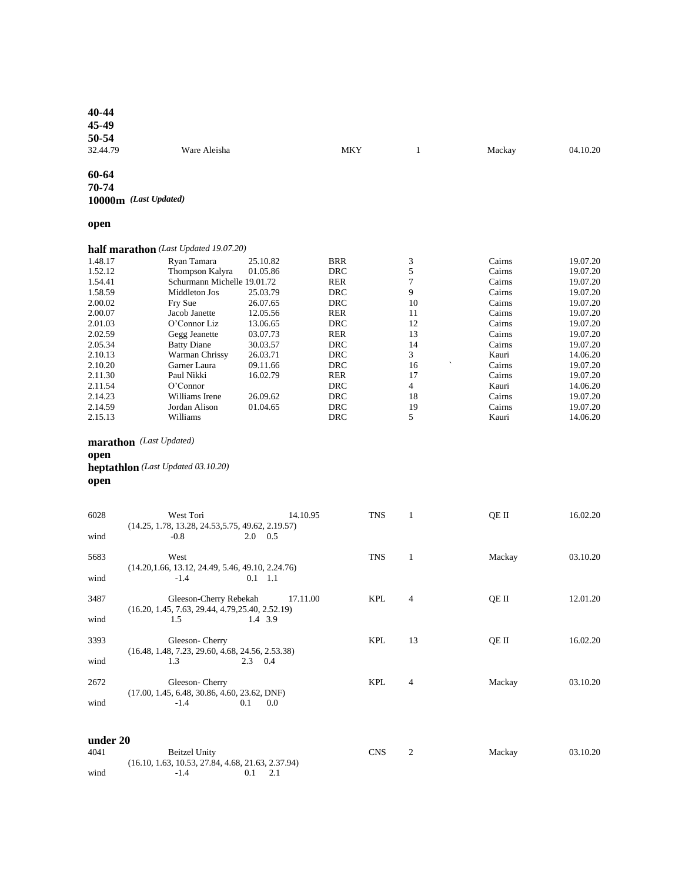| 45-49    |                                                     |            |                |        |          |
|----------|-----------------------------------------------------|------------|----------------|--------|----------|
| 50-54    |                                                     |            |                |        |          |
| 32.44.79 | Ware Aleisha                                        | MKY        | $\mathbf{1}$   | Mackay | 04.10.20 |
|          |                                                     |            |                |        |          |
| 60-64    |                                                     |            |                |        |          |
| 70-74    |                                                     |            |                |        |          |
|          |                                                     |            |                |        |          |
|          | 10000m (Last Updated)                               |            |                |        |          |
| open     |                                                     |            |                |        |          |
|          | half marathon (Last Updated 19.07.20)               |            |                |        |          |
| 1.48.17  | Ryan Tamara<br>25.10.82                             | <b>BRR</b> | 3              | Cairns | 19.07.20 |
| 1.52.12  | Thompson Kalyra<br>01.05.86                         | DRC        | 5              | Cairns | 19.07.20 |
| 1.54.41  | Schurmann Michelle 19.01.72                         | RER        | 7              | Cairns | 19.07.20 |
| 1.58.59  | Middleton Jos<br>25.03.79                           | DRC        | 9              | Cairns | 19.07.20 |
| 2.00.02  | Fry Sue<br>26.07.65                                 | <b>DRC</b> | 10             | Cairns | 19.07.20 |
| 2.00.07  | Jacob Janette<br>12.05.56                           | <b>RER</b> | 11             | Cairns | 19.07.20 |
| 2.01.03  | O'Connor Liz<br>13.06.65                            | DRC        | 12             | Cairns | 19.07.20 |
| 2.02.59  | Gegg Jeanette<br>03.07.73                           | RER        | 13             | Cairns | 19.07.20 |
| 2.05.34  | 30.03.57<br><b>Batty Diane</b>                      | DRC        | 14             | Cairns | 19.07.20 |
| 2.10.13  | Warman Chrissy<br>26.03.71                          | DRC        | 3              | Kauri  | 14.06.20 |
| 2.10.20  | Garner Laura<br>09.11.66                            | DRC        | 16             | Cairns | 19.07.20 |
| 2.11.30  | Paul Nikki<br>16.02.79                              | <b>RER</b> | 17             | Cairns | 19.07.20 |
| 2.11.54  | O'Connor                                            | <b>DRC</b> | $\overline{4}$ | Kauri  | 14.06.20 |
| 2.14.23  | Williams Irene<br>26.09.62                          | DRC        | 18             | Cairns | 19.07.20 |
| 2.14.59  | Jordan Alison<br>01.04.65                           | DRC        | 19             | Cairns | 19.07.20 |
| 2.15.13  | Williams                                            | DRC        | 5              | Kauri  | 14.06.20 |
|          |                                                     |            |                |        |          |
|          | marathon (Last Updated)                             |            |                |        |          |
| open     |                                                     |            |                |        |          |
|          | heptathlon (Last Updated 03.10.20)                  |            |                |        |          |
| open     |                                                     |            |                |        |          |
|          |                                                     |            |                |        |          |
|          |                                                     |            |                |        |          |
| 6028     | West Tori<br>14.10.95                               | <b>TNS</b> | 1              | QE II  | 16.02.20 |
|          | $(14.25, 1.78, 13.28, 24.53, 5.75, 49.62, 2.19.57)$ |            |                |        |          |
| wind     | $-0.8$<br>$2.0\quad 0.5$                            |            |                |        |          |
|          |                                                     |            |                |        |          |
| 5683     | West                                                | TNS        | $\mathbf{1}$   | Mackay | 03.10.20 |
|          | $(14.20, 1.66, 13.12, 24.49, 5.46, 49.10, 2.24.76)$ |            |                |        |          |
| wind     | $-1.4$<br>$0.1 \quad 1.1$                           |            |                |        |          |
|          |                                                     |            |                |        |          |
| 3487     | Gleeson-Cherry Rebekah<br>17.11.00                  | <b>KPL</b> | 4              | QE II  | 12.01.20 |
|          | $(16.20, 1.45, 7.63, 29.44, 4.79, 25.40, 2.52.19)$  |            |                |        |          |
| wind     | 1.5 1.4 3.9                                         |            |                |        |          |
|          |                                                     |            |                |        |          |
| 3393     | Gleeson-Cherry                                      | KPL        | 13             | QE II  | 16.02.20 |
|          | $(16.48, 1.48, 7.23, 29.60, 4.68, 24.56, 2.53.38)$  |            |                |        |          |
| wind     | 1.3<br>$2.3 \t 0.4$                                 |            |                |        |          |
|          |                                                     |            |                |        |          |
| 2672     | Gleeson-Cherry                                      | <b>KPL</b> | 4              | Mackay | 03.10.20 |
|          | $(17.00, 1.45, 6.48, 30.86, 4.60, 23.62, DNF)$      |            |                |        |          |
| wind     | $-1.4$<br>0.1<br>$0.0\,$                            |            |                |        |          |

| under 20 |                                                     |  |            |        |          |
|----------|-----------------------------------------------------|--|------------|--------|----------|
| 4041     | Beitzel Unity                                       |  | <b>CNS</b> | Mackay | 03.10.20 |
|          | $(16.10, 1.63, 10.53, 27.84, 4.68, 21.63, 2.37.94)$ |  |            |        |          |
| wind     | $-1.4$                                              |  |            |        |          |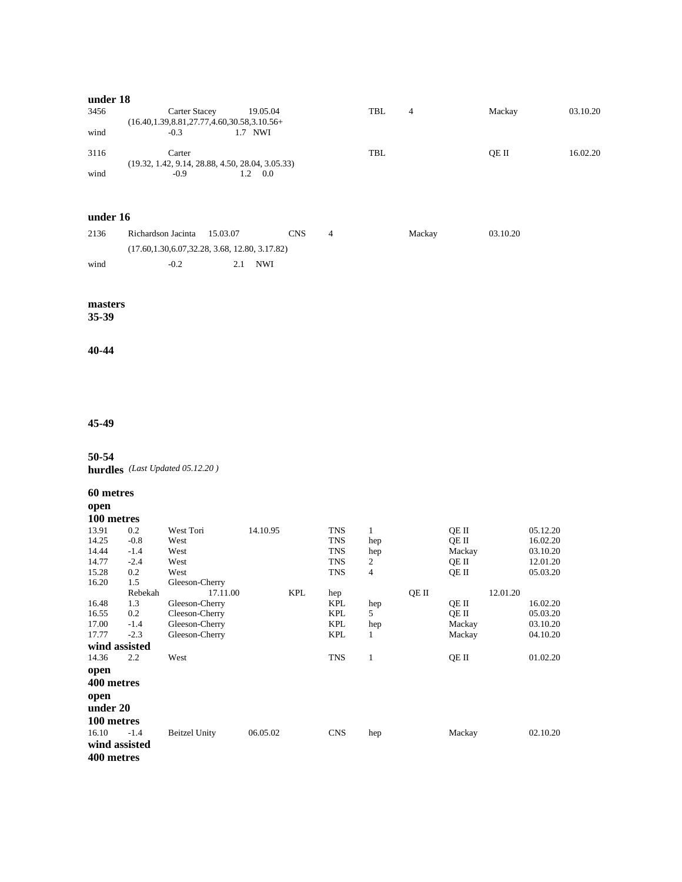# **under 18**

| 3456 | <b>Carter Stacey</b>                                | 19.05.04 | TBL | 4 | Mackay | 03.10.20 |
|------|-----------------------------------------------------|----------|-----|---|--------|----------|
|      | $(16.40, 1.39, 8.81, 27.77, 4.60, 30.58, 3.10.56+)$ |          |     |   |        |          |
| wind | $-0.3$                                              | 1.7 NWI  |     |   |        |          |
| 3116 | Carter                                              |          | TBL |   | OE II  | 16.02.20 |
|      | $(19.32, 1.42, 9.14, 28.88, 4.50, 28.04, 3.05.33)$  |          |     |   |        |          |
| wind | $-0.9$                                              | 0.0      |     |   |        |          |

# **under 16**

| 2136 | Richardson Jacinta 15.03.07                        |    | CNS        | Mackay | 03.10.20 |
|------|----------------------------------------------------|----|------------|--------|----------|
|      | $(17.60, 1.30, 6.07, 32.28, 3.68, 12.80, 3.17.82)$ |    |            |        |          |
| wind | $-0.2$                                             | 21 | <b>NWI</b> |        |          |

#### **masters**

**35-39**

#### **40-44**

# **45-49**

#### **50-54**

**hurdles** *(Last Updated 05.12.20 )* 

#### **60 metres**

**open**

## **100 metres**

| 13.91         | 0.2     | West Tori            | 14.10.95 |            | TNS        | 1   |       | OE II  |          | 05.12.20 |
|---------------|---------|----------------------|----------|------------|------------|-----|-------|--------|----------|----------|
| 14.25         | $-0.8$  | West                 |          |            | TNS        | hep |       | OE II  |          | 16.02.20 |
| 14.44         | $-1.4$  | West                 |          |            | TNS        | hep |       | Mackay |          | 03.10.20 |
| 14.77         | $-2.4$  | West                 |          |            | TNS        | 2   |       | OE II  |          | 12.01.20 |
| 15.28         | 0.2     | West                 |          |            | TNS        | 4   |       | QE II  |          | 05.03.20 |
| 16.20         | 1.5     | Gleeson-Cherry       |          |            |            |     |       |        |          |          |
|               | Rebekah | 17.11.00             |          | <b>KPL</b> | hep        |     | QE II |        | 12.01.20 |          |
| 16.48         | 1.3     | Gleeson-Cherry       |          |            | KPL        | hep |       | OE II  |          | 16.02.20 |
| 16.55         | 0.2     | Cleeson-Cherry       |          |            | KPL        | 5   |       | OE II  |          | 05.03.20 |
| 17.00         | $-1.4$  | Gleeson-Cherry       |          |            | KPL        | hep |       | Mackay |          | 03.10.20 |
| 17.77         | $-2.3$  | Gleeson-Cherry       |          |            | <b>KPL</b> | 1   |       | Mackay |          | 04.10.20 |
| wind assisted |         |                      |          |            |            |     |       |        |          |          |
| 14.36         | 2.2     | West                 |          |            | <b>TNS</b> | 1   |       | QE II  |          | 01.02.20 |
| open          |         |                      |          |            |            |     |       |        |          |          |
| 400 metres    |         |                      |          |            |            |     |       |        |          |          |
| open          |         |                      |          |            |            |     |       |        |          |          |
| under 20      |         |                      |          |            |            |     |       |        |          |          |
| 100 metres    |         |                      |          |            |            |     |       |        |          |          |
| 16.10         | $-1.4$  | <b>Beitzel Unity</b> | 06.05.02 |            | <b>CNS</b> | hep |       | Mackay |          | 02.10.20 |
| wind assisted |         |                      |          |            |            |     |       |        |          |          |
| 400 metres    |         |                      |          |            |            |     |       |        |          |          |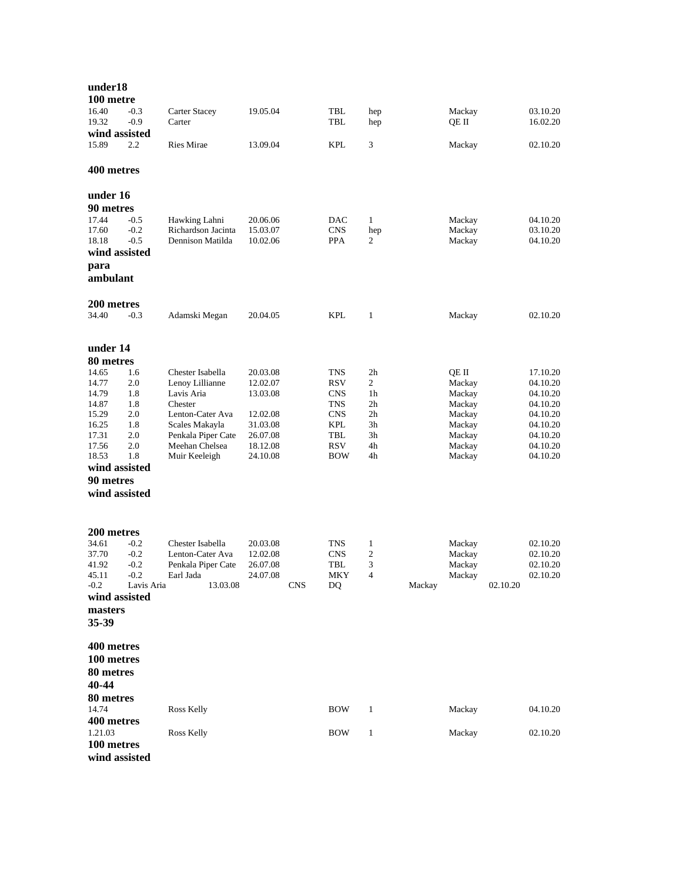| under18<br>100 metre                                                                                                         |                                                             |                                                                                                                                                             |                                                                                              |                                                                                         |                                                                                       |                                                                                       |                                                                                                          |
|------------------------------------------------------------------------------------------------------------------------------|-------------------------------------------------------------|-------------------------------------------------------------------------------------------------------------------------------------------------------------|----------------------------------------------------------------------------------------------|-----------------------------------------------------------------------------------------|---------------------------------------------------------------------------------------|---------------------------------------------------------------------------------------|----------------------------------------------------------------------------------------------------------|
| 16.40<br>19.32<br>wind assisted                                                                                              | $-0.3$<br>$-0.9$                                            | Carter Stacey<br>Carter                                                                                                                                     | 19.05.04                                                                                     | TBL<br>TBL                                                                              | hep<br>hep                                                                            | Mackay<br>QE II                                                                       | 03.10.20<br>16.02.20                                                                                     |
| 15.89                                                                                                                        | 2.2                                                         | Ries Mirae                                                                                                                                                  | 13.09.04                                                                                     | <b>KPL</b>                                                                              | 3                                                                                     | Mackay                                                                                | 02.10.20                                                                                                 |
| 400 metres                                                                                                                   |                                                             |                                                                                                                                                             |                                                                                              |                                                                                         |                                                                                       |                                                                                       |                                                                                                          |
| under 16<br>90 metres<br>17.44<br>17.60<br>18.18<br>wind assisted<br>para<br>ambulant                                        | $-0.5$<br>$-0.2$<br>$-0.5$                                  | Hawking Lahni<br>Richardson Jacinta<br>Dennison Matilda                                                                                                     | 20.06.06<br>15.03.07<br>10.02.06                                                             | DAC<br><b>CNS</b><br><b>PPA</b>                                                         | $\mathbf{1}$<br>hep<br>2                                                              | Mackay<br>Mackay<br>Mackay                                                            | 04.10.20<br>03.10.20<br>04.10.20                                                                         |
| 200 metres<br>34.40                                                                                                          | $-0.3$                                                      | Adamski Megan                                                                                                                                               | 20.04.05                                                                                     | KPL                                                                                     | $\mathbf{1}$                                                                          | Mackay                                                                                | 02.10.20                                                                                                 |
| under 14<br>80 metres                                                                                                        |                                                             |                                                                                                                                                             |                                                                                              |                                                                                         |                                                                                       |                                                                                       |                                                                                                          |
| 14.65<br>14.77<br>14.79<br>14.87<br>15.29<br>16.25<br>17.31<br>17.56<br>18.53<br>wind assisted<br>90 metres<br>wind assisted | 1.6<br>2.0<br>1.8<br>1.8<br>2.0<br>1.8<br>2.0<br>2.0<br>1.8 | Chester Isabella<br>Lenoy Lillianne<br>Lavis Aria<br>Chester<br>Lenton-Cater Ava<br>Scales Makayla<br>Penkala Piper Cate<br>Meehan Chelsea<br>Muir Keeleigh | 20.03.08<br>12.02.07<br>13.03.08<br>12.02.08<br>31.03.08<br>26.07.08<br>18.12.08<br>24.10.08 | TNS<br>RSV<br><b>CNS</b><br><b>TNS</b><br><b>CNS</b><br>KPL<br>TBL<br>RSV<br><b>BOW</b> | 2 <sub>h</sub><br>2<br>1h<br>2 <sub>h</sub><br>2 <sub>h</sub><br>3h<br>3h<br>4h<br>4h | QE II<br>Mackay<br>Mackay<br>Mackay<br>Mackay<br>Mackay<br>Mackay<br>Mackay<br>Mackay | 17.10.20<br>04.10.20<br>04.10.20<br>04.10.20<br>04.10.20<br>04.10.20<br>04.10.20<br>04.10.20<br>04.10.20 |
| 200 metres<br>34.61<br>37.70<br>41.92<br>45.11<br>$-0.2$<br>wind assisted<br>masters<br>35-39                                | $-0.2$<br>$-0.2$<br>$-0.2$<br>$-0.2$<br>Lavis Aria          | Chester Isabella<br>Lenton-Cater Ava<br>Penkala Piper Cate<br>Earl Jada<br>13.03.08                                                                         | 20.03.08<br>12.02.08<br>26.07.08<br>24.07.08<br><b>CNS</b>                                   | TNS<br><b>CNS</b><br>TBL<br>MKY<br>DQ                                                   | $\mathbf{1}$<br>$\mathfrak{2}$<br>3<br>4<br>Mackay                                    | Mackay<br>Mackay<br>Mackay<br>Mackav<br>02.10.20                                      | 02.10.20<br>02.10.20<br>02.10.20<br>02.10.20                                                             |
| 400 metres<br>100 metres<br>80 metres<br>40-44<br>80 metres<br>14.74                                                         |                                                             | Ross Kelly                                                                                                                                                  |                                                                                              | <b>BOW</b>                                                                              | $\mathbf{1}$                                                                          | Mackay                                                                                | 04.10.20                                                                                                 |
| 400 metres<br>1.21.03<br>100 metres<br>wind assisted                                                                         |                                                             | Ross Kelly                                                                                                                                                  |                                                                                              | <b>BOW</b>                                                                              | $\mathbf{1}$                                                                          | Mackay                                                                                | 02.10.20                                                                                                 |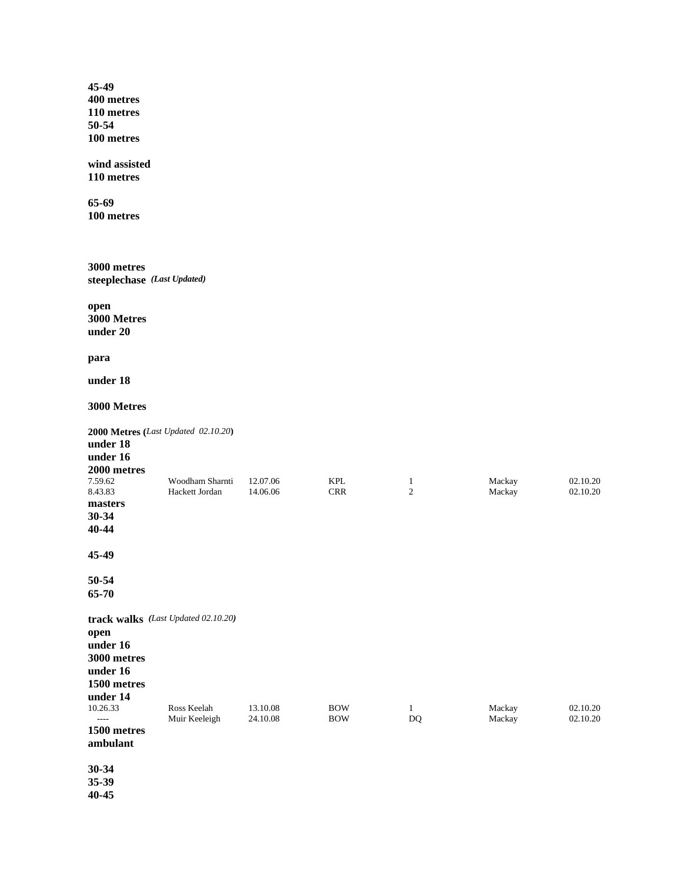**45-49 400 metres 110 metres 50-54 100 metres**

**wind assisted 110 metres**

**65-69 100 metres**

**3000 metres steeplechase** *(Last Updated)*

**open 3000 Metres under 20**

**para**

**under 18**

**3000 Metres**

| under 18<br>under 16    | 2000 Metres (Last Updated 02.10.20) |          |            |                |        |          |
|-------------------------|-------------------------------------|----------|------------|----------------|--------|----------|
| 2000 metres             |                                     |          |            |                |        |          |
| 7.59.62                 | Woodham Sharnti                     | 12.07.06 | <b>KPL</b> | 1              | Mackay | 02.10.20 |
| 8.43.83                 | Hackett Jordan                      | 14.06.06 | <b>CRR</b> | $\overline{2}$ | Mackay | 02.10.20 |
| masters<br>30-34        |                                     |          |            |                |        |          |
| 40-44                   |                                     |          |            |                |        |          |
|                         |                                     |          |            |                |        |          |
| 45-49                   |                                     |          |            |                |        |          |
| 50-54                   |                                     |          |            |                |        |          |
| 65-70                   |                                     |          |            |                |        |          |
|                         | track walks (Last Updated 02.10.20) |          |            |                |        |          |
| open                    |                                     |          |            |                |        |          |
| under 16                |                                     |          |            |                |        |          |
| 3000 metres             |                                     |          |            |                |        |          |
| under 16                |                                     |          |            |                |        |          |
| 1500 metres             |                                     |          |            |                |        |          |
| under 14<br>10.26.33    | Ross Keelah                         | 13.10.08 | <b>BOW</b> | 1              | Mackay | 02.10.20 |
| $---$                   | Muir Keeleigh                       | 24.10.08 | <b>BOW</b> | DQ             | Mackay | 02.10.20 |
| 1500 metres<br>ambulant |                                     |          |            |                |        |          |
| 30-34                   |                                     |          |            |                |        |          |

**35-39 40-45**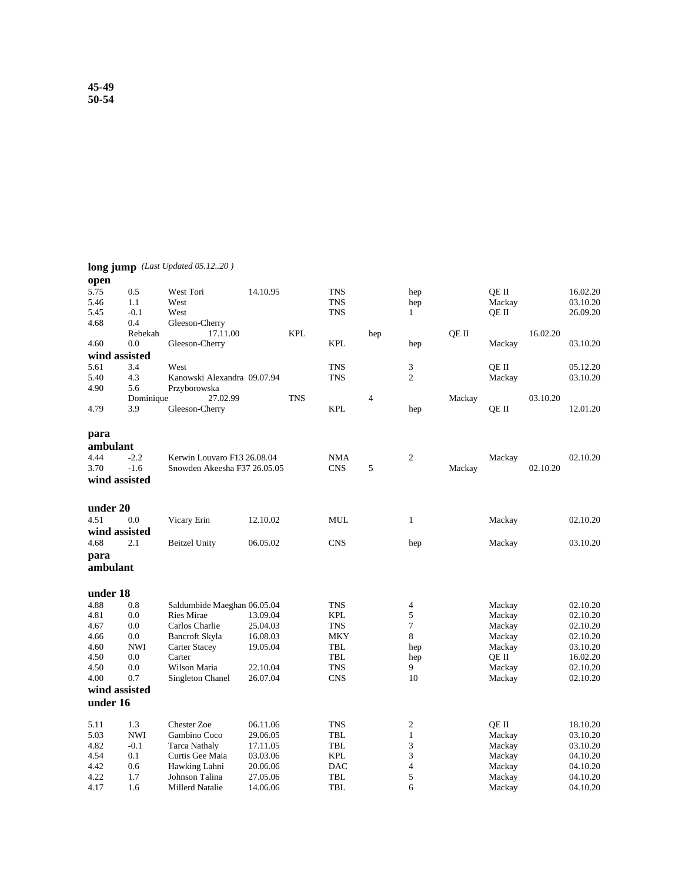|               |            | long jump (Last Updated 05.1220) |          |            |            |                |                         |        |        |          |          |
|---------------|------------|----------------------------------|----------|------------|------------|----------------|-------------------------|--------|--------|----------|----------|
| open          |            |                                  |          |            |            |                |                         |        |        |          |          |
| 5.75          | 0.5        | West Tori                        | 14.10.95 |            | <b>TNS</b> |                | hep                     |        | QE II  |          | 16.02.20 |
| 5.46          | 1.1        | West                             |          |            | <b>TNS</b> |                | hep                     |        | Mackay |          | 03.10.20 |
| 5.45          | $-0.1$     | West                             |          |            | <b>TNS</b> |                | $\mathbf{1}$            |        | QE II  |          | 26.09.20 |
| 4.68          | 0.4        | Gleeson-Cherry                   |          |            |            |                |                         |        |        |          |          |
|               | Rebekah    | 17.11.00                         |          | <b>KPL</b> |            | hep            |                         | OE II  |        | 16.02.20 |          |
| 4.60          | 0.0        | Gleeson-Cherry                   |          |            | <b>KPL</b> |                | hep                     |        | Mackay |          | 03.10.20 |
| wind assisted |            |                                  |          |            |            |                |                         |        |        |          |          |
| 5.61          | 3.4        | West                             |          |            | <b>TNS</b> |                | 3                       |        | OE II  |          | 05.12.20 |
| 5.40          | 4.3        | Kanowski Alexandra 09.07.94      |          |            | <b>TNS</b> |                | $\overline{c}$          |        | Mackay |          | 03.10.20 |
| 4.90          | 5.6        | Przyborowska                     |          |            |            |                |                         |        |        |          |          |
|               | Dominique  | 27.02.99                         |          | <b>TNS</b> |            | $\overline{4}$ |                         | Mackay |        | 03.10.20 |          |
| 4.79          | 3.9        | Gleeson-Cherry                   |          |            | <b>KPL</b> |                | hep                     |        | QE II  |          | 12.01.20 |
| para          |            |                                  |          |            |            |                |                         |        |        |          |          |
| ambulant      |            |                                  |          |            |            |                |                         |        |        |          |          |
| 4.44          | $-2.2$     | Kerwin Louvaro F13 26.08.04      |          |            | <b>NMA</b> |                | $\mathfrak{2}$          |        | Mackay |          | 02.10.20 |
| 3.70          | $-1.6$     | Snowden Akeesha F37 26.05.05     |          |            | <b>CNS</b> | 5              |                         | Mackay |        | 02.10.20 |          |
| wind assisted |            |                                  |          |            |            |                |                         |        |        |          |          |
|               |            |                                  |          |            |            |                |                         |        |        |          |          |
| under 20      |            |                                  |          |            |            |                |                         |        |        |          |          |
| 4.51          | 0.0        | Vicary Erin                      | 12.10.02 |            | <b>MUL</b> |                | 1                       |        | Mackay |          | 02.10.20 |
| wind assisted |            |                                  |          |            |            |                |                         |        |        |          |          |
| 4.68          | 2.1        | <b>Beitzel Unity</b>             | 06.05.02 |            | <b>CNS</b> |                | hep                     |        | Mackay |          | 03.10.20 |
| para          |            |                                  |          |            |            |                |                         |        |        |          |          |
| ambulant      |            |                                  |          |            |            |                |                         |        |        |          |          |
|               |            |                                  |          |            |            |                |                         |        |        |          |          |
| under 18      |            |                                  |          |            |            |                |                         |        |        |          |          |
| 4.88          | 0.8        | Saldumbide Maeghan 06.05.04      |          |            | <b>TNS</b> |                | 4                       |        | Mackay |          | 02.10.20 |
| 4.81          | 0.0        | <b>Ries Mirae</b>                | 13.09.04 |            | <b>KPL</b> |                | 5                       |        | Mackay |          | 02.10.20 |
| 4.67          | 0.0        | Carlos Charlie                   | 25.04.03 |            | <b>TNS</b> |                | 7                       |        | Mackay |          | 02.10.20 |
| 4.66          | 0.0        | Bancroft Skyla                   | 16.08.03 |            | <b>MKY</b> |                | 8                       |        | Mackay |          | 02.10.20 |
| 4.60          | <b>NWI</b> | <b>Carter Stacey</b>             | 19.05.04 |            | TBL        |                | hep                     |        | Mackay |          | 03.10.20 |
| 4.50          | 0.0        | Carter                           |          |            | TBL        |                | hep                     |        | QE II  |          | 16.02.20 |
| 4.50          | 0.0        | Wilson Maria                     | 22.10.04 |            | <b>TNS</b> |                | 9                       |        | Mackay |          | 02.10.20 |
| 4.00          | 0.7        | Singleton Chanel                 | 26.07.04 |            | <b>CNS</b> |                | 10                      |        | Mackay |          | 02.10.20 |
| wind assisted |            |                                  |          |            |            |                |                         |        |        |          |          |
| under 16      |            |                                  |          |            |            |                |                         |        |        |          |          |
| 5.11          | 1.3        | <b>Chester Zoe</b>               | 06.11.06 |            | <b>TNS</b> |                | $\mathfrak{2}$          |        | QE II  |          | 18.10.20 |
| 5.03          | <b>NWI</b> | Gambino Coco                     | 29.06.05 |            | TBL        |                | $\mathbf{1}$            |        | Mackay |          | 03.10.20 |
| 4.82          | $-0.1$     | <b>Tarca Nathaly</b>             | 17.11.05 |            | TBL        |                | 3                       |        | Mackay |          | 03.10.20 |
| 4.54          | 0.1        | Curtis Gee Maia                  | 03.03.06 |            | <b>KPL</b> |                | 3                       |        | Mackay |          | 04.10.20 |
| 4.42          | 0.6        | Hawking Lahni                    | 20.06.06 |            | <b>DAC</b> |                | $\overline{\mathbf{4}}$ |        | Mackay |          | 04.10.20 |
| 4.22          | 1.7        | Johnson Talina                   | 27.05.06 |            | TBL        |                | 5                       |        | Mackay |          | 04.10.20 |

4.17 1.6 Millerd Natalie 14.06.06 TBL 6 Mackay 04.10.20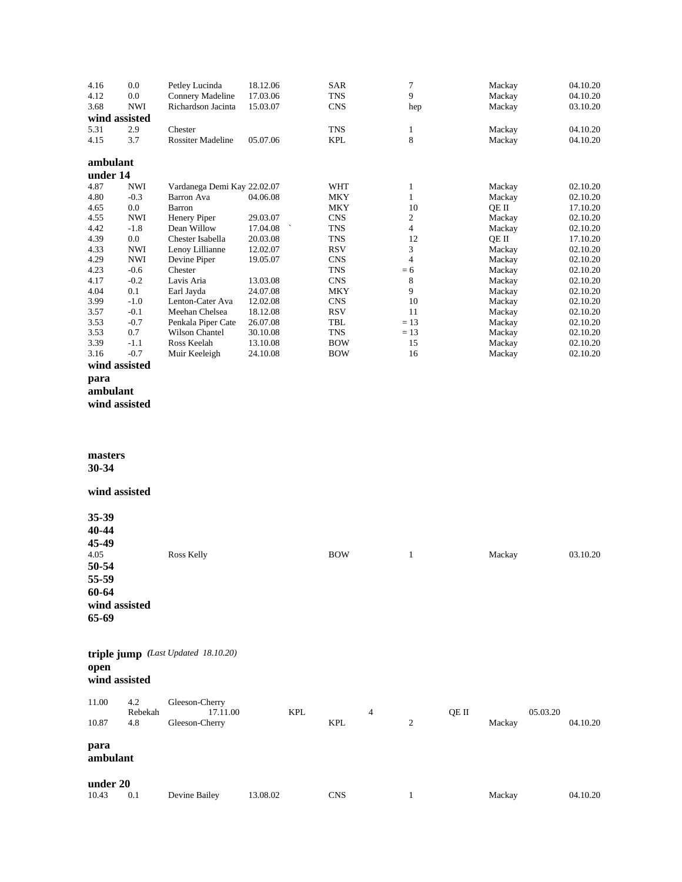| 4.16     | 0.0           | Petley Lucinda                      | 18.12.06 |            | SAR        |                | $\boldsymbol{7}$         |       | Mackay |          | 04.10.20 |
|----------|---------------|-------------------------------------|----------|------------|------------|----------------|--------------------------|-------|--------|----------|----------|
| 4.12     | 0.0           | Connery Madeline                    | 17.03.06 |            | <b>TNS</b> |                | 9                        |       | Mackay |          | 04.10.20 |
| 3.68     | <b>NWI</b>    | Richardson Jacinta                  | 15.03.07 |            | <b>CNS</b> |                | hep                      |       | Mackay |          | 03.10.20 |
|          | wind assisted |                                     |          |            |            |                |                          |       |        |          |          |
|          |               |                                     |          |            |            |                |                          |       |        |          |          |
| 5.31     | 2.9           | Chester                             |          |            | TNS        |                | $\mathbf{1}$             |       | Mackay |          | 04.10.20 |
| 4.15     | 3.7           | Rossiter Madeline                   | 05.07.06 |            | <b>KPL</b> |                | 8                        |       | Mackay |          | 04.10.20 |
|          |               |                                     |          |            |            |                |                          |       |        |          |          |
| ambulant |               |                                     |          |            |            |                |                          |       |        |          |          |
|          |               |                                     |          |            |            |                |                          |       |        |          |          |
| under 14 |               |                                     |          |            |            |                |                          |       |        |          |          |
| 4.87     | <b>NWI</b>    | Vardanega Demi Kay 22.02.07         |          |            | WHT        |                | $\mathbf{1}$             |       | Mackay |          | 02.10.20 |
| 4.80     | $-0.3$        | Barron Ava                          | 04.06.08 |            | <b>MKY</b> |                | $\,1$                    |       | Mackay |          | 02.10.20 |
| 4.65     | 0.0           | Barron                              |          |            | <b>MKY</b> |                | 10                       |       | QE II  |          | 17.10.20 |
| 4.55     | <b>NWI</b>    | Henery Piper                        | 29.03.07 |            | <b>CNS</b> |                | $\overline{c}$           |       | Mackay |          | 02.10.20 |
| 4.42     | $-1.8$        | Dean Willow                         | 17.04.08 |            | <b>TNS</b> |                | $\overline{\mathcal{A}}$ |       | Mackay |          | 02.10.20 |
|          |               |                                     |          |            |            |                |                          |       |        |          |          |
| 4.39     | $0.0\,$       | Chester Isabella                    | 20.03.08 |            | TNS        |                | 12                       |       | QE II  |          | 17.10.20 |
| 4.33     | <b>NWI</b>    | Lenoy Lillianne                     | 12.02.07 |            | <b>RSV</b> |                | 3                        |       | Mackay |          | 02.10.20 |
| 4.29     | <b>NWI</b>    | Devine Piper                        | 19.05.07 |            | <b>CNS</b> |                | $\overline{4}$           |       | Mackay |          | 02.10.20 |
| 4.23     | $-0.6$        | Chester                             |          |            | TNS        |                | $= 6$                    |       | Mackay |          | 02.10.20 |
| 4.17     | $-0.2$        | Lavis Aria                          | 13.03.08 |            | <b>CNS</b> |                | $\,8\,$                  |       | Mackay |          | 02.10.20 |
| 4.04     | 0.1           | Earl Jayda                          | 24.07.08 |            | <b>MKY</b> |                | 9                        |       | Mackay |          | 02.10.20 |
|          |               |                                     |          |            |            |                |                          |       |        |          |          |
| 3.99     | $-1.0$        | Lenton-Cater Ava                    | 12.02.08 |            | <b>CNS</b> |                | 10                       |       | Mackay |          | 02.10.20 |
| 3.57     | $-0.1$        | Meehan Chelsea                      | 18.12.08 |            | <b>RSV</b> |                | 11                       |       | Mackay |          | 02.10.20 |
| 3.53     | $-0.7$        | Penkala Piper Cate                  | 26.07.08 |            | <b>TBL</b> |                | $= 13$                   |       | Mackay |          | 02.10.20 |
| 3.53     | 0.7           | Wilson Chantel                      | 30.10.08 |            | <b>TNS</b> |                | $= 13$                   |       | Mackay |          | 02.10.20 |
| 3.39     | $-1.1$        | Ross Keelah                         | 13.10.08 |            | <b>BOW</b> |                | 15                       |       | Mackay |          | 02.10.20 |
| 3.16     | $-0.7$        | Muir Keeleigh                       | 24.10.08 |            | <b>BOW</b> |                | 16                       |       | Mackay |          | 02.10.20 |
|          | wind assisted |                                     |          |            |            |                |                          |       |        |          |          |
|          |               |                                     |          |            |            |                |                          |       |        |          |          |
| para     |               |                                     |          |            |            |                |                          |       |        |          |          |
| ambulant |               |                                     |          |            |            |                |                          |       |        |          |          |
|          |               |                                     |          |            |            |                |                          |       |        |          |          |
|          | wind assisted |                                     |          |            |            |                |                          |       |        |          |          |
|          |               |                                     |          |            |            |                |                          |       |        |          |          |
|          |               |                                     |          |            |            |                |                          |       |        |          |          |
|          |               |                                     |          |            |            |                |                          |       |        |          |          |
|          |               |                                     |          |            |            |                |                          |       |        |          |          |
| masters  |               |                                     |          |            |            |                |                          |       |        |          |          |
|          |               |                                     |          |            |            |                |                          |       |        |          |          |
| 30-34    |               |                                     |          |            |            |                |                          |       |        |          |          |
|          |               |                                     |          |            |            |                |                          |       |        |          |          |
|          | wind assisted |                                     |          |            |            |                |                          |       |        |          |          |
|          |               |                                     |          |            |            |                |                          |       |        |          |          |
|          |               |                                     |          |            |            |                |                          |       |        |          |          |
| 35-39    |               |                                     |          |            |            |                |                          |       |        |          |          |
|          |               |                                     |          |            |            |                |                          |       |        |          |          |
| 40-44    |               |                                     |          |            |            |                |                          |       |        |          |          |
| 45-49    |               |                                     |          |            |            |                |                          |       |        |          |          |
|          |               |                                     |          |            |            |                |                          |       |        |          |          |
| 4.05     |               | <b>Ross Kelly</b>                   |          |            | <b>BOW</b> |                | $\,1\,$                  |       | Mackay |          | 03.10.20 |
| 50-54    |               |                                     |          |            |            |                |                          |       |        |          |          |
| 55-59    |               |                                     |          |            |            |                |                          |       |        |          |          |
|          |               |                                     |          |            |            |                |                          |       |        |          |          |
| 60-64    |               |                                     |          |            |            |                |                          |       |        |          |          |
|          | wind assisted |                                     |          |            |            |                |                          |       |        |          |          |
|          |               |                                     |          |            |            |                |                          |       |        |          |          |
| 65-69    |               |                                     |          |            |            |                |                          |       |        |          |          |
|          |               |                                     |          |            |            |                |                          |       |        |          |          |
|          |               |                                     |          |            |            |                |                          |       |        |          |          |
|          |               |                                     |          |            |            |                |                          |       |        |          |          |
|          |               | triple jump (Last Updated 18.10.20) |          |            |            |                |                          |       |        |          |          |
| open     |               |                                     |          |            |            |                |                          |       |        |          |          |
|          | wind assisted |                                     |          |            |            |                |                          |       |        |          |          |
|          |               |                                     |          |            |            |                |                          |       |        |          |          |
|          |               |                                     |          |            |            |                |                          |       |        |          |          |
| 11.00    | 4.2           | Gleeson-Cherry                      |          |            |            |                |                          |       |        |          |          |
|          | Rebekah       | 17.11.00                            |          | <b>KPL</b> |            | $\overline{4}$ |                          | QE II |        | 05.03.20 |          |
| 10.87    | 4.8           | Gleeson-Cherry                      |          |            | <b>KPL</b> |                | $\overline{c}$           |       | Mackay |          | 04.10.20 |
|          |               |                                     |          |            |            |                |                          |       |        |          |          |
|          |               |                                     |          |            |            |                |                          |       |        |          |          |
| para     |               |                                     |          |            |            |                |                          |       |        |          |          |
| ambulant |               |                                     |          |            |            |                |                          |       |        |          |          |
|          |               |                                     |          |            |            |                |                          |       |        |          |          |
|          |               |                                     |          |            |            |                |                          |       |        |          |          |
| under 20 |               |                                     |          |            |            |                |                          |       |        |          |          |
| 10.43    | 0.1           | Devine Bailey                       | 13.08.02 |            | <b>CNS</b> |                | $\mathbf{1}$             |       | Mackay |          | 04.10.20 |
|          |               |                                     |          |            |            |                |                          |       |        |          |          |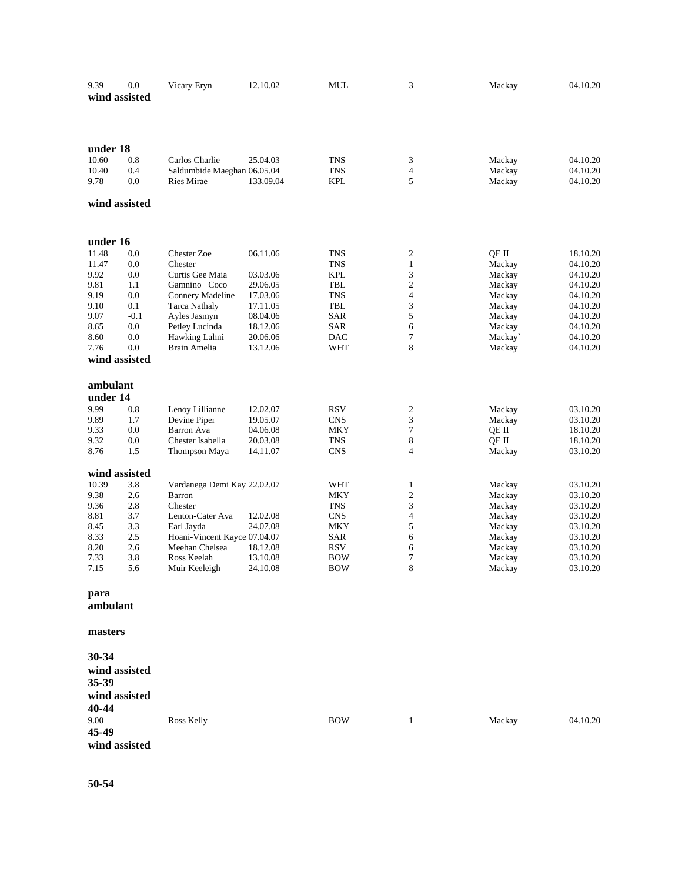| 9.39<br>wind assisted | 0.0        | Vicary Eryn                               | 12.10.02  | MUL               | 3                       | Mackay           | 04.10.20             |
|-----------------------|------------|-------------------------------------------|-----------|-------------------|-------------------------|------------------|----------------------|
|                       |            |                                           |           |                   |                         |                  |                      |
| under 18              |            |                                           |           |                   |                         |                  |                      |
| 10.60                 | 0.8        | Carlos Charlie                            | 25.04.03  | TNS               | 3                       | Mackay           | 04.10.20             |
| 10.40<br>9.78         | 0.4<br>0.0 | Saldumbide Maeghan 06.05.04<br>Ries Mirae | 133.09.04 | TNS<br><b>KPL</b> | 4<br>5                  | Mackay<br>Mackay | 04.10.20<br>04.10.20 |
| wind assisted         |            |                                           |           |                   |                         |                  |                      |
| under 16              |            |                                           |           |                   |                         |                  |                      |
| 11.48                 | 0.0        | <b>Chester Zoe</b>                        | 06.11.06  | TNS               | 2                       | QE II            | 18.10.20             |
| 11.47                 | 0.0        | Chester                                   |           | <b>TNS</b>        | $\mathbf{1}$            | Mackay           | 04.10.20             |
| 9.92                  | 0.0        | Curtis Gee Maia                           | 03.03.06  | <b>KPL</b>        | 3                       | Mackay           | 04.10.20             |
| 9.81                  | 1.1        | Gamnino Coco                              | 29.06.05  | TBL               | $\overline{c}$          | Mackay           | 04.10.20             |
| 9.19                  | 0.0        | Connery Madeline                          | 17.03.06  | <b>TNS</b>        | $\overline{\mathbf{4}}$ | Mackay           | 04.10.20             |
| 9.10                  | 0.1        | <b>Tarca Nathaly</b>                      | 17.11.05  | TBL               | 3                       | Mackay           | 04.10.20             |
| 9.07                  | $-0.1$     | Ayles Jasmyn                              | 08.04.06  | SAR               | 5                       | Mackay           | 04.10.20             |
| 8.65                  | 0.0        | Petley Lucinda                            | 18.12.06  | SAR               | 6                       | Mackay           | 04.10.20             |
| 8.60                  | 0.0        | Hawking Lahni                             | 20.06.06  | DAC               | 7                       | Mackay`          | 04.10.20             |
| 7.76                  | 0.0        | Brain Amelia                              | 13.12.06  | WHT               | 8                       | Mackay           | 04.10.20             |
| wind assisted         |            |                                           |           |                   |                         |                  |                      |
| ambulant              |            |                                           |           |                   |                         |                  |                      |
| under 14              |            |                                           |           |                   |                         |                  |                      |
| 9.99                  | 0.8        | Lenoy Lillianne                           | 12.02.07  | RSV               | 2                       | Mackay           | 03.10.20             |
| 9.89                  | 1.7        | Devine Piper                              | 19.05.07  | CNS               | 3                       | Mackay           | 03.10.20             |
| 9.33                  | 0.0        | Barron Ava                                | 04.06.08  | MKY               | 7                       | QE II            | 18.10.20             |
| 9.32                  | 0.0        | Chester Isabella                          | 20.03.08  | TNS               | 8                       | QE II            | 18.10.20             |
| 8.76                  | 1.5        | Thompson Maya                             | 14.11.07  | CNS               | $\overline{4}$          | Mackay           | 03.10.20             |
| wind assisted         |            |                                           |           |                   |                         |                  |                      |
| 10.39                 | 3.8        | Vardanega Demi Kay 22.02.07               |           | WHT               | 1                       | Mackay           | 03.10.20             |
| 9.38                  | 2.6        | Barron                                    |           | MKY               | $\mathbf{2}$            | Mackay           | 03.10.20             |
| 9.36                  | 2.8        | Chester                                   |           | <b>TNS</b>        | 3                       | Mackay           | 03.10.20             |
| 8.81                  | 3.7        | Lenton-Cater Ava                          | 12.02.08  | <b>CNS</b>        | $\overline{\mathbf{4}}$ | Mackay           | 03.10.20             |
| 8.45                  | 3.3        | Earl Jayda                                | 24.07.08  | MKY               | 5                       | Mackay           | 03.10.20             |
| 8.33                  | 2.5        | Hoani-Vincent Kayce 07.04.07              |           | <b>SAR</b>        | 6                       | Mackay           | 03.10.20             |
| 8.20                  | 2.6        | Meehan Chelsea                            | 18.12.08  | <b>RSV</b>        | 6                       | Mackay           | 03.10.20             |
| 7.33                  | 3.8        | Ross Keelah                               | 13.10.08  | <b>BOW</b>        | 7                       | Mackay           | 03.10.20             |
| 7.15                  | 5.6        | Muir Keeleigh                             | 24.10.08  | BOW               | 8                       | Mackay           | 03.10.20             |
| para<br>ambulant      |            |                                           |           |                   |                         |                  |                      |
| masters               |            |                                           |           |                   |                         |                  |                      |
| 30-34                 |            |                                           |           |                   |                         |                  |                      |
| wind assisted         |            |                                           |           |                   |                         |                  |                      |
| 35-39                 |            |                                           |           |                   |                         |                  |                      |
| wind assisted         |            |                                           |           |                   |                         |                  |                      |
| 40-44                 |            |                                           |           |                   |                         |                  |                      |
| 9.00                  |            | Ross Kelly                                |           | <b>BOW</b>        | $\mathbf{1}$            | Mackay           | 04.10.20             |
| 45-49                 |            |                                           |           |                   |                         |                  |                      |
| wind assisted         |            |                                           |           |                   |                         |                  |                      |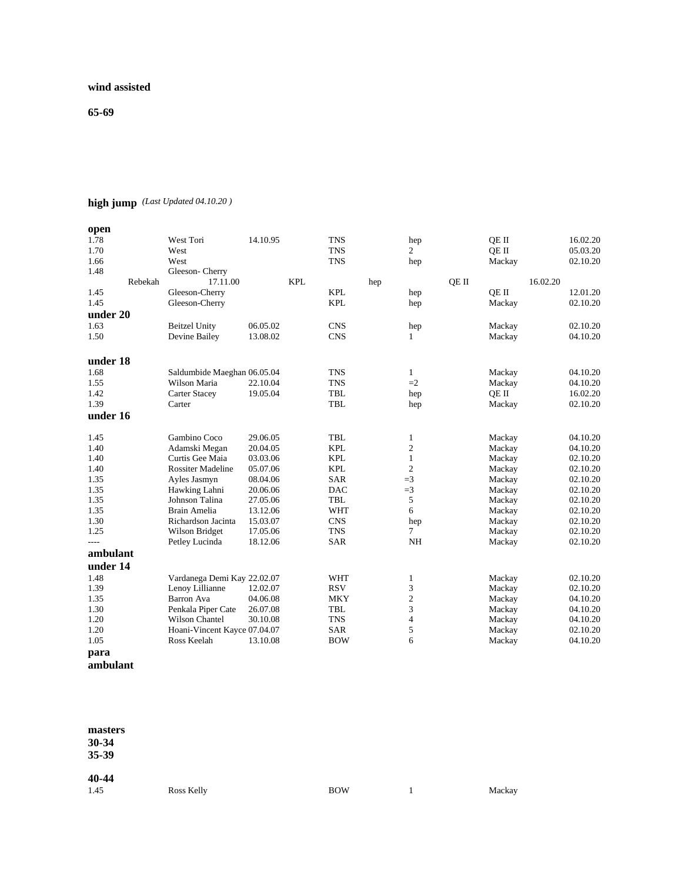## **wind assisted**

**65-69**

# **high jump** *(Last Updated 04.10.20 )*

| open     |         |                              |          |            |            |     |                |       |        |          |          |
|----------|---------|------------------------------|----------|------------|------------|-----|----------------|-------|--------|----------|----------|
| 1.78     |         | West Tori                    | 14.10.95 |            | <b>TNS</b> |     | hep            |       | OE II  |          | 16.02.20 |
| 1.70     |         | West                         |          |            | <b>TNS</b> |     | $\overline{2}$ |       | QE II  |          | 05.03.20 |
| 1.66     |         | West                         |          |            | <b>TNS</b> |     | hep            |       | Mackay |          | 02.10.20 |
| 1.48     |         | Gleeson-Cherry               |          |            |            |     |                |       |        |          |          |
|          | Rebekah | 17.11.00                     |          | <b>KPL</b> |            | hep |                | QE II |        | 16.02.20 |          |
| 1.45     |         | Gleeson-Cherry               |          |            | <b>KPL</b> |     | hep            |       | QE II  |          | 12.01.20 |
| 1.45     |         | Gleeson-Cherry               |          |            | <b>KPL</b> |     | hep            |       | Mackay |          | 02.10.20 |
| under 20 |         |                              |          |            |            |     |                |       |        |          |          |
| 1.63     |         | <b>Beitzel Unity</b>         | 06.05.02 |            | <b>CNS</b> |     | hep            |       | Mackay |          | 02.10.20 |
| 1.50     |         | Devine Bailey                | 13.08.02 |            | <b>CNS</b> |     | $\mathbf{1}$   |       | Mackay |          | 04.10.20 |
| under 18 |         |                              |          |            |            |     |                |       |        |          |          |
| 1.68     |         | Saldumbide Maeghan 06.05.04  |          |            | <b>TNS</b> |     | $\mathbf{1}$   |       | Mackay |          | 04.10.20 |
| 1.55     |         | Wilson Maria                 | 22.10.04 |            | <b>TNS</b> |     | $=2$           |       | Mackay |          | 04.10.20 |
| 1.42     |         | <b>Carter Stacey</b>         | 19.05.04 |            | <b>TBL</b> |     | hep            |       | QE II  |          | 16.02.20 |
| 1.39     |         | Carter                       |          |            | <b>TBL</b> |     | hep            |       | Mackay |          | 02.10.20 |
| under 16 |         |                              |          |            |            |     |                |       |        |          |          |
|          |         |                              |          |            |            |     |                |       |        |          |          |
| 1.45     |         | Gambino Coco                 | 29.06.05 |            | <b>TBL</b> |     | 1              |       | Mackay |          | 04.10.20 |
| 1.40     |         | Adamski Megan                | 20.04.05 |            | <b>KPL</b> |     | $\overline{c}$ |       | Mackay |          | 04.10.20 |
| 1.40     |         | Curtis Gee Maia              | 03.03.06 |            | <b>KPL</b> |     | $\mathbf{1}$   |       | Mackay |          | 02.10.20 |
| 1.40     |         | <b>Rossiter Madeline</b>     | 05.07.06 |            | <b>KPL</b> |     | $\overline{c}$ |       | Mackay |          | 02.10.20 |
| 1.35     |         | Ayles Jasmyn                 | 08.04.06 |            | <b>SAR</b> |     | $=$ 3          |       | Mackay |          | 02.10.20 |
| 1.35     |         | Hawking Lahni                | 20.06.06 |            | <b>DAC</b> |     | $=$ 3          |       | Mackay |          | 02.10.20 |
| 1.35     |         | Johnson Talina               | 27.05.06 |            | <b>TBL</b> |     | 5              |       | Mackay |          | 02.10.20 |
| 1.35     |         | Brain Amelia                 | 13.12.06 |            | <b>WHT</b> |     | 6              |       | Mackay |          | 02.10.20 |
| 1.30     |         | Richardson Jacinta           | 15.03.07 |            | <b>CNS</b> |     | hep            |       | Mackay |          | 02.10.20 |
| 1.25     |         | Wilson Bridget               | 17.05.06 |            | <b>TNS</b> |     | $\tau$         |       | Mackay |          | 02.10.20 |
| $---$    |         | Petley Lucinda               | 18.12.06 |            | <b>SAR</b> |     | <b>NH</b>      |       | Mackay |          | 02.10.20 |
| ambulant |         |                              |          |            |            |     |                |       |        |          |          |
| under 14 |         |                              |          |            |            |     |                |       |        |          |          |
| 1.48     |         | Vardanega Demi Kay 22.02.07  |          |            | <b>WHT</b> |     | 1              |       | Mackay |          | 02.10.20 |
| 1.39     |         | Lenoy Lillianne              | 12.02.07 |            | <b>RSV</b> |     | 3              |       | Mackay |          | 02.10.20 |
| 1.35     |         | Barron Ava                   | 04.06.08 |            | <b>MKY</b> |     | $\overline{c}$ |       | Mackay |          | 04.10.20 |
| 1.30     |         | Penkala Piper Cate           | 26.07.08 |            | <b>TBL</b> |     | 3              |       | Mackay |          | 04.10.20 |
| 1.20     |         | Wilson Chantel               | 30.10.08 |            | <b>TNS</b> |     | $\overline{4}$ |       | Mackay |          | 04.10.20 |
| 1.20     |         | Hoani-Vincent Kayce 07.04.07 |          |            | <b>SAR</b> |     | 5              |       | Mackay |          | 02.10.20 |
| 1.05     |         | Ross Keelah                  | 13.10.08 |            | <b>BOW</b> |     | 6              |       | Mackay |          | 04.10.20 |
| para     |         |                              |          |            |            |     |                |       |        |          |          |

```
ambulant
```

| masters<br>30-34<br>35-39 |                   |            |        |
|---------------------------|-------------------|------------|--------|
| 40-44<br>1.45             | <b>Ross Kelly</b> | <b>BOW</b> | Mackay |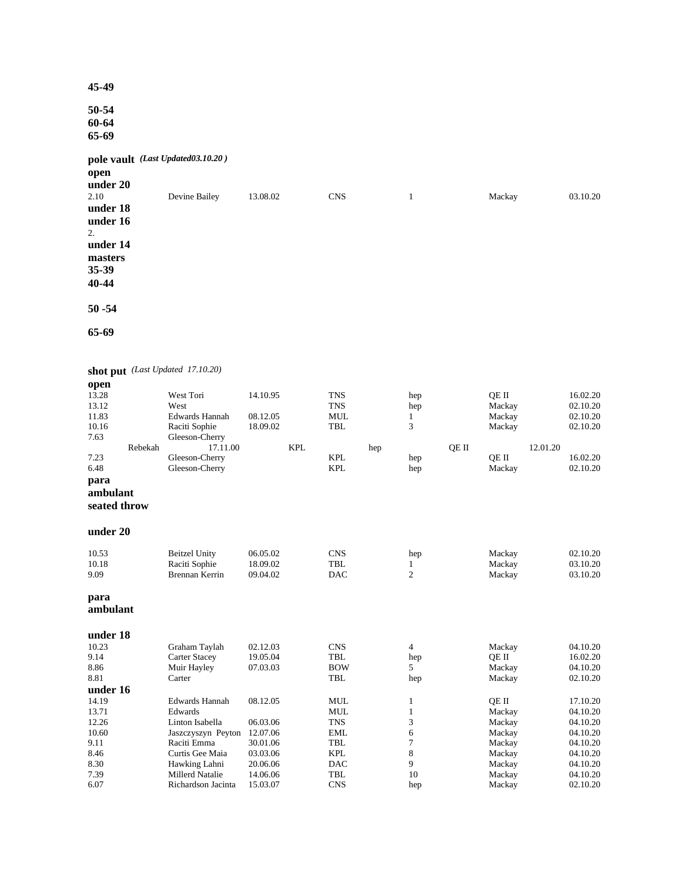**50-54 60-64 65-69**

**pole vault** *(Last Updated03.10.20 )* 

**open**

| under 20<br>2.10<br>under 18 | Devine Bailey | 13.08.02 | <b>CNS</b> | Mackay | 03.10.20 |
|------------------------------|---------------|----------|------------|--------|----------|
| under 16<br>2.<br>under 14   |               |          |            |        |          |
| masters<br>35-39<br>40-44    |               |          |            |        |          |
| $50 - 54$                    |               |          |            |        |          |

**65-69**

**shot put** *(Last Updated 17.10.20)* **open**<br>13.28

| 13.28        |         | West Tori             | 14.10.95 |            | <b>TNS</b> |     | hep            |       | QE II  |          | 16.02.20 |
|--------------|---------|-----------------------|----------|------------|------------|-----|----------------|-------|--------|----------|----------|
| 13.12        |         | West                  |          |            | <b>TNS</b> |     | hep            |       | Mackay |          | 02.10.20 |
| 11.83        |         | <b>Edwards Hannah</b> | 08.12.05 |            | <b>MUL</b> |     | 1              |       | Mackay |          | 02.10.20 |
| 10.16        |         | Raciti Sophie         | 18.09.02 |            | TBL        |     | 3              |       | Mackay |          | 02.10.20 |
| 7.63         |         | Gleeson-Cherry        |          |            |            |     |                |       |        |          |          |
|              | Rebekah | 17.11.00              |          | <b>KPL</b> |            | hep |                | QE II |        | 12.01.20 |          |
| 7.23         |         | Gleeson-Cherry        |          |            | <b>KPL</b> |     | hep            |       | QE II  |          | 16.02.20 |
| 6.48         |         | Gleeson-Cherry        |          |            | <b>KPL</b> |     | hep            |       | Mackay |          | 02.10.20 |
| para         |         |                       |          |            |            |     |                |       |        |          |          |
| ambulant     |         |                       |          |            |            |     |                |       |        |          |          |
| seated throw |         |                       |          |            |            |     |                |       |        |          |          |
|              |         |                       |          |            |            |     |                |       |        |          |          |
| under 20     |         |                       |          |            |            |     |                |       |        |          |          |
|              |         |                       |          |            |            |     |                |       |        |          |          |
| 10.53        |         | <b>Beitzel Unity</b>  | 06.05.02 |            | <b>CNS</b> |     | hep            |       | Mackay |          | 02.10.20 |
| 10.18        |         | Raciti Sophie         | 18.09.02 |            | <b>TBL</b> |     | 1              |       | Mackay |          | 03.10.20 |
| 9.09         |         | Brennan Kerrin        | 09.04.02 |            | <b>DAC</b> |     | $\overline{c}$ |       | Mackay |          | 03.10.20 |
| para         |         |                       |          |            |            |     |                |       |        |          |          |
| ambulant     |         |                       |          |            |            |     |                |       |        |          |          |
| under 18     |         |                       |          |            |            |     |                |       |        |          |          |
| 10.23        |         | Graham Taylah         | 02.12.03 |            | <b>CNS</b> |     | 4              |       | Mackay |          | 04.10.20 |
| 9.14         |         | <b>Carter Stacey</b>  | 19.05.04 |            | <b>TBL</b> |     | hep            |       | OE II  |          | 16.02.20 |
| 8.86         |         | Muir Hayley           | 07.03.03 |            | <b>BOW</b> |     | 5              |       | Mackay |          | 04.10.20 |
| 8.81         |         | Carter                |          |            | <b>TBL</b> |     | hep            |       | Mackay |          | 02.10.20 |
| under 16     |         |                       |          |            |            |     |                |       |        |          |          |
| 14.19        |         | <b>Edwards Hannah</b> | 08.12.05 |            | <b>MUL</b> |     | 1              |       | QE II  |          | 17.10.20 |
| 13.71        |         | Edwards               |          |            | <b>MUL</b> |     | $\mathbf{1}$   |       | Mackay |          | 04.10.20 |
| 12.26        |         | Linton Isabella       | 06.03.06 |            | <b>TNS</b> |     | 3              |       | Mackay |          | 04.10.20 |
| 10.60        |         | Jaszczyszyn Peyton    | 12.07.06 |            | <b>EML</b> |     | 6              |       | Mackay |          | 04.10.20 |
| 9.11         |         | Raciti Emma           | 30.01.06 |            | <b>TBL</b> |     | 7              |       | Mackay |          | 04.10.20 |
| 8.46         |         | Curtis Gee Maia       | 03.03.06 |            | <b>KPL</b> |     | 8              |       | Mackay |          | 04.10.20 |
| 8.30         |         | Hawking Lahni         | 20.06.06 |            | <b>DAC</b> |     | 9              |       | Mackay |          | 04.10.20 |
| 7.39         |         | Millerd Natalie       | 14.06.06 |            | <b>TBL</b> |     | 10             |       | Mackay |          | 04.10.20 |
| 6.07         |         | Richardson Jacinta    | 15.03.07 |            | <b>CNS</b> |     | hep            |       | Mackay |          | 02.10.20 |
|              |         |                       |          |            |            |     |                |       |        |          |          |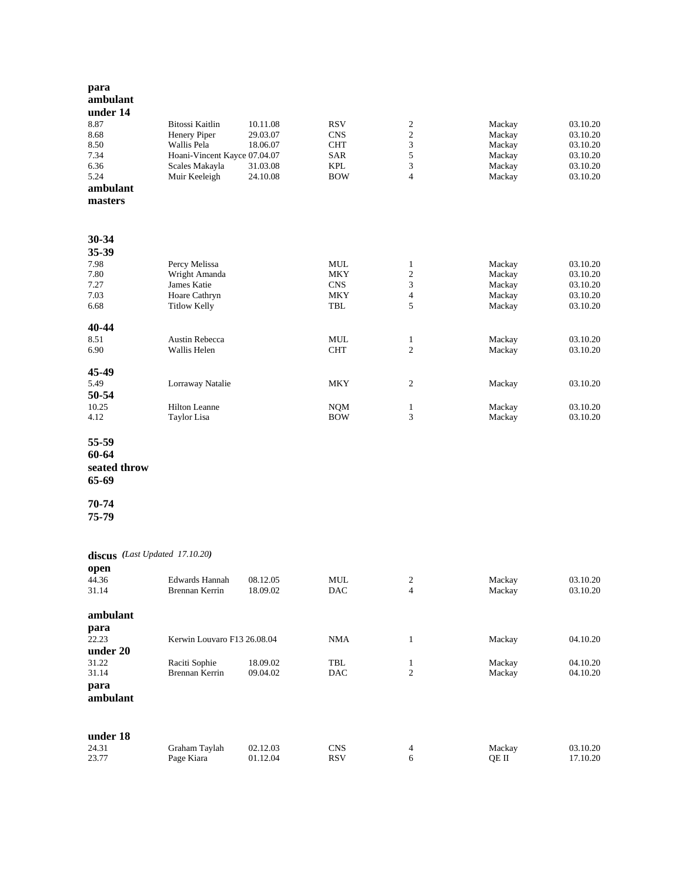| para              |                                |                      |                             |                         |                  |                      |
|-------------------|--------------------------------|----------------------|-----------------------------|-------------------------|------------------|----------------------|
| ambulant          |                                |                      |                             |                         |                  |                      |
| under 14          |                                |                      |                             |                         |                  |                      |
| 8.87              | Bitossi Kaitlin                | 10.11.08             | <b>RSV</b>                  | $\overline{c}$          | Mackay           | 03.10.20             |
| 8.68<br>8.50      | Henery Piper<br>Wallis Pela    | 29.03.07<br>18.06.07 | <b>CNS</b><br><b>CHT</b>    | $\mathbf{2}$<br>3       | Mackay<br>Mackay | 03.10.20<br>03.10.20 |
| 7.34              | Hoani-Vincent Kayce 07.04.07   |                      | SAR                         | 5                       | Mackay           | 03.10.20             |
| 6.36              | Scales Makayla                 | 31.03.08             | <b>KPL</b>                  | 3                       | Mackay           | 03.10.20             |
| 5.24              | Muir Keeleigh                  | 24.10.08             | <b>BOW</b>                  | $\overline{4}$          | Mackay           | 03.10.20             |
| ambulant          |                                |                      |                             |                         |                  |                      |
| masters           |                                |                      |                             |                         |                  |                      |
|                   |                                |                      |                             |                         |                  |                      |
| 30-34             |                                |                      |                             |                         |                  |                      |
| 35-39             |                                |                      |                             |                         |                  |                      |
| 7.98<br>7.80      | Percy Melissa<br>Wright Amanda |                      | MUL<br><b>MKY</b>           | 1<br>$\mathbf{2}$       | Mackay<br>Mackay | 03.10.20<br>03.10.20 |
| 7.27              | James Katie                    |                      | <b>CNS</b>                  | 3                       | Mackay           | 03.10.20             |
| 7.03              | Hoare Cathryn                  |                      | <b>MKY</b>                  | $\overline{\mathbf{4}}$ | Mackay           | 03.10.20             |
| 6.68              | <b>Titlow Kelly</b>            |                      | TBL                         | 5                       | Mackay           | 03.10.20             |
| 40-44             |                                |                      |                             |                         |                  |                      |
| 8.51              | Austin Rebecca                 |                      | <b>MUL</b>                  | $\mathbf{1}$            | Mackay           | 03.10.20             |
| 6.90              | Wallis Helen                   |                      | <b>CHT</b>                  | $\overline{c}$          | Mackay           | 03.10.20             |
| 45-49             |                                |                      |                             |                         |                  |                      |
| 5.49              | Lorraway Natalie               |                      | MKY                         | 2                       | Mackay           | 03.10.20             |
| 50-54             |                                |                      |                             |                         |                  |                      |
| 10.25             | <b>Hilton Leanne</b>           |                      | <b>NQM</b>                  | $\mathbf{1}$            | Mackay           | 03.10.20             |
| 4.12              | Taylor Lisa                    |                      | <b>BOW</b>                  | 3                       | Mackay           | 03.10.20             |
| 55-59             |                                |                      |                             |                         |                  |                      |
| 60-64             |                                |                      |                             |                         |                  |                      |
| seated throw      |                                |                      |                             |                         |                  |                      |
| 65-69             |                                |                      |                             |                         |                  |                      |
| 70-74             |                                |                      |                             |                         |                  |                      |
| 75-79             |                                |                      |                             |                         |                  |                      |
|                   |                                |                      |                             |                         |                  |                      |
|                   | discus (Last Updated 17.10.20) |                      |                             |                         |                  |                      |
| open              |                                |                      |                             |                         |                  |                      |
| 44.36             | Edwards Hannah                 | 08.12.05             | MUL                         | 2                       | Mackay           | 03.10.20             |
| 31.14             | Brennan Kerrin                 | 18.09.02             | DAC                         | 4                       | Mackay           | 03.10.20             |
| ambulant          |                                |                      |                             |                         |                  |                      |
| para              |                                |                      |                             |                         |                  |                      |
| 22.23             | Kerwin Louvaro F13 26.08.04    |                      | <b>NMA</b>                  | $\mathbf{1}$            | Mackay           | 04.10.20             |
| under 20          |                                |                      |                             |                         |                  |                      |
| 31.22             | Raciti Sophie                  | 18.09.02             | $\ensuremath{\mathsf{TBL}}$ | $\mathbf{1}$            | Mackay           | 04.10.20             |
| 31.14             | Brennan Kerrin                 | 09.04.02             | DAC                         | $\mathbf{2}$            | Mackay           | 04.10.20             |
| para              |                                |                      |                             |                         |                  |                      |
| ambulant          |                                |                      |                             |                         |                  |                      |
|                   |                                |                      |                             |                         |                  |                      |
| under 18<br>24.31 | Graham Taylah                  | 02.12.03             | <b>CNS</b>                  |                         | Mackay           | 03.10.20             |
| 23.77             | Page Kiara                     | 01.12.04             | <b>RSV</b>                  | 4<br>6                  | QE II            | 17.10.20             |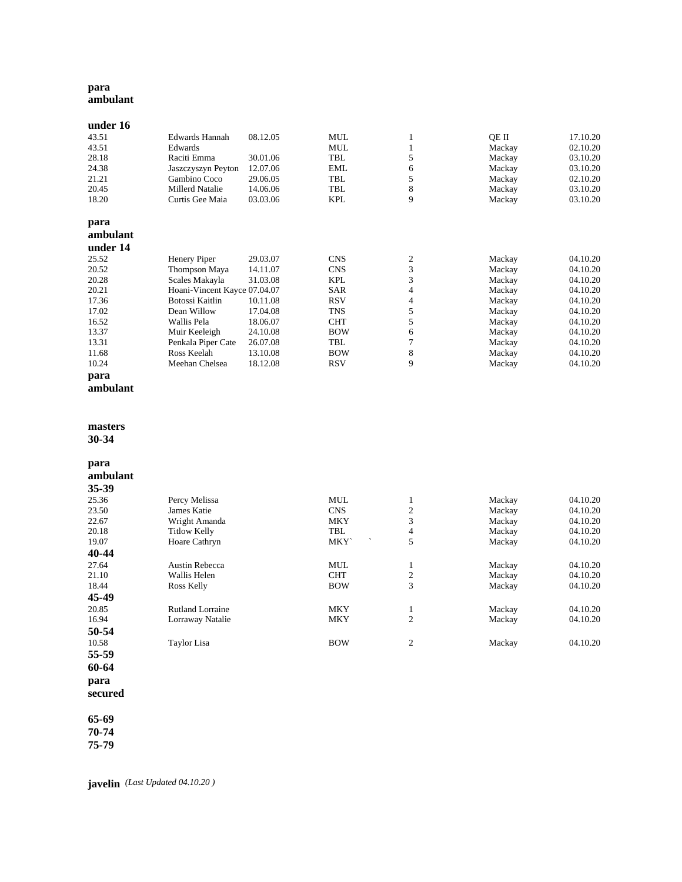### **para ambulant**

| under 16 |                              |          |            |   |        |          |
|----------|------------------------------|----------|------------|---|--------|----------|
| 43.51    | Edwards Hannah               | 08.12.05 | <b>MUL</b> | 1 | OE II  | 17.10.20 |
| 43.51    | Edwards                      |          | <b>MUL</b> |   | Mackay | 02.10.20 |
| 28.18    | Raciti Emma                  | 30.01.06 | TBL        | 5 | Mackay | 03.10.20 |
| 24.38    | Jaszczyszyn Peyton           | 12.07.06 | <b>EML</b> | 6 | Mackay | 03.10.20 |
| 21.21    | Gambino Coco                 | 29.06.05 | TBL        | 5 | Mackay | 02.10.20 |
| 20.45    | <b>Millerd Natalie</b>       | 14.06.06 | TBL        | 8 | Mackay | 03.10.20 |
| 18.20    | Curtis Gee Maia              | 03.03.06 | <b>KPL</b> | 9 | Mackay | 03.10.20 |
| para     |                              |          |            |   |        |          |
| ambulant |                              |          |            |   |        |          |
| under 14 |                              |          |            |   |        |          |
| 25.52    | Henery Piper                 | 29.03.07 | <b>CNS</b> | 2 | Mackay | 04.10.20 |
| 20.52    | Thompson Maya                | 14.11.07 | <b>CNS</b> | 3 | Mackay | 04.10.20 |
| 20.28    | Scales Makayla               | 31.03.08 | <b>KPL</b> | 3 | Mackay | 04.10.20 |
| 20.21    | Hoani-Vincent Kayce 07.04.07 |          | <b>SAR</b> | 4 | Mackay | 04.10.20 |
| 17.36    | Botossi Kaitlin              | 10.11.08 | <b>RSV</b> | 4 | Mackay | 04.10.20 |
| 17.02    | Dean Willow                  | 17.04.08 | <b>TNS</b> | 5 | Mackay | 04.10.20 |
| 16.52    | Wallis Pela                  | 18.06.07 | <b>CHT</b> | 5 | Mackay | 04.10.20 |
| 13.37    | Muir Keeleigh                | 24.10.08 | <b>BOW</b> | 6 | Mackay | 04.10.20 |
| 13.31    | Penkala Piper Cate           | 26.07.08 | TBL        | 7 | Mackay | 04.10.20 |
| 11.68    | Ross Keelah                  | 13.10.08 | <b>BOW</b> | 8 | Mackay | 04.10.20 |
| 10.24    | Meehan Chelsea               | 18.12.08 | <b>RSV</b> | 9 | Mackay | 04.10.20 |
| para     |                              |          |            |   |        |          |

```
ambulant
```
#### **masters**

**30 -34** 

# **para**

| 35-39 |                         |            |                |        |          |
|-------|-------------------------|------------|----------------|--------|----------|
| 25.36 | Percy Melissa           | <b>MUL</b> | 1              | Mackay | 04.10.20 |
| 23.50 | James Katie             | <b>CNS</b> | 2              | Mackay | 04.10.20 |
| 22.67 | Wright Amanda           | <b>MKY</b> | 3              | Mackay | 04.10.20 |
| 20.18 | <b>Titlow Kelly</b>     | TBL        | 4              | Mackay | 04.10.20 |
| 19.07 | Hoare Cathryn           | <b>MKY</b> | 5              | Mackay | 04.10.20 |
| 40-44 |                         |            |                |        |          |
| 27.64 | Austin Rebecca          | <b>MUL</b> | 1              | Mackay | 04.10.20 |
| 21.10 | Wallis Helen            | <b>CHT</b> | $\overline{c}$ | Mackay | 04.10.20 |
| 18.44 | Ross Kelly              | <b>BOW</b> | 3              | Mackay | 04.10.20 |
| 45-49 |                         |            |                |        |          |
| 20.85 | <b>Rutland Lorraine</b> | <b>MKY</b> | 1              | Mackay | 04.10.20 |
| 16.94 | Lorraway Natalie        | <b>MKY</b> | 2              | Mackay | 04.10.20 |
| 50-54 |                         |            |                |        |          |
| 10.58 | Taylor Lisa             | <b>BOW</b> | 2              | Mackay | 04.10.20 |
| 55-59 |                         |            |                |        |          |

**60 -64 para**

**secured**

**65 -69 70 -74**

**75 -79**

**javelin** *(Last Updated 04.10.20 )*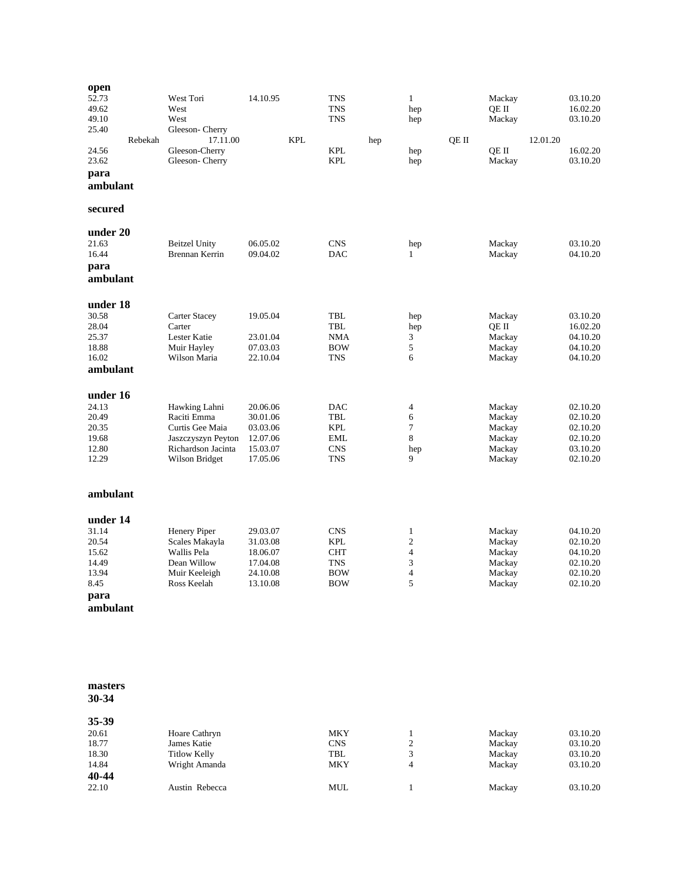| open<br>52.73<br>49.62<br>49.10<br>25.40<br>24.56<br>23.62<br>para<br>ambulant    | Rebekah | West Tori<br>West<br>West<br>Gleeson-Cherry<br>17.11.00<br>Gleeson-Cherry<br>Gleeson-Cherry                   | 14.10.95                                                             | <b>KPL</b> | <b>TNS</b><br><b>TNS</b><br><b>TNS</b><br><b>KPL</b><br><b>KPL</b>               | hep | $\mathbf{1}$<br>hep<br>hep<br>hep<br>hep                        | QE II | Mackay<br>QE II<br>Mackay<br>QE II<br>Mackay             | 12.01.20 | 03.10.20<br>16.02.20<br>03.10.20<br>16.02.20<br>03.10.20             |
|-----------------------------------------------------------------------------------|---------|---------------------------------------------------------------------------------------------------------------|----------------------------------------------------------------------|------------|----------------------------------------------------------------------------------|-----|-----------------------------------------------------------------|-------|----------------------------------------------------------|----------|----------------------------------------------------------------------|
| secured                                                                           |         |                                                                                                               |                                                                      |            |                                                                                  |     |                                                                 |       |                                                          |          |                                                                      |
| under 20<br>21.63<br>16.44<br>para<br>ambulant                                    |         | <b>Beitzel Unity</b><br>Brennan Kerrin                                                                        | 06.05.02<br>09.04.02                                                 |            | <b>CNS</b><br><b>DAC</b>                                                         |     | hep<br>$\mathbf{1}$                                             |       | Mackay<br>Mackay                                         |          | 03.10.20<br>04.10.20                                                 |
| under 18<br>30.58<br>28.04<br>25.37<br>18.88<br>16.02<br>ambulant                 |         | <b>Carter Stacey</b><br>Carter<br>Lester Katie<br>Muir Hayley<br>Wilson Maria                                 | 19.05.04<br>23.01.04<br>07.03.03<br>22.10.04                         |            | TBL<br>TBL<br>NMA<br><b>BOW</b><br><b>TNS</b>                                    |     | hep<br>hep<br>3<br>5<br>6                                       |       | Mackay<br>QE II<br>Mackay<br>Mackay<br>Mackay            |          | 03.10.20<br>16.02.20<br>04.10.20<br>04.10.20<br>04.10.20             |
| under 16<br>24.13<br>20.49<br>20.35<br>19.68<br>12.80<br>12.29                    |         | Hawking Lahni<br>Raciti Emma<br>Curtis Gee Maia<br>Jaszczyszyn Peyton<br>Richardson Jacinta<br>Wilson Bridget | 20.06.06<br>30.01.06<br>03.03.06<br>12.07.06<br>15.03.07<br>17.05.06 |            | <b>DAC</b><br><b>TBL</b><br><b>KPL</b><br><b>EML</b><br><b>CNS</b><br><b>TNS</b> |     | 4<br>6<br>7<br>$\,8\,$<br>hep<br>9                              |       | Mackay<br>Mackay<br>Mackay<br>Mackay<br>Mackay<br>Mackay |          | 02.10.20<br>02.10.20<br>02.10.20<br>02.10.20<br>03.10.20<br>02.10.20 |
| ambulant                                                                          |         |                                                                                                               |                                                                      |            |                                                                                  |     |                                                                 |       |                                                          |          |                                                                      |
| under 14<br>31.14<br>20.54<br>15.62<br>14.49<br>13.94<br>8.45<br>para<br>ambulant |         | Henery Piper<br>Scales Makayla<br>Wallis Pela<br>Dean Willow<br>Muir Keeleigh<br>Ross Keelah                  | 29.03.07<br>31.03.08<br>18.06.07<br>17.04.08<br>24.10.08<br>13.10.08 |            | <b>CNS</b><br><b>KPL</b><br><b>CHT</b><br><b>TNS</b><br><b>BOW</b><br><b>BOW</b> |     | $\mathbf{1}$<br>$\overline{c}$<br>$\overline{4}$<br>3<br>4<br>5 |       | Mackay<br>Mackay<br>Mackay<br>Mackay<br>Mackay<br>Mackay |          | 04.10.20<br>02.10.20<br>04.10.20<br>02.10.20<br>02.10.20<br>02.10.20 |

| Hoare Cathryn       | <b>MKY</b> |                | Mackay | 03.10.20 |
|---------------------|------------|----------------|--------|----------|
| James Katie         | <b>CNS</b> | $\overline{c}$ | Mackay | 03.10.20 |
| <b>Titlow Kelly</b> | TBL        | 3              | Mackay | 03.10.20 |
| Wright Amanda       | <b>MKY</b> | 4              | Mackay | 03.10.20 |
|                     |            |                |        |          |
| Austin Rebecca      | MUL        |                | Mackay | 03.10.20 |
|                     |            |                |        |          |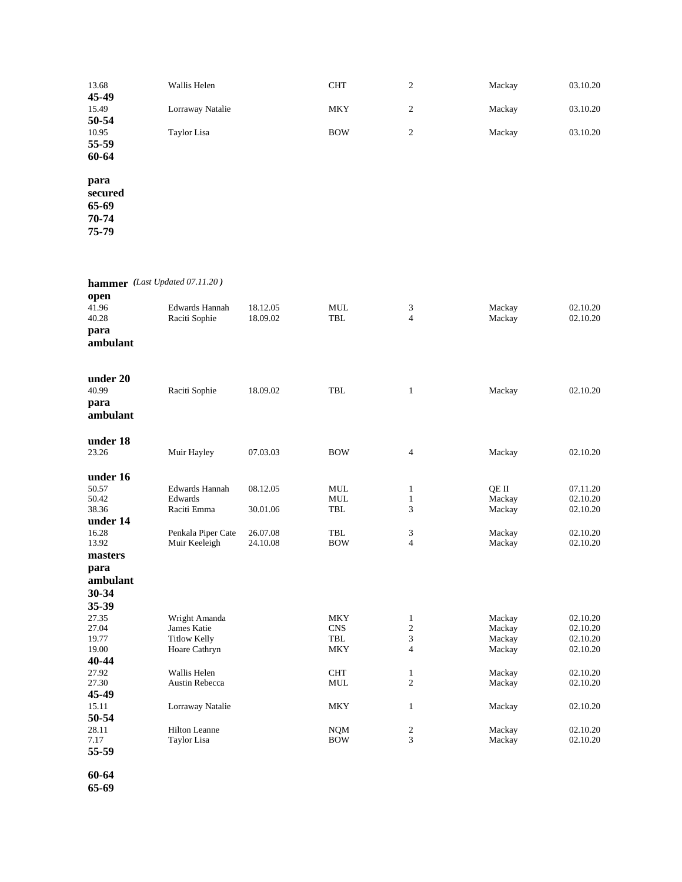| 13.68   | Wallis Helen     | <b>CHT</b> | $\overline{c}$ | Mackay | 03.10.20 |
|---------|------------------|------------|----------------|--------|----------|
| 45-49   |                  |            |                |        |          |
| 15.49   | Lorraway Natalie | <b>MKY</b> | 2              | Mackay | 03.10.20 |
| 50-54   |                  |            |                |        |          |
| 10.95   | Taylor Lisa      | <b>BOW</b> | 2              | Mackay | 03.10.20 |
| 55-59   |                  |            |                |        |          |
| 60-64   |                  |            |                |        |          |
| para    |                  |            |                |        |          |
| secured |                  |            |                |        |          |
| 65-69   |                  |            |                |        |          |
| 70-74   |                  |            |                |        |          |

**hammer** *(Last Updated 07.11.20 )*

| open<br>41.96<br>40.28<br>para<br>ambulant                                                                | Edwards Hannah<br>Raciti Sophie                                                                                            | 18.12.05<br>18.09.02                         | <b>MUL</b><br><b>TBL</b>                                                                | 3<br>$\overline{4}$                                                                                     | Mackay<br>Mackay                                                   | 02.10.20<br>02.10.20                                                             |
|-----------------------------------------------------------------------------------------------------------|----------------------------------------------------------------------------------------------------------------------------|----------------------------------------------|-----------------------------------------------------------------------------------------|---------------------------------------------------------------------------------------------------------|--------------------------------------------------------------------|----------------------------------------------------------------------------------|
| under 20<br>40.99<br>para<br>ambulant                                                                     | Raciti Sophie                                                                                                              | 18.09.02                                     | <b>TBL</b>                                                                              | $\mathbf{1}$                                                                                            | Mackay                                                             | 02.10.20                                                                         |
| under 18<br>23.26                                                                                         | Muir Hayley                                                                                                                | 07.03.03                                     | <b>BOW</b>                                                                              | 4                                                                                                       | Mackay                                                             | 02.10.20                                                                         |
| under 16<br>50.57<br>50.42<br>38.36<br>under 14<br>16.28<br>13.92<br>masters<br>para<br>ambulant<br>30-34 | <b>Edwards Hannah</b><br>Edwards<br>Raciti Emma<br>Penkala Piper Cate<br>Muir Keeleigh                                     | 08.12.05<br>30.01.06<br>26.07.08<br>24.10.08 | <b>MUL</b><br>$\mbox{MUL}$<br><b>TBL</b><br>TBL<br><b>BOW</b>                           | $\mathbf{1}$<br>$\mathbf{1}$<br>3<br>3<br>$\overline{4}$                                                | OE II<br>Mackay<br>Mackay<br>Mackay<br>Mackay                      | 07.11.20<br>02.10.20<br>02.10.20<br>02.10.20<br>02.10.20                         |
| 35-39<br>27.35<br>27.04<br>19.77<br>19.00<br>40-44<br>27.92<br>27.30<br>45-49<br>15.11                    | Wright Amanda<br>James Katie<br><b>Titlow Kelly</b><br>Hoare Cathryn<br>Wallis Helen<br>Austin Rebecca<br>Lorraway Natalie |                                              | <b>MKY</b><br><b>CNS</b><br>TBL<br><b>MKY</b><br><b>CHT</b><br><b>MUL</b><br><b>MKY</b> | $\mathbf{1}$<br>$\overline{c}$<br>3<br>$\overline{4}$<br>$\mathbf{1}$<br>$\overline{c}$<br>$\mathbf{1}$ | Mackay<br>Mackay<br>Mackay<br>Mackay<br>Mackay<br>Mackay<br>Mackay | 02.10.20<br>02.10.20<br>02.10.20<br>02.10.20<br>02.10.20<br>02.10.20<br>02.10.20 |
| 50-54<br>28.11<br>7.17<br>55-59                                                                           | <b>Hilton Leanne</b><br>Taylor Lisa                                                                                        |                                              | <b>NQM</b><br><b>BOW</b>                                                                | 2<br>3                                                                                                  | Mackay<br>Mackay                                                   | 02.10.20<br>02.10.20                                                             |

**60 -64**